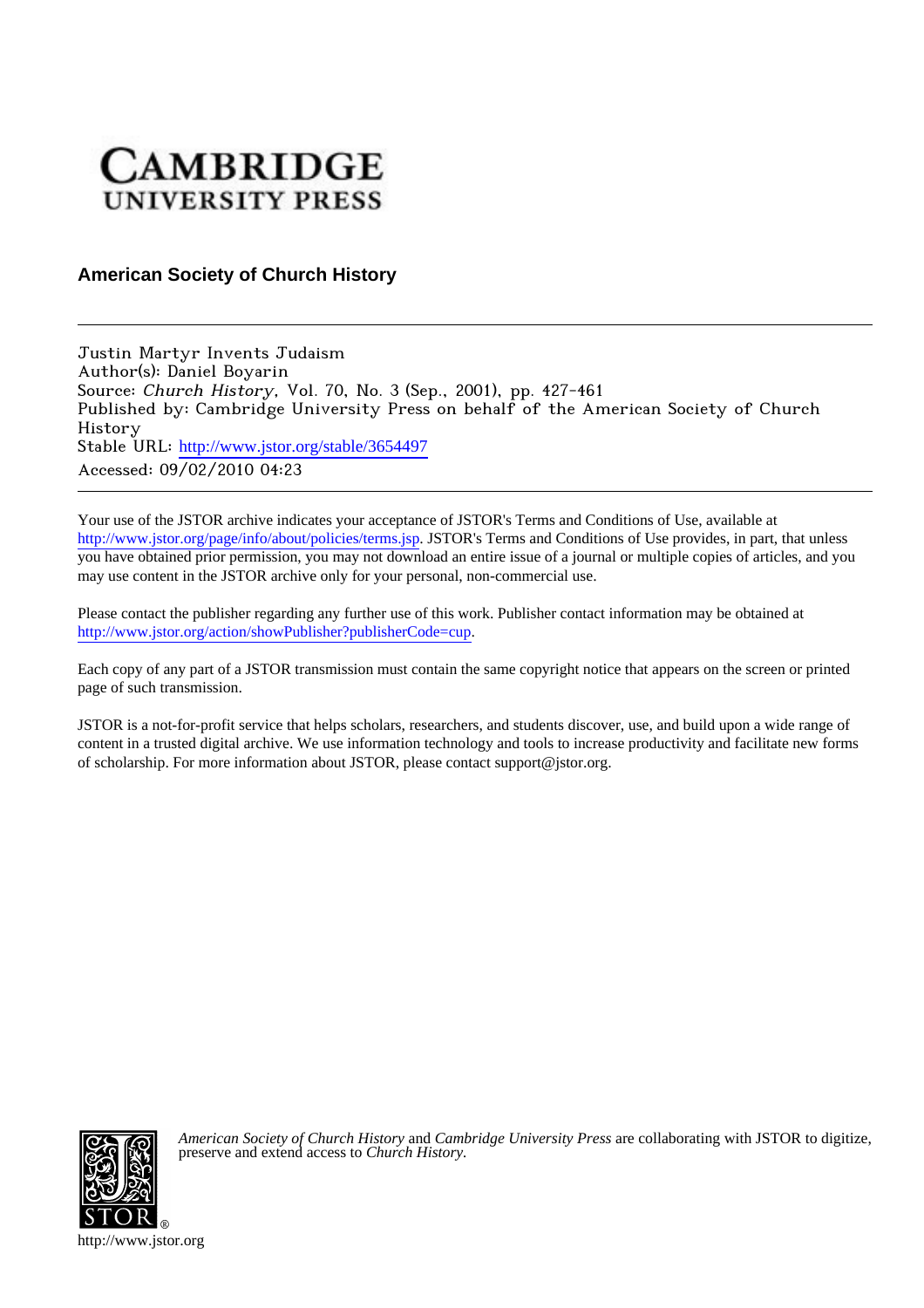# **CAMBRIDGE UNIVERSITY PRESS**

### **American Society of Church History**

Justin Martyr Invents Judaism Author(s): Daniel Boyarin Source: Church History, Vol. 70, No. 3 (Sep., 2001), pp. 427-461 Published by: Cambridge University Press on behalf of the American Society of Church History Stable URL: [http://www.jstor.org/stable/3654497](http://www.jstor.org/stable/3654497?origin=JSTOR-pdf) Accessed: 09/02/2010 04:23

Your use of the JSTOR archive indicates your acceptance of JSTOR's Terms and Conditions of Use, available at <http://www.jstor.org/page/info/about/policies/terms.jsp>. JSTOR's Terms and Conditions of Use provides, in part, that unless you have obtained prior permission, you may not download an entire issue of a journal or multiple copies of articles, and you may use content in the JSTOR archive only for your personal, non-commercial use.

Please contact the publisher regarding any further use of this work. Publisher contact information may be obtained at <http://www.jstor.org/action/showPublisher?publisherCode=cup>.

Each copy of any part of a JSTOR transmission must contain the same copyright notice that appears on the screen or printed page of such transmission.

JSTOR is a not-for-profit service that helps scholars, researchers, and students discover, use, and build upon a wide range of content in a trusted digital archive. We use information technology and tools to increase productivity and facilitate new forms of scholarship. For more information about JSTOR, please contact support@jstor.org.



*American Society of Church History* and *Cambridge University Press* are collaborating with JSTOR to digitize, preserve and extend access to *Church History.*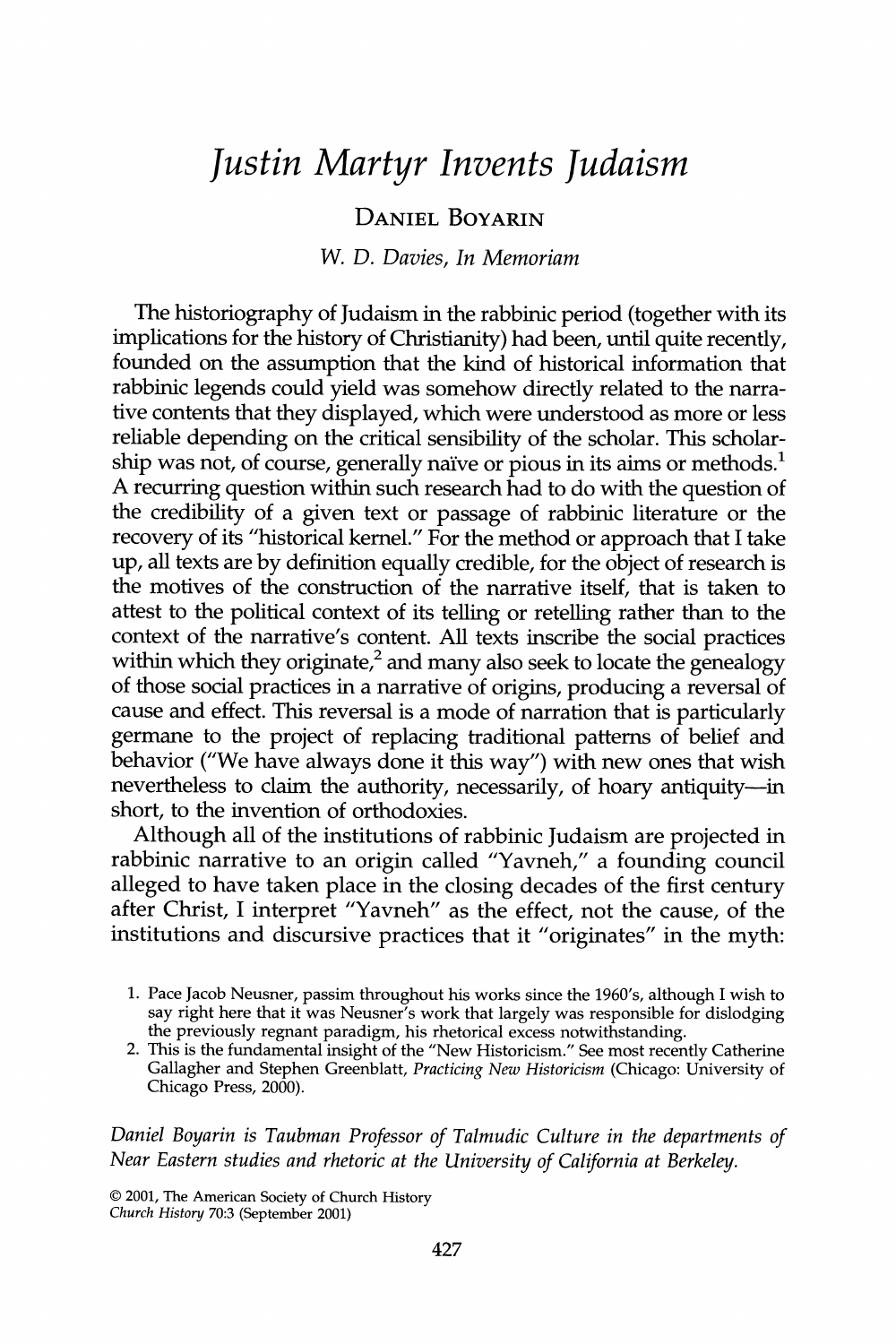## **Justin Martyr Invents Judaism**

#### **DANIEL BOYARIN**

#### **W. D. Davies, In Memoriam**

**The historiography of Judaism in the rabbinic period (together with its implications for the history of Christianity) had been, until quite recently, founded on the assumption that the kind of historical information that rabbinic legends could yield was somehow directly related to the narrative contents that they displayed, which were understood as more or less reliable depending on the critical sensibility of the scholar. This scholar**ship was not, of course, generally naïve or pious in its aims or methods.<sup>1</sup> **A recurring question within such research had to do with the question of the credibility of a given text or passage of rabbinic literature or the recovery of its "historical kernel." For the method or approach that I take up, all texts are by definition equally credible, for the object of research is the motives of the construction of the narrative itself, that is taken to attest to the political context of its telling or retelling rather than to the context of the narrative's content. All texts inscribe the social practices**  within which they originate,<sup>2</sup> and many also seek to locate the genealogy **of those social practices in a narrative of origins, producing a reversal of cause and effect. This reversal is a mode of narration that is particularly germane to the project of replacing traditional patterns of belief and behavior ("We have always done it this way") with new ones that wish nevertheless to claim the authority, necessarily, of hoary antiquity-in short, to the invention of orthodoxies.** 

**Although all of the institutions of rabbinic Judaism are projected in rabbinic narrative to an origin called "Yavneh," a founding council alleged to have taken place in the closing decades of the first century after Christ, I interpret "Yavneh" as the effect, not the cause, of the institutions and discursive practices that it "originates" in the myth:** 

**2. This is the fundamental insight of the "New Historicism." See most recently Catherine Gallagher and Stephen Greenblatt, Practicing New Historicism (Chicago: University of**  Chicago Press, 2000).

**Daniel Boyarin is Taubman Professor of Talmudic Culture in the departments of Near Eastern studies and rhetoric at the University of California at Berkeley.** 

**? 2001, The American Society of Church History Church History 70:3 (September 2001)** 

**<sup>1.</sup> Pace Jacob Neusner, passim throughout his works since the 1960's, although I wish to say right here that it was Neusner's work that largely was responsible for dislodging the previously regnant paradigm, his rhetorical excess notwithstanding.**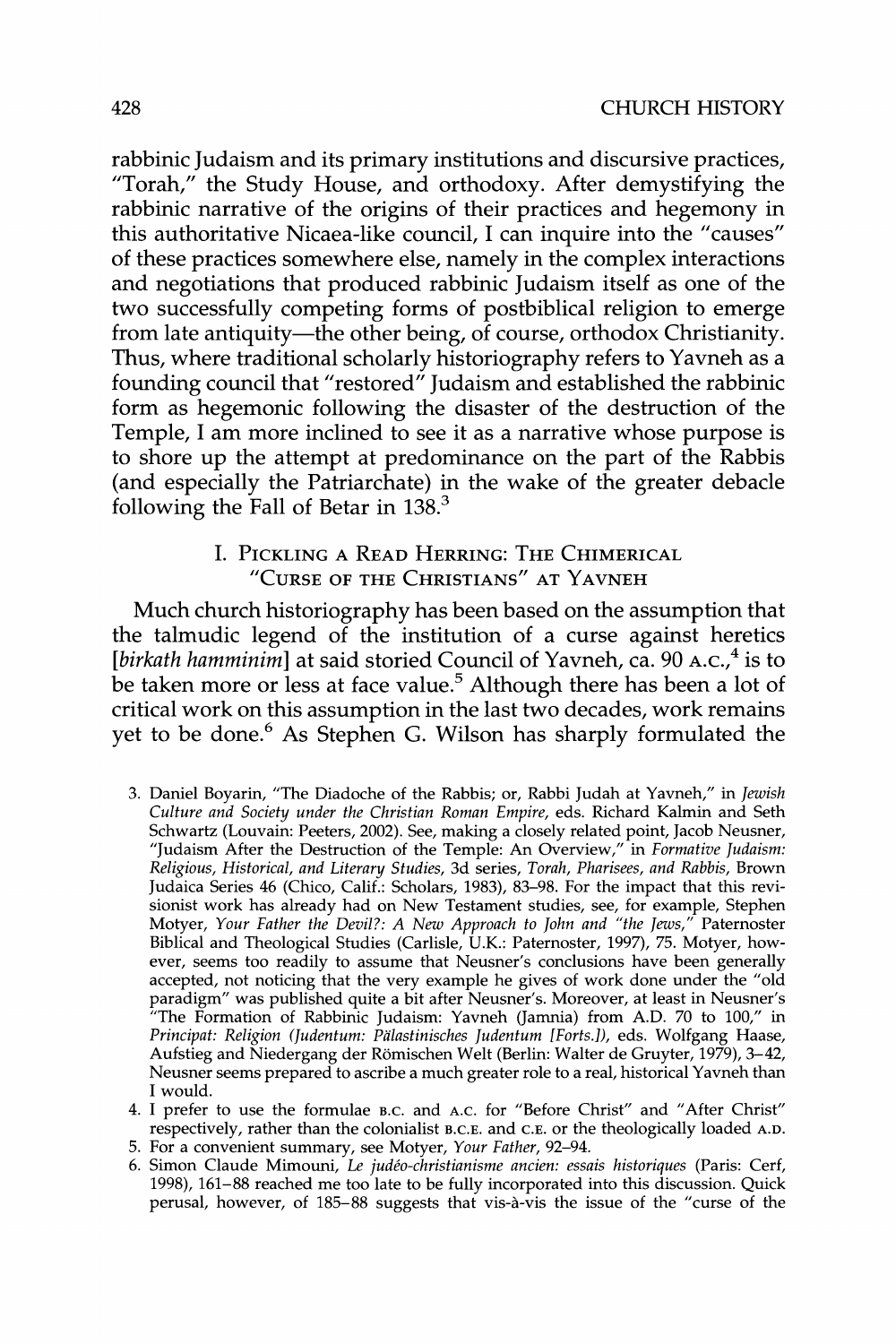**rabbinic Judaism and its primary institutions and discursive practices, "Torah," the Study House, and orthodoxy. After demystifying the rabbinic narrative of the origins of their practices and hegemony in this authoritative Nicaea-like council, I can inquire into the "causes" of these practices somewhere else, namely in the complex interactions and negotiations that produced rabbinic Judaism itself as one of the two successfully competing forms of postbiblical religion to emerge**  from late antiquity—the other being, of course, orthodox Christianity. **Thus, where traditional scholarly historiography refers to Yavneh as a founding council that "restored" Judaism and established the rabbinic form as hegemonic following the disaster of the destruction of the Temple, I am more inclined to see it as a narrative whose purpose is to shore up the attempt at predominance on the part of the Rabbis (and especially the Patriarchate) in the wake of the greater debacle following the Fall of Betar in 138.3** 

#### **I. PICKLING A READ HERRING: THE CHIMERICAL "CURSE OF THE CHRISTIANS" AT YAVNEH**

**Much church historiography has been based on the assumption that the talmudic legend of the institution of a curse against heretics [birkath hamminim] at said storied Council of Yavneh, ca. 90 A.C.,4 is to be taken more or less at face value.<sup>5</sup> Although there has been a lot of critical work on this assumption in the last two decades, work remains yet to be done.6 As Stephen G. Wilson has sharply formulated the** 

- **3. Daniel Boyarin, "The Diadoche of the Rabbis; or, Rabbi Judah at Yavneh," in Jewish Culture and Society under the Christian Roman Empire, eds. Richard Kalmin and Seth Schwartz (Louvain: Peeters, 2002). See, making a closely related point, Jacob Neusner, "Judaism After the Destruction of the Temple: An Overview," in Formative Judaism: Religious, Historical, and Literary Studies, 3d series, Torah, Pharisees, and Rabbis, Brown Judaica Series 46 (Chico, Calif.: Scholars, 1983), 83-98. For the impact that this revisionist work has already had on New Testament studies, see, for example, Stephen Motyer, Your Father the Devil?: A New Approach to John and "the Jews," Paternoster Biblical and Theological Studies (Carlisle, U.K.: Paternoster, 1997), 75. Motyer, however, seems too readily to assume that Neusner's conclusions have been generally accepted, not noticing that the very example he gives of work done under the "old paradigm" was published quite a bit after Neusner's. Moreover, at least in Neusner's "The Formation of Rabbinic Judaism: Yavneh (Jamnia) from A.D. 70 to 100," in Principat: Religion (Judentum: Pilastinisches Judentum [Forts.]), eds. Wolfgang Haase, Aufstieg and Niedergang der R6mischen Welt (Berlin: Walter de Gruyter, 1979), 3-42, Neusner seems prepared to ascribe a much greater role to a real, historical Yavneh than I would.**
- **4. I prefer to use the formulae B.C. and A.C. for "Before Christ" and "After Christ" respectively, rather than the colonialist B.C.E. and C.E. or the theologically loaded A.D.**
- **5. For a convenient summary, see Motyer, Your Father, 92-94.**
- **6. Simon Claude Mimouni, Le judeo-christianisme ancien: essais historiques (Paris: Cerf, 1998), 161-88 reached me too late to be fully incorporated into this discussion. Quick perusal, however, of 185-88 suggests that vis-h-vis the issue of the "curse of the**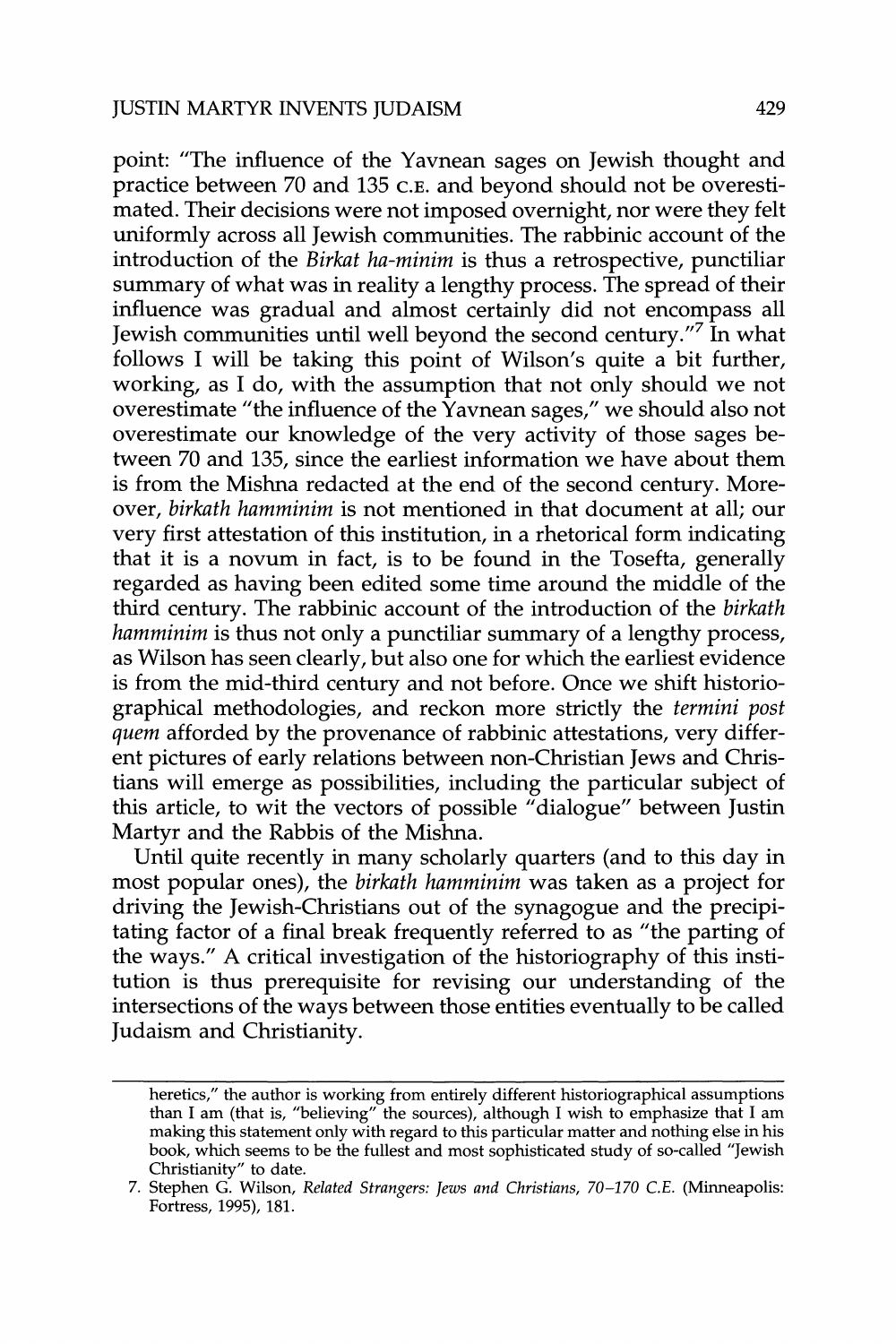**point: "The influence of the Yavnean sages on Jewish thought and practice between 70 and 135 C.E. and beyond should not be overestimated. Their decisions were not imposed overnight, nor were they felt uniformly across all Jewish communities. The rabbinic account of the introduction of the Birkat ha-minim is thus a retrospective, punctiliar summary of what was in reality a lengthy process. The spread of their influence was gradual and almost certainly did not encompass all Jewish communities until well beyond the second century."7 In what follows I will be taking this point of Wilson's quite a bit further, working, as I do, with the assumption that not only should we not overestimate "the influence of the Yavnean sages," we should also not overestimate our knowledge of the very activity of those sages between 70 and 135, since the earliest information we have about them is from the Mishna redacted at the end of the second century. Moreover, birkath hamminim is not mentioned in that document at all; our very first attestation of this institution, in a rhetorical form indicating that it is a novum in fact, is to be found in the Tosefta, generally regarded as having been edited some time around the middle of the third century. The rabbinic account of the introduction of the birkath hamminim is thus not only a punctiliar summary of a lengthy process, as Wilson has seen clearly, but also one for which the earliest evidence is from the mid-third century and not before. Once we shift historiographical methodologies, and reckon more strictly the termini post quem afforded by the provenance of rabbinic attestations, very different pictures of early relations between non-Christian Jews and Christians will emerge as possibilities, including the particular subject of this article, to wit the vectors of possible "dialogue" between Justin Martyr and the Rabbis of the Mishna.** 

**Until quite recently in many scholarly quarters (and to this day in most popular ones), the birkath hamminim was taken as a project for driving the Jewish-Christians out of the synagogue and the precipitating factor of a final break frequently referred to as "the parting of the ways." A critical investigation of the historiography of this institution is thus prerequisite for revising our understanding of the intersections of the ways between those entities eventually to be called Judaism and Christianity.** 

**heretics," the author is working from entirely different historiographical assumptions than I am (that is, "believing" the sources), although I wish to emphasize that I am making this statement only with regard to this particular matter and nothing else in his book, which seems to be the fullest and most sophisticated study of so-called "Jewish Christianity" to date.** 

**<sup>7.</sup> Stephen G. Wilson, Related Strangers: Jews and Christians, 70-170 C.E. (Minneapolis: Fortress, 1995), 181.**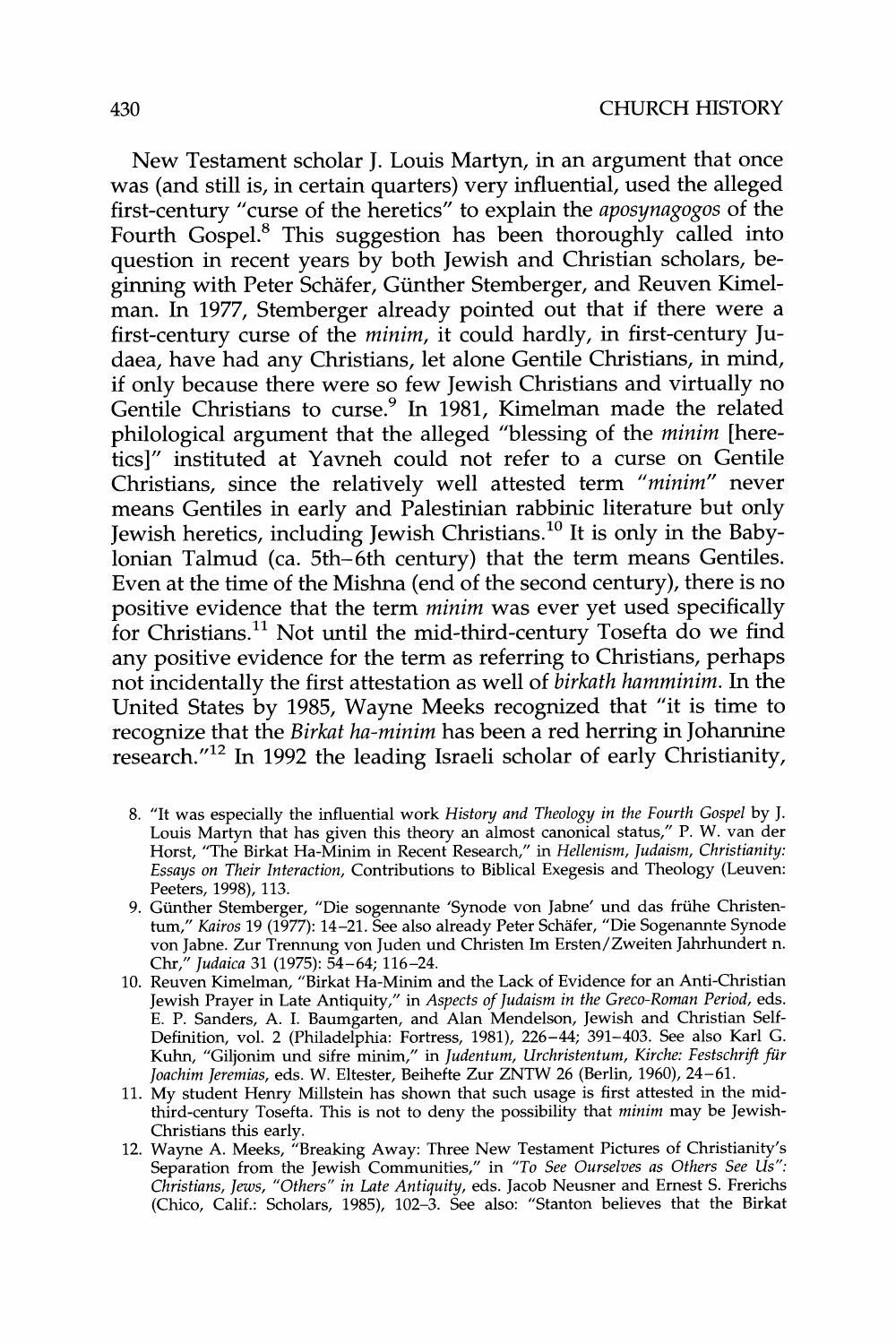**New Testament scholar J. Louis Martyn, in an argument that once was (and still is, in certain quarters) very influential, used the alleged first-century "curse of the heretics" to explain the aposynagogos of the Fourth Gospel.8 This suggestion has been thoroughly called into question in recent years by both Jewish and Christian scholars, beginning with Peter Schifer, Gunther Stemberger, and Reuven Kimelman. In 1977, Stemberger already pointed out that if there were a first-century curse of the minim, it could hardly, in first-century Judaea, have had any Christians, let alone Gentile Christians, in mind, if only because there were so few Jewish Christians and virtually no Gentile Christians to curse.9 In 1981, Kimelman made the related philological argument that the alleged "blessing of the minim [heretics]" instituted at Yavneh could not refer to a curse on Gentile Christians, since the relatively well attested term "minim" never means Gentiles in early and Palestinian rabbinic literature but only Jewish heretics, including Jewish Christians.10 It is only in the Babylonian Talmud (ca. 5th-6th century) that the term means Gentiles. Even at the time of the Mishna (end of the second century), there is no positive evidence that the term minim was ever yet used specifically for Christians.11 Not until the mid-third-century Tosefta do we find any positive evidence for the term as referring to Christians, perhaps not incidentally the first attestation as well of birkath hamminim. In the United States by 1985, Wayne Meeks recognized that "it is time to recognize that the Birkat ha-minim has been a red herring in Johannine research."12 In 1992 the leading Israeli scholar of early Christianity,** 

- **8. "It was especially the influential work History and Theology in the Fourth Gospel by J. Louis Martyn that has given this theory an almost canonical status," P. W. van der Horst, "The Birkat Ha-Minim in Recent Research," in Hellenism, Judaism, Christianity: Essays on Their Interaction, Contributions to Biblical Exegesis and Theology (Leuven: Peeters, 1998), 113.**
- **9. Gunther Stemberger, "Die sogennante 'Synode von Jabne' und das friihe Christentum," Kairos 19 (1977): 14-21. See also already Peter Schafer, "Die Sogenannte Synode von Jabne. Zur Trennung von Juden und Christen Im Ersten/Zweiten Jahrhundert n. Chr," Judaica 31 (1975): 54-64; 116-24.**
- **10. Reuven Kimelman, "Birkat Ha-Minim and the Lack of Evidence for an Anti-Christian Jewish Prayer in Late Antiquity," in Aspects of Judaism in the Greco-Roman Period, eds. E. P. Sanders, A. I. Baumgarten, and Alan Mendelson, Jewish and Christian Self-Definition, vol. 2 (Philadelphia: Fortress, 1981), 226-44; 391-403. See also Karl G. Kuhn, "Giljonim und sifre minim," in Judentum, Urchristentum, Kirche: Festschrift fiir Joachim Jeremias, eds. W. Eltester, Beihefte Zur ZNTW 26 (Berlin, 1960), 24-61.**
- **11. My student Henry Millstein has shown that such usage is first attested in the midthird-century Tosefta. This is not to deny the possibility that minim may be Jewish-Christians this early.**
- **12. Wayne A. Meeks, "Breaking Away: Three New Testament Pictures of Christianity's Separation from the Jewish Communities," in "To See Ourselves as Others See Us": Christians, Jews, "Others" in Late Antiquity, eds. Jacob Neusner and Ernest S. Frerichs (Chico, Calif.: Scholars, 1985), 102-3. See also: "Stanton believes that the Birkat**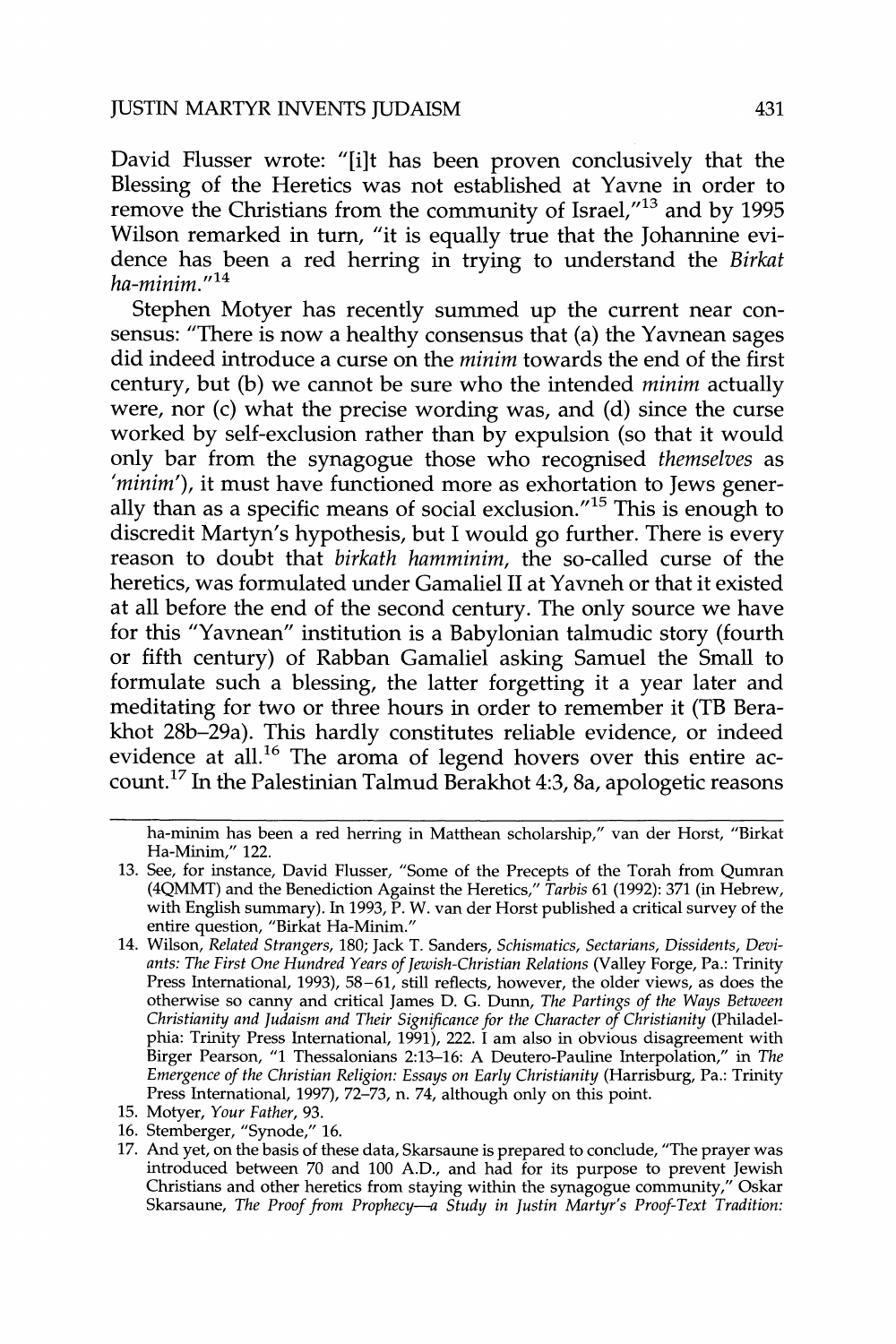**David Flusser wrote: "[i]t has been proven conclusively that the Blessing of the Heretics was not established at Yavne in order to remove the Christians from the community of Israel,"13 and by 1995 Wilson remarked in turn, "it is equally true that the Johannine evidence has been a red herring in trying to understand the Birkat ha-minim."14** 

**Stephen Motyer has recently summed up the current near consensus: "There is now a healthy consensus that (a) the Yavnean sages did indeed introduce a curse on the minim towards the end of the first century, but (b) we cannot be sure who the intended minim actually were, nor (c) what the precise wording was, and (d) since the curse worked by self-exclusion rather than by expulsion (so that it would only bar from the synagogue those who recognised themselves as 'minim'), it must have functioned more as exhortation to Jews generally than as a specific means of social exclusion."15 This is enough to discredit Martyn's hypothesis, but I would go further. There is every reason to doubt that birkath hamminim, the so-called curse of the heretics, was formulated under Gamaliel II at Yavneh or that it existed at all before the end of the second century. The only source we have for this "Yavnean" institution is a Babylonian talmudic story (fourth or fifth century) of Rabban Gamaliel asking Samuel the Small to formulate such a blessing, the latter forgetting it a year later and meditating for two or three hours in order to remember it (TB Berakhot 28b-29a). This hardly constitutes reliable evidence, or indeed**  evidence at all.<sup>16</sup> The aroma of legend hovers over this entire ac**count.17 In the Palestinian Talmud Berakhot 4:3, 8a, apologetic reasons** 

**ha-minim has been a red herring in Matthean scholarship," van der Horst, "Birkat Ha-Minim," 122.** 

**<sup>13.</sup> See, for instance, David Flusser, "Some of the Precepts of the Torah from Qumran (4QMMT) and the Benediction Against the Heretics," Tarbis 61 (1992): 371 (in Hebrew,**  with English summary). In 1993, P. W. van der Horst published a critical survey of the **entire question, "Birkat Ha-Minim."** 

**<sup>14.</sup> Wilson, Related Strangers, 180; Jack T. Sanders, Schismatics, Sectarians, Dissidents, Deviants: The First One Hundred Years of Jewish-Christian Relations (Valley Forge, Pa.: Trinity Press International, 1993), 58-61, still reflects, however, the older views, as does the otherwise so canny and critical James D. G. Dunn, The Partings of the Ways Between Christianity and Judaism and Their Significance for the Character of Christianity (Philadelphia: Trinity Press International, 1991), 222. I am also in obvious disagreement with Birger Pearson, "1 Thessalonians 2:13-16: A Deutero-Pauline Interpolation," in The Emergence of the Christian Religion: Essays on Early Christianity (Harrisburg, Pa.: Trinity**  Press International, 1997), 72–73, n. 74, although only on this point.

**<sup>15.</sup> Motyer, Your Father, 93.** 

**<sup>16.</sup> Stemberger, "Synode," 16.** 

**<sup>17.</sup> And yet, on the basis of these data, Skarsaune is prepared to conclude, "The prayer was introduced between 70 and 100 A.D., and had for its purpose to prevent Jewish Christians and other heretics from staying within the synagogue community," Oskar**  Skarsaune, The Proof from Prophecy—a Study in Justin Martyr's Proof-Text Tradition: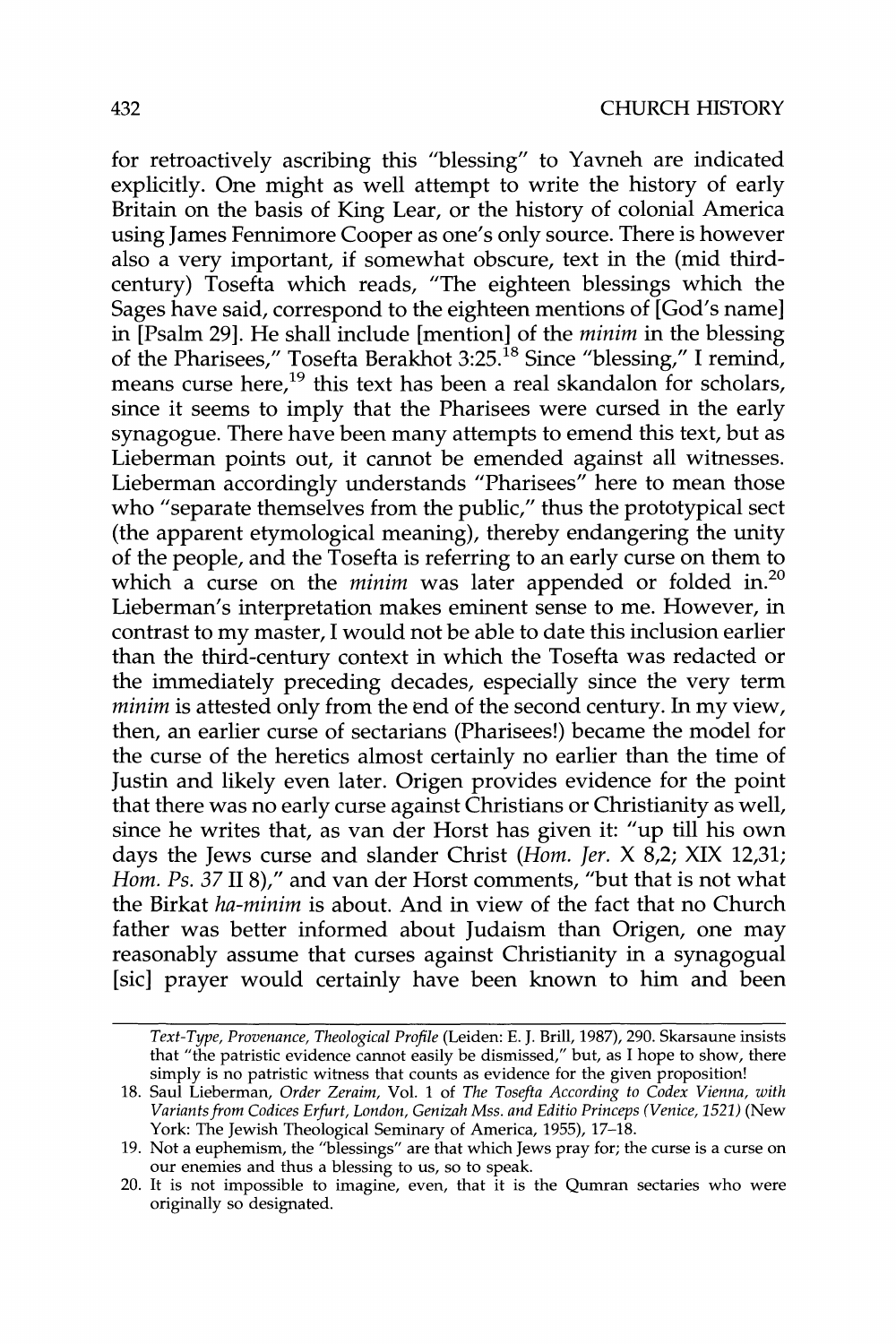**for retroactively ascribing this "blessing" to Yavneh are indicated explicitly. One might as well attempt to write the history of early Britain on the basis of King Lear, or the history of colonial America using James Fennimore Cooper as one's only source. There is however also a very important, if somewhat obscure, text in the (mid thirdcentury) Tosefta which reads, "The eighteen blessings which the Sages have said, correspond to the eighteen mentions of [God's name] in [Psalm 29]. He shall include [mention] of the minim in the blessing of the Pharisees," Tosefta Berakhot 3:25.18 Since "blessing," I remind,**  means curse here,<sup>19</sup> this text has been a real skandalon for scholars, **since it seems to imply that the Pharisees were cursed in the early synagogue. There have been many attempts to emend this text, but as Lieberman points out, it cannot be emended against all witnesses. Lieberman accordingly understands "Pharisees" here to mean those who "separate themselves from the public," thus the prototypical sect (the apparent etymological meaning), thereby endangering the unity of the people, and the Tosefta is referring to an early curse on them to**  which a curse on the *minim* was later appended or folded in.<sup>20</sup> **Lieberman's interpretation makes eminent sense to me. However, in contrast to my master, I would not be able to date this inclusion earlier than the third-century context in which the Tosefta was redacted or the immediately preceding decades, especially since the very term minim is attested only from the end of the second century. In my view, then, an earlier curse of sectarians (Pharisees!) became the model for the curse of the heretics almost certainly no earlier than the time of Justin and likely even later. Origen provides evidence for the point that there was no early curse against Christians or Christianity as well, since he writes that, as van der Horst has given it: "up till his own**  days the Jews curse and slander Christ (Hom. Jer. X 8,2; XIX 12,31; **Hom. Ps. 37 II 8)," and van der Horst comments, "but that is not what the Birkat ha-minim is about. And in view of the fact that no Church father was better informed about Judaism than Origen, one may reasonably assume that curses against Christianity in a synagogual [sic] prayer would certainly have been known to him and been** 

**Text-Type, Provenance, Theological Profile (Leiden: E. J. Brill, 1987), 290. Skarsaune insists that "the patristic evidence cannot easily be dismissed," but, as I hope to show, there simply is no patristic witness that counts as evidence for the given proposition!** 

**<sup>18.</sup> Saul Lieberman, Order Zeraim, Vol. 1 of The Tosefta According to Codex Vienna, with Variants from Codices Erfurt, London, Genizah Mss. and Editio Princeps (Venice, 1521) (New York: The Jewish Theological Seminary of America, 1955), 17-18.** 

**<sup>19.</sup> Not a euphemism, the "blessings" are that which Jews pray for; the curse is a curse on our enemies and thus a blessing to us, so to speak.** 

**<sup>20.</sup> It is not impossible to imagine, even, that it is the Qumran sectaries who were originally so designated.**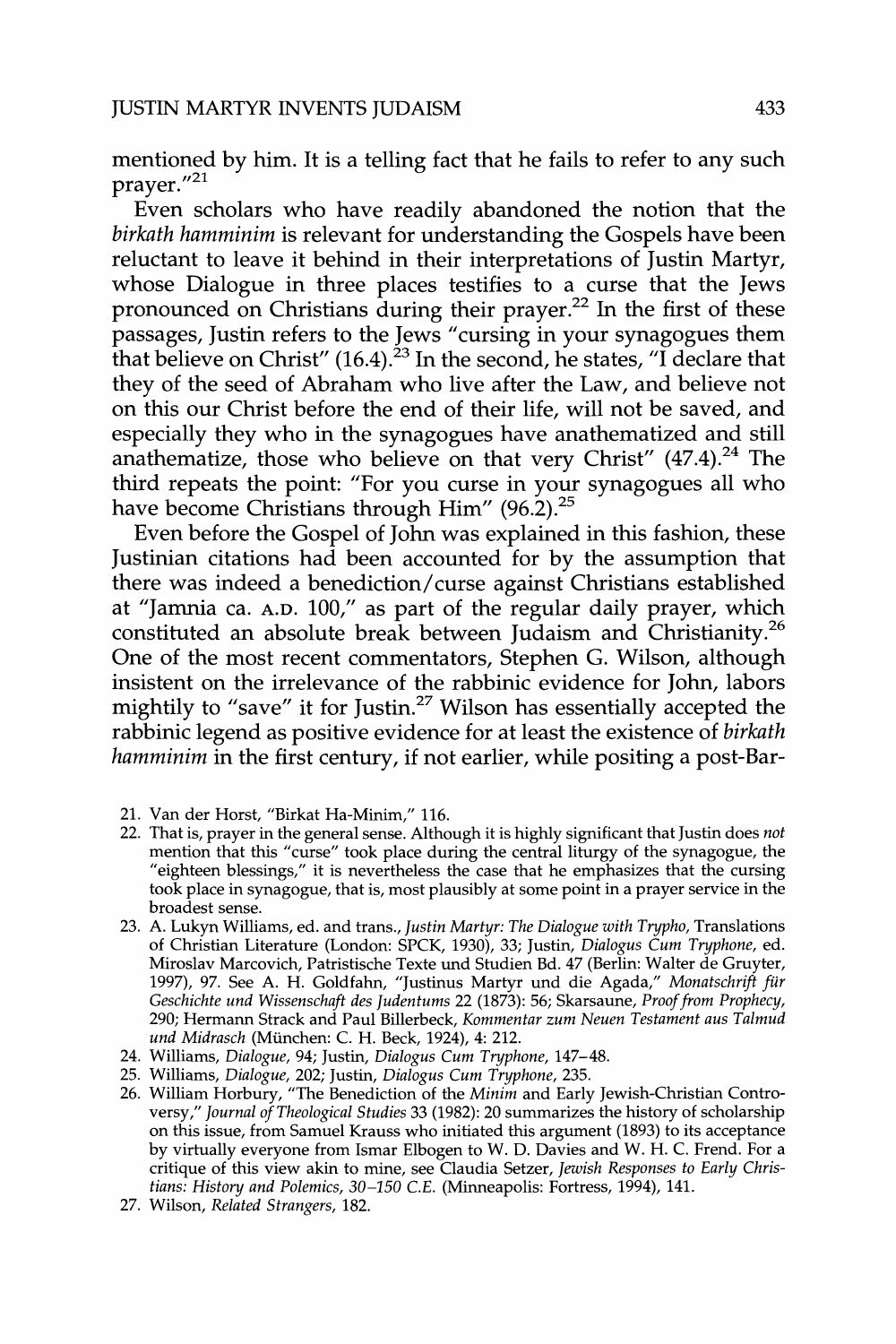**mentioned by him. It is a telling fact that he fails to refer to any such prayer."21** 

**Even scholars who have readily abandoned the notion that the birkath hamminim is relevant for understanding the Gospels have been reluctant to leave it behind in their interpretations of Justin Martyr, whose Dialogue in three places testifies to a curse that the Jews pronounced on Christians during their prayer.22 In the first of these passages, Justin refers to the Jews "cursing in your synagogues them**  that believe on Christ" (16.4).<sup>23</sup> In the second, he states, "I declare that **they of the seed of Abraham who live after the Law, and believe not on this our Christ before the end of their life, will not be saved, and especially they who in the synagogues have anathematized and still**  anathematize, those who believe on that very Christ" (47.4).<sup>24</sup> The **third repeats the point: "For you curse in your synagogues all who have become Christians through Him" (96.2).25** 

**Even before the Gospel of John was explained in this fashion, these Justinian citations had been accounted for by the assumption that there was indeed a benediction/curse against Christians established at "Jamnia ca. A.D. 100," as part of the regular daily prayer, which constituted an absolute break between Judaism and Christianity.26 One of the most recent commentators, Stephen G. Wilson, although insistent on the irrelevance of the rabbinic evidence for John, labors mightily to "save" it for Justin.27 Wilson has essentially accepted the rabbinic legend as positive evidence for at least the existence of birkath hamminim in the first century, if not earlier, while positing a post-Bar-**

- **21. Van der Horst, "Birkat Ha-Minim," 116.**
- **22. That is, prayer in the general sense. Although it is highly significant that Justin does not mention that this "curse" took place during the central liturgy of the synagogue, the "eighteen blessings," it is nevertheless the case that he emphasizes that the cursing took place in synagogue, that is, most plausibly at some point in a prayer service in the broadest sense.**
- **23. A. Lukyn Williams, ed. and trans., Justin Martyr: The Dialogue with Trypho, Translations of Christian Literature (London: SPCK, 1930), 33; Justin, Dialogus Cum Tryphone, ed. Miroslav Marcovich, Patristische Texte und Studien Bd. 47 (Berlin: Walter de Gruyter, 1997), 97. See A. H. Goldfahn, "Justinus Martyr und die Agada," Monatschrift fur Geschichte und Wissenschaft des Judentums 22 (1873): 56; Skarsaune, Proof from Prophecy, 290; Hermann Strack and Paul Billerbeck, Kommentar zum Neuen Testament aus Talmud und Midrasch (Miinchen: C. H. Beck, 1924), 4: 212.**
- **24. Williams, Dialogue, 94; Justin, Dialogus Cum Tryphone, 147-48.**
- **25. Williams, Dialogue, 202; Justin, Dialogus Cum Tryphone, 235.**
- **26. William Horbury, "The Benediction of the Minim and Early Jewish-Christian Controversy," Journal of Theological Studies 33 (1982): 20 summarizes the history of scholarship on this issue, from Samuel Krauss who initiated this argument (1893) to its acceptance by virtually everyone from Ismar Elbogen to W. D. Davies and W. H. C. Frend. For a critique of this view akin to mine, see Claudia Setzer, Jewish Responses to Early Christians: History and Polemics, 30-150 C.E. (Minneapolis: Fortress, 1994), 141.**
- **27. Wilson, Related Strangers, 182.**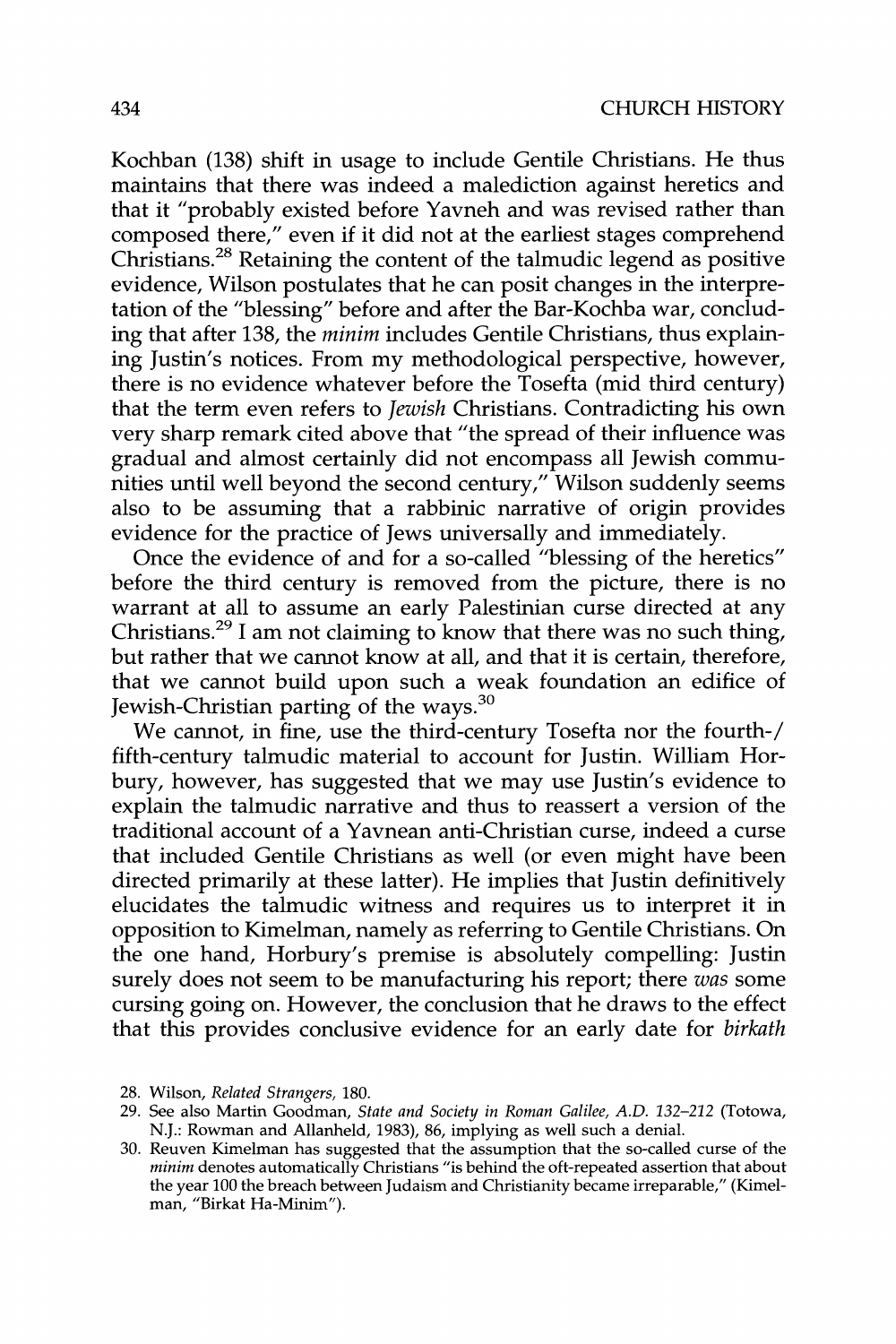**Kochban (138) shift in usage to include Gentile Christians. He thus maintains that there was indeed a malediction against heretics and that it "probably existed before Yavneh and was revised rather than composed there," even if it did not at the earliest stages comprehend Christians.28 Retaining the content of the talmudic legend as positive evidence, Wilson postulates that he can posit changes in the interpretation of the "blessing" before and after the Bar-Kochba war, concluding that after 138, the minim includes Gentile Christians, thus explaining Justin's notices. From my methodological perspective, however, there is no evidence whatever before the Tosefta (mid third century) that the term even refers to Jewish Christians. Contradicting his own very sharp remark cited above that "the spread of their influence was gradual and almost certainly did not encompass all Jewish communities until well beyond the second century," Wilson suddenly seems also to be assuming that a rabbinic narrative of origin provides evidence for the practice of Jews universally and immediately.** 

**Once the evidence of and for a so-called "blessing of the heretics" before the third century is removed from the picture, there is no warrant at all to assume an early Palestinian curse directed at any Christians.29 I am not claiming to know that there was no such thing, but rather that we cannot know at all, and that it is certain, therefore, that we cannot build upon such a weak foundation an edifice of Jewish-Christian parting of the ways.30** 

**We cannot, in fine, use the third-century Tosefta nor the fourth-/ fifth-century talmudic material to account for Justin. William Horbury, however, has suggested that we may use Justin's evidence to explain the talmudic narrative and thus to reassert a version of the traditional account of a Yavnean anti-Christian curse, indeed a curse that included Gentile Christians as well (or even might have been directed primarily at these latter). He implies that Justin definitively elucidates the talmudic witness and requires us to interpret it in opposition to Kimelman, namely as referring to Gentile Christians. On the one hand, Horbury's premise is absolutely compelling: Justin surely does not seem to be manufacturing his report; there was some cursing going on. However, the conclusion that he draws to the effect that this provides conclusive evidence for an early date for birkath** 

**<sup>28.</sup> Wilson, Related Strangers, 180.** 

**<sup>29.</sup> See also Martin Goodman, State and Society in Roman Galilee, A.D. 132-212 (Totowa, N.J.: Rowman and Allanheld, 1983), 86, implying as well such a denial.** 

**<sup>30.</sup> Reuven Kimelman has suggested that the assumption that the so-called curse of the minim denotes automatically Christians "is behind the oft-repeated assertion that about the year 100 the breach between Judaism and Christianity became irreparable," (Kimelman, "Birkat Ha-Minim").**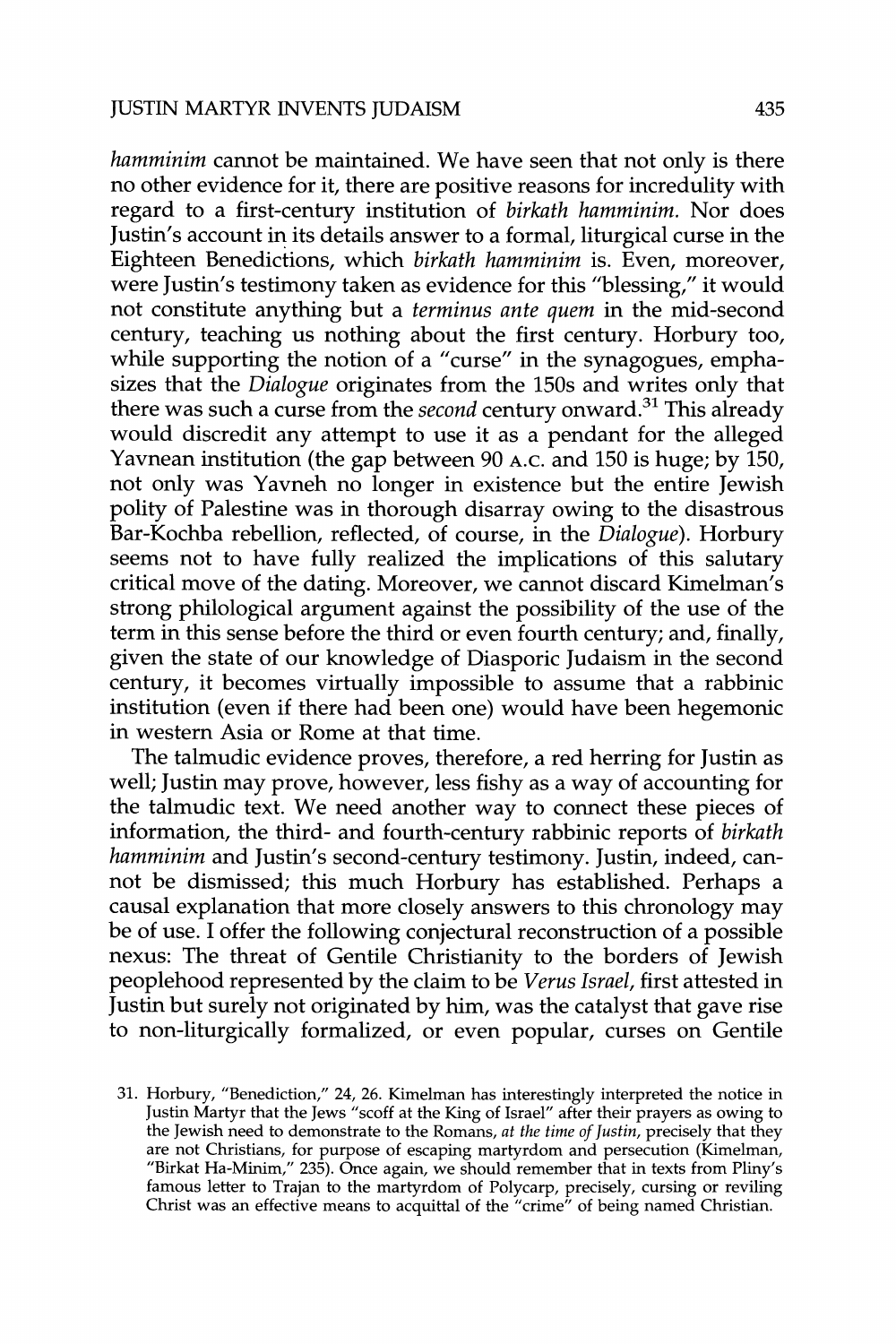**hamminim cannot be maintained. We have seen that not only is there no other evidence for it, there are positive reasons for incredulity with regard to a first-century institution of birkath hamminim. Nor does Justin's account in its details answer to a formal, liturgical curse in the Eighteen Benedictions, which birkath hamminim is. Even, moreover, were Justin's testimony taken as evidence for this "blessing," it would not constitute anything but a terminus ante quem in the mid-second century, teaching us nothing about the first century. Horbury too, while supporting the notion of a "curse" in the synagogues, emphasizes that the Dialogue originates from the 150s and writes only that there was such a curse from the second century onward.31 This already would discredit any attempt to use it as a pendant for the alleged Yavnean institution (the gap between 90 A.C. and 150 is huge; by 150, not only was Yavneh no longer in existence but the entire Jewish polity of Palestine was in thorough disarray owing to the disastrous Bar-Kochba rebellion, reflected, of course, in the Dialogue). Horbury seems not to have fully realized the implications of this salutary critical move of the dating. Moreover, we cannot discard Kimelman's strong philological argument against the possibility of the use of the term in this sense before the third or even fourth century; and, finally, given the state of our knowledge of Diasporic Judaism in the second century, it becomes virtually impossible to assume that a rabbinic institution (even if there had been one) would have been hegemonic in western Asia or Rome at that time.** 

**The talmudic evidence proves, therefore, a red herring for Justin as well; Justin may prove, however, less fishy as a way of accounting for the talmudic text. We need another way to connect these pieces of information, the third- and fourth-century rabbinic reports of birkath hamminim and Justin's second-century testimony. Justin, indeed, cannot be dismissed; this much Horbury has established. Perhaps a causal explanation that more closely answers to this chronology may be of use. I offer the following conjectural reconstruction of a possible nexus: The threat of Gentile Christianity to the borders of Jewish peoplehood represented by the claim to be Verus Israel, first attested in Justin but surely not originated by him, was the catalyst that gave rise to non-liturgically formalized, or even popular, curses on Gentile** 

**<sup>31.</sup> Horbury, "Benediction," 24, 26. Kimelman has interestingly interpreted the notice in Justin Martyr that the Jews "scoff at the King of Israel" after their prayers as owing to the Jewish need to demonstrate to the Romans, at the time of Justin, precisely that they are not Christians, for purpose of escaping martyrdom and persecution (Kimelman, "Birkat Ha-Minim," 235). Once again, we should remember that in texts from Pliny's famous letter to Trajan to the martyrdom of Polycarp, precisely, cursing or reviling Christ was an effective means to acquittal of the "crime" of being named Christian.**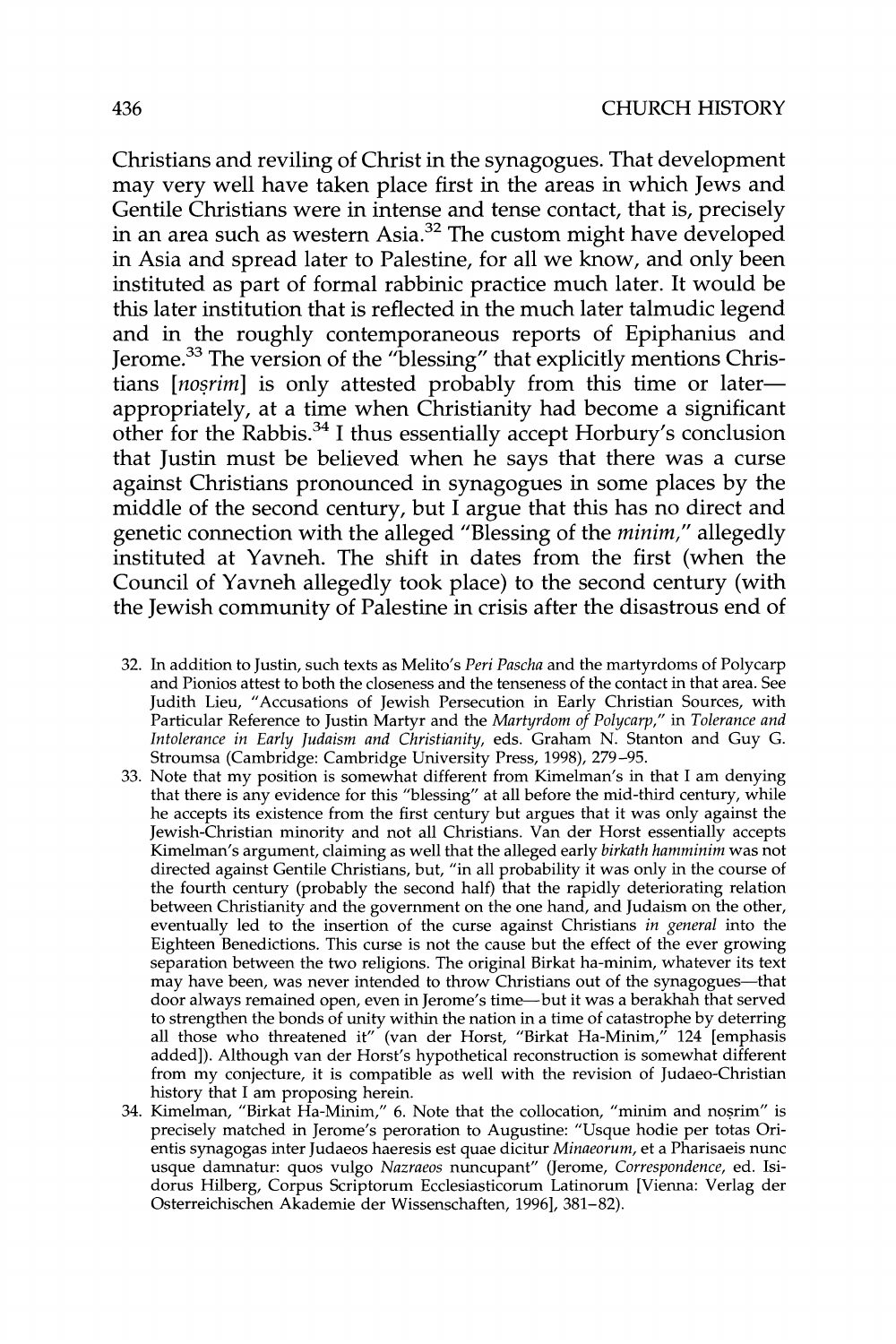**Christians and reviling of Christ in the synagogues. That development may very well have taken place first in the areas in which Jews and Gentile Christians were in intense and tense contact, that is, precisely in an area such as western Asia.32 The custom might have developed in Asia and spread later to Palestine, for all we know, and only been instituted as part of formal rabbinic practice much later. It would be this later institution that is reflected in the much later talmudic legend and in the roughly contemporaneous reports of Epiphanius and Jerome.33 The version of the "blessing" that explicitly mentions Christians [nosrim] is only attested probably from this time or laterappropriately, at a time when Christianity had become a significant other for the Rabbis.34 I thus essentially accept Horbury's conclusion that Justin must be believed when he says that there was a curse against Christians pronounced in synagogues in some places by the middle of the second century, but I argue that this has no direct and genetic connection with the alleged "Blessing of the minim," allegedly instituted at Yavneh. The shift in dates from the first (when the Council of Yavneh allegedly took place) to the second century (with the Jewish community of Palestine in crisis after the disastrous end of** 

- **32. In addition to Justin, such texts as Melito's Peri Pascha and the martyrdoms of Polycarp and Pionios attest to both the closeness and the tenseness of the contact in that area. See Judith Lieu, "Accusations of Jewish Persecution in Early Christian Sources, with Particular Reference to Justin Martyr and the Martyrdom of Polycarp," in Tolerance and Intolerance in Early Judaism and Christianity, eds. Graham N. Stanton and Guy G. Stroumsa (Cambridge: Cambridge University Press, 1998), 279-95.**
- **33. Note that my position is somewhat different from Kimelman's in that I am denying that there is any evidence for this "blessing" at all before the mid-third century, while he accepts its existence from the first century but argues that it was only against the Jewish-Christian minority and not all Christians. Van der Horst essentially accepts Kimelman's argument, claiming as well that the alleged early birkath hamminim was not directed against Gentile Christians, but, "in all probability it was only in the course of the fourth century (probably the second half) that the rapidly deteriorating relation between Christianity and the government on the one hand, and Judaism on the other, eventually led to the insertion of the curse against Christians in general into the Eighteen Benedictions. This curse is not the cause but the effect of the ever growing separation between the two religions. The original Birkat ha-minim, whatever its text may have been, was never intended to throw Christians out of the synagogues-that door always remained open, even in Jerome's time-but it was a berakhah that served to strengthen the bonds of unity within the nation in a time of catastrophe by deterring all those who threatened it" (van der Horst, "Birkat Ha-Minim," 124 [emphasis added]). Although van der Horst's hypothetical reconstruction is somewhat different from my conjecture, it is compatible as well with the revision of Judaeo-Christian history that I am proposing herein.**
- **34. Kimelman, "Birkat Ha-Minim," 6. Note that the collocation, "minim and nosrim" is precisely matched in Jerome's peroration to Augustine: "Usque hodie per totas Orientis synagogas inter Judaeos haeresis est quae dicitur Minaeorum, et a Pharisaeis nunc usque damnatur: quos vulgo Nazraeos nuncupant" (Jerome, Correspondence, ed. Isidorus Hilberg, Corpus Scriptorum Ecclesiasticorum Latinorum [Vienna: Verlag der Osterreichischen Akademie der Wissenschaften, 1996], 381-82).**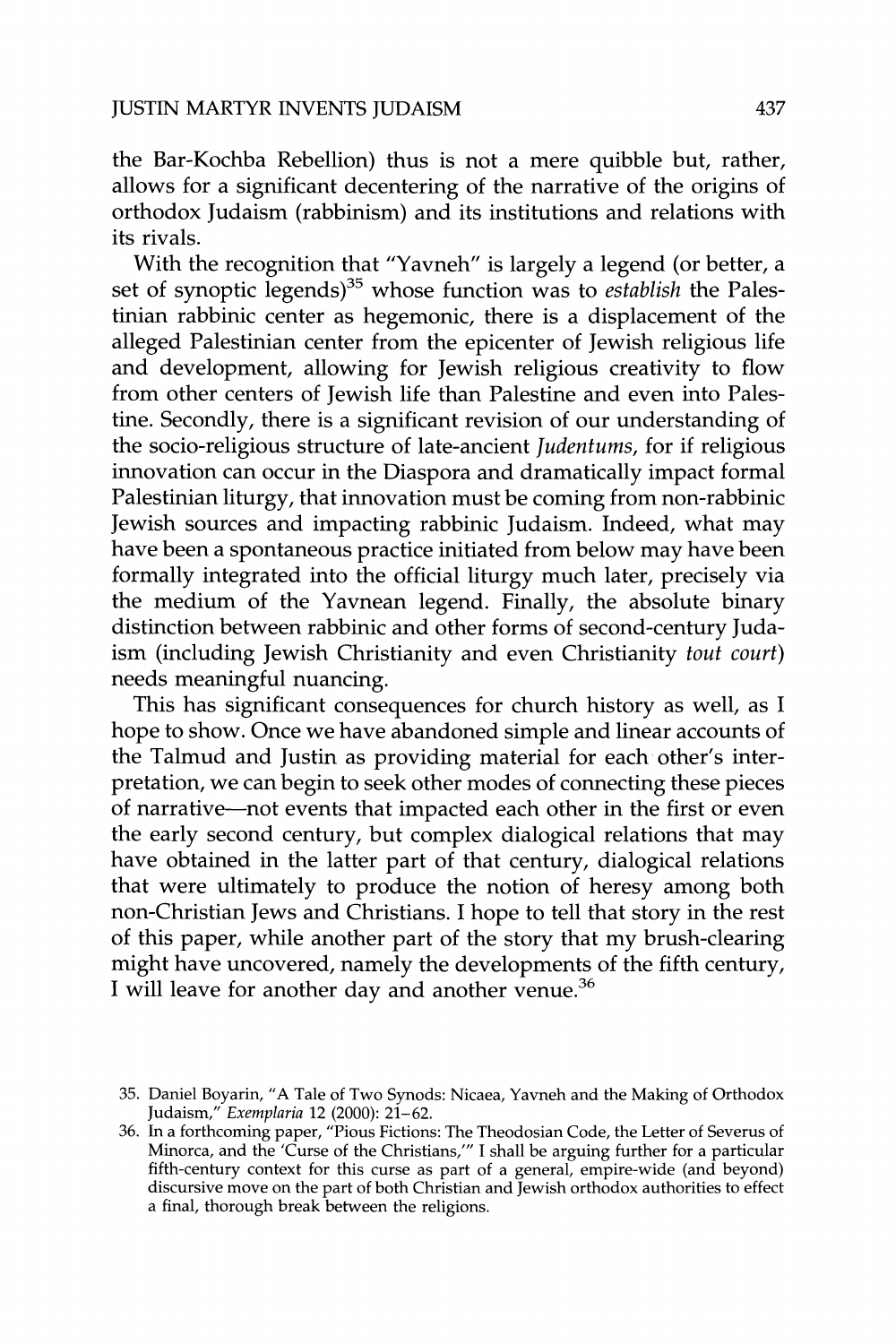**the Bar-Kochba Rebellion) thus is not a mere quibble but, rather, allows for a significant decentering of the narrative of the origins of orthodox Judaism (rabbinism) and its institutions and relations with its rivals.** 

**With the recognition that "Yavneh" is largely a legend (or better, a**  set of synoptic legends)<sup>35</sup> whose function was to *establish* the Pales**tinian rabbinic center as hegemonic, there is a displacement of the alleged Palestinian center from the epicenter of Jewish religious life and development, allowing for Jewish religious creativity to flow from other centers of Jewish life than Palestine and even into Palestine. Secondly, there is a significant revision of our understanding of the socio-religious structure of late-ancient Judentums, for if religious innovation can occur in the Diaspora and dramatically impact formal Palestinian liturgy, that innovation must be coming from non-rabbinic Jewish sources and impacting rabbinic Judaism. Indeed, what may have been a spontaneous practice initiated from below may have been formally integrated into the official liturgy much later, precisely via the medium of the Yavnean legend. Finally, the absolute binary distinction between rabbinic and other forms of second-century Judaism (including Jewish Christianity and even Christianity tout court) needs meaningful nuancing.** 

**This has significant consequences for church history as well, as I hope to show. Once we have abandoned simple and linear accounts of the Talmud and Justin as providing material for each other's interpretation, we can begin to seek other modes of connecting these pieces of narrative-not events that impacted each other in the first or even the early second century, but complex dialogical relations that may have obtained in the latter part of that century, dialogical relations that were ultimately to produce the notion of heresy among both non-Christian Jews and Christians. I hope to tell that story in the rest of this paper, while another part of the story that my brush-clearing might have uncovered, namely the developments of the fifth century, I will leave for another day and another venue.36** 

**<sup>35.</sup> Daniel Boyarin, "A Tale of Two Synods: Nicaea, Yavneh and the Making of Orthodox Judaism," Exemplaria 12 (2000): 21-62.** 

**<sup>36.</sup> In a forthcoming paper, "Pious Fictions: The Theodosian Code, the Letter of Severus of Minorca, and the 'Curse of the Christians,"' I shall be arguing further for a particular fifth-century context for this curse as part of a general, empire-wide (and beyond) discursive move on the part of both Christian and Jewish orthodox authorities to effect a final, thorough break between the religions.**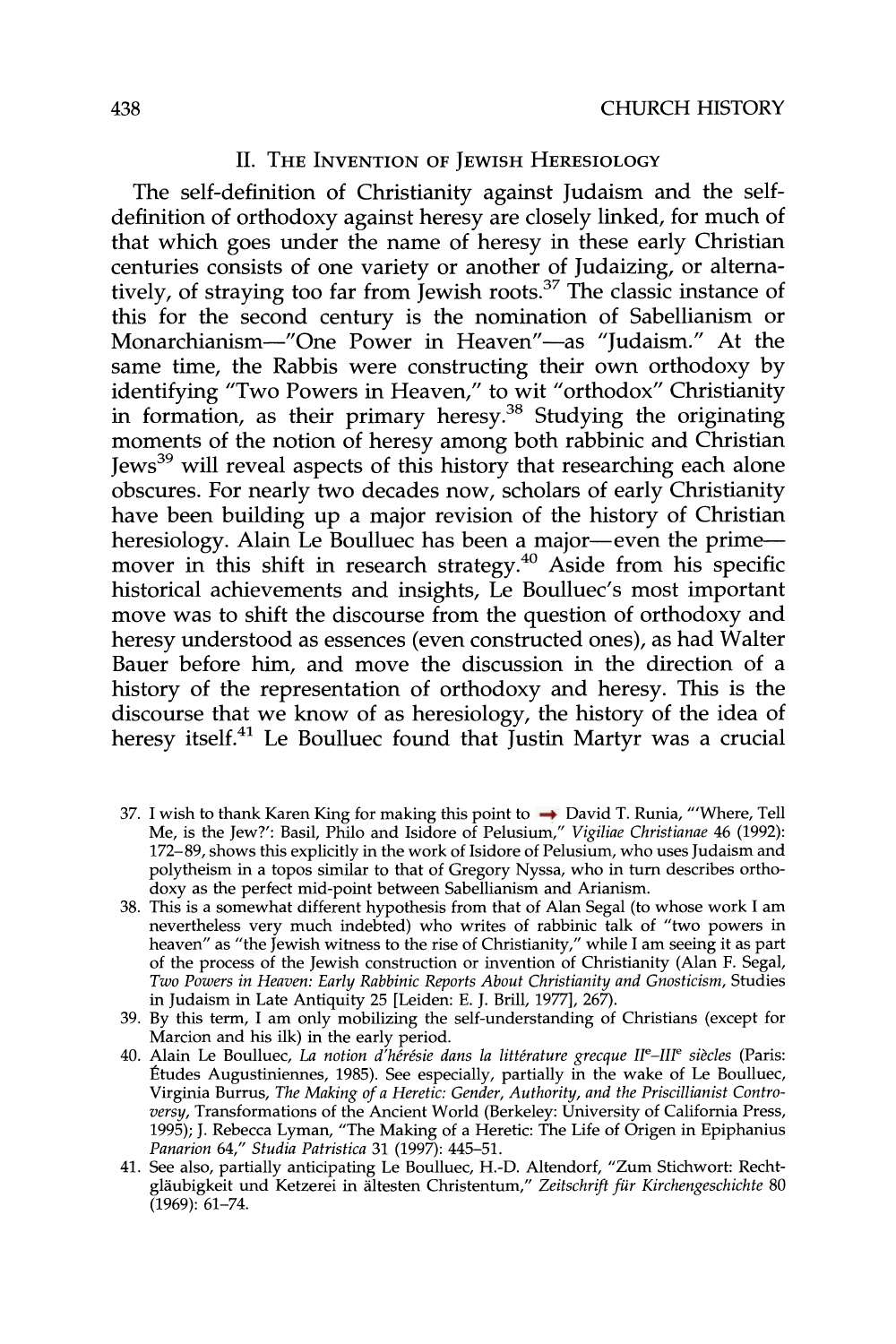#### **II. THE INVENTION OF JEWISH HERESIOLOGY**

**The self-definition of Christianity against Judaism and the selfdefinition of orthodoxy against heresy are closely linked, for much of that which goes under the name of heresy in these early Christian centuries consists of one variety or another of Judaizing, or alternatively, of straying too far from Jewish roots.37 The classic instance of this for the second century is the nomination of Sabellianism or Monarchianism-"One Power in Heaven"-as "Judaism." At the same time, the Rabbis were constructing their own orthodoxy by identifying "Two Powers in Heaven," to wit "orthodox" Christianity in formation, as their primary heresy.38 Studying the originating moments of the notion of heresy among both rabbinic and Christian Jews39 will reveal aspects of this history that researching each alone obscures. For nearly two decades now, scholars of early Christianity have been building up a major revision of the history of Christian**  heresiology. Alain Le Boulluec has been a major—even the prime **mover in this shift in research strategy.40 Aside from his specific historical achievements and insights, Le Boulluec's most important move was to shift the discourse from the question of orthodoxy and heresy understood as essences (even constructed ones), as had Walter Bauer before him, and move the discussion in the direction of a history of the representation of orthodoxy and heresy. This is the discourse that we know of as heresiology, the history of the idea of heresy itself.41 Le Boulluec found that Justin Martyr was a crucial** 

- 37. I wish to thank Karen King for making this point to  $\rightarrow$  David T. Runia, "'Where, Tell **Me, is the Jew?': Basil, Philo and Isidore of Pelusium," Vigiliae Christianae 46 (1992): 172-89, shows this explicitly in the work of Isidore of Pelusium, who uses Judaism and polytheism in a topos similar to that of Gregory Nyssa, who in turn describes orthodoxy as the perfect mid-point between Sabellianism and Arianism.**
- **38. This is a somewhat different hypothesis from that of Alan Segal (to whose work I am nevertheless very much indebted) who writes of rabbinic talk of "two powers in heaven" as "the Jewish witness to the rise of Christianity," while I am seeing it as part of the process of the Jewish construction or invention of Christianity (Alan F. Segal, Two Powers in Heaven: Early Rabbinic Reports About Christianity and Gnosticism, Studies in Judaism in Late Antiquity 25 [Leiden: E. J. Brill, 1977], 267).**
- **39. By this term, I am only mobilizing the self-understanding of Christians (except for Marcion and his ilk) in the early period.**
- 40. Alain Le Boulluec, La notion d'hérésie dans la littérature grecque II<sup>e</sup>-III<sup>e</sup> siècles (Paris: **etudes Augustiniennes, 1985). See especially, partially in the wake of Le Boulluec, Virginia Burrus, The Making of a Heretic: Gender, Authority, and the Priscillianist Controversy, Transformations of the Ancient World (Berkeley: University of California Press, 1995); J. Rebecca Lyman, "The Making of a Heretic: The Life of Origen in Epiphanius Panarion 64," Studia Patristica 31 (1997): 445-51.**
- **41. See also, partially anticipating Le Boulluec, H.-D. Altendorf, "Zum Stichwort: Rechtglaubigkeit und Ketzerei in altesten Christentum," Zeitschrift fir Kirchengeschichte 80 (1969): 61-74.**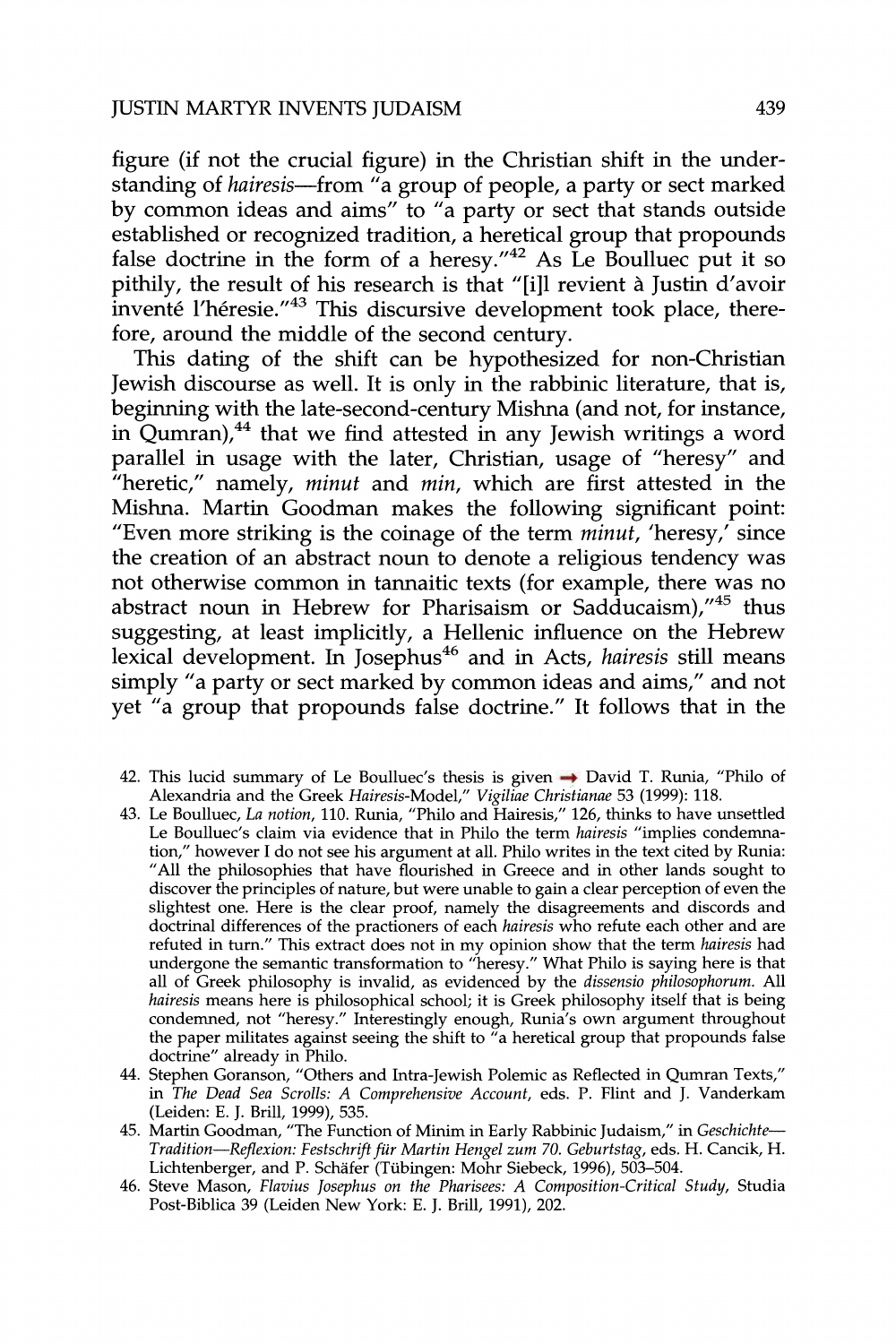**figure (if not the crucial figure) in the Christian shift in the understanding of hairesis-from "a group of people, a party or sect marked**  by common ideas and aims<sup>"</sup> to "a party or sect that stands outside **established or recognized tradition, a heretical group that propounds false doctrine in the form of a heresy."42 As Le Boulluec put it so pithily, the result of his research is that "[i]l revient a Justin d'avoir invente l'heresie."43 This discursive development took place, therefore, around the middle of the second century.** 

**This dating of the shift can be hypothesized for non-Christian Jewish discourse as well. It is only in the rabbinic literature, that is, beginning with the late-second-century Mishna (and not, for instance, in Qumran),44 that we find attested in any Jewish writings a word parallel in usage with the later, Christian, usage of "heresy" and "heretic," namely, minut and min, which are first attested in the Mishna. Martin Goodman makes the following significant point: "Even more striking is the coinage of the term minut, 'heresy,' since the creation of an abstract noun to denote a religious tendency was not otherwise common in tannaitic texts (for example, there was no abstract noun in Hebrew for Pharisaism or Sadducaism),"45 thus suggesting, at least implicitly, a Hellenic influence on the Hebrew**  lexical development. In Josephus<sup>46</sup> and in Acts, hairesis still means **simply "a party or sect marked by common ideas and aims," and not yet "a group that propounds false doctrine." It follows that in the** 

- 42. This lucid summary of Le Boulluec's thesis is given  $\rightarrow$  David T. Runia, "Philo of **Alexandria and the Greek Hairesis-Model," Vigiliae Christianae 53 (1999): 118.**
- **43. Le Boulluec, La notion, 110. Runia, "Philo and Hairesis," 126, thinks to have unsettled**  Le Boulluec's claim via evidence that in Philo the term *hairesis* "implies condemna**tion," however I do not see his argument at all. Philo writes in the text cited by Runia: "All the philosophies that have flourished in Greece and in other lands sought to discover the principles of nature, but were unable to gain a clear perception of even the slightest one. Here is the clear proof, namely the disagreements and discords and doctrinal differences of the practioners of each hairesis who refute each other and are refuted in turn." This extract does not in my opinion show that the term hairesis had undergone the semantic transformation to "heresy." What Philo is saying here is that all of Greek philosophy is invalid, as evidenced by the dissensio philosophorum. All hairesis means here is philosophical school; it is Greek philosophy itself that is being condemned, not "heresy." Interestingly enough, Runia's own argument throughout the paper militates against seeing the shift to "a heretical group that propounds false doctrine" already in Philo.**
- **44. Stephen Goranson, "Others and Intra-Jewish Polemic as Reflected in Qumran Texts," in The Dead Sea Scrolls: A Comprehensive Account, eds. P. Flint and J. Vanderkam (Leiden: E. J. Brill, 1999), 535.**
- **45. Martin Goodman, "The Function of Minim in Early Rabbinic Judaism," in Geschichte-**Tradition-Reflexion: Festschrift für Martin Hengel zum 70. Geburtstag, eds. H. Cancik, H. **Lichtenberger, and P. Schafer (Tiibingen: Mohr Siebeck, 1996), 503-504.**
- **46. Steve Mason, Flavius Josephus on the Pharisees: A Composition-Critical Study, Studia Post-Biblica 39 (Leiden New York: E. J. Brill, 1991), 202.**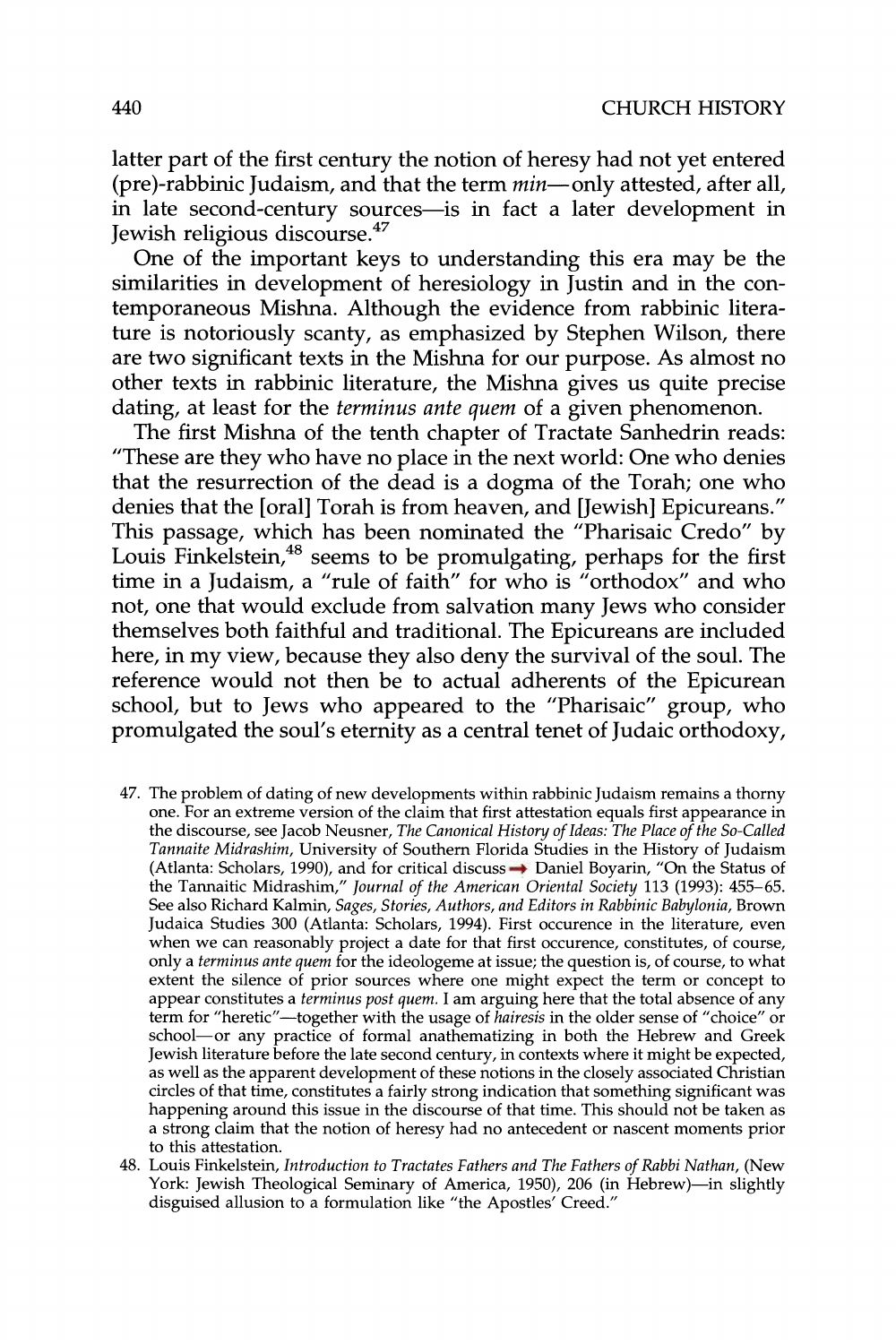**latter part of the first century the notion of heresy had not yet entered (pre)-rabbinic Judaism, and that the term min- only attested, after all,**  in late second-century sources-is in fact a later development in **Jewish religious discourse.47** 

**One of the important keys to understanding this era may be the**  similarities in development of heresiology in Justin and in the con**temporaneous Mishna. Although the evidence from rabbinic literature is notoriously scanty, as emphasized by Stephen Wilson, there are two significant texts in the Mishna for our purpose. As almost no other texts in rabbinic literature, the Mishna gives us quite precise dating, at least for the terminus ante quem of a given phenomenon.** 

**The first Mishna of the tenth chapter of Tractate Sanhedrin reads: "These are they who have no place in the next world: One who denies that the resurrection of the dead is a dogma of the Torah; one who denies that the [oral] Torah is from heaven, and [Jewish] Epicureans." This passage, which has been nominated the "Pharisaic Credo" by**  Louis Finkelstein,<sup>48</sup> seems to be promulgating, perhaps for the first **time in a Judaism, a "rule of faith" for who is "orthodox" and who not, one that would exclude from salvation many Jews who consider themselves both faithful and traditional. The Epicureans are included here, in my view, because they also deny the survival of the soul. The reference would not then be to actual adherents of the Epicurean school, but to Jews who appeared to the "Pharisaic" group, who promulgated the soul's eternity as a central tenet of Judaic orthodoxy,** 

- **47. The problem of dating of new developments within rabbinic Judaism remains a thorny one. For an extreme version of the claim that first attestation equals first appearance in the discourse, see Jacob Neusner, The Canonical History of Ideas: The Place of the So-Called Tannaite Midrashim, University of Southern Florida Studies in the History of Judaism**  (Atlanta: Scholars, 1990), and for critical discuss  $\rightarrow$  Daniel Boyarin, "On the Status of **the Tannaitic Midrashim," Journal of the American Oriental Society 113 (1993): 455-65. See also Richard Kalmin, Sages, Stories, Authors, and Editors in Rabbinic Babylonia, Brown Judaica Studies 300 (Atlanta: Scholars, 1994). First occurence in the literature, even when we can reasonably project a date for that first occurence, constitutes, of course, only a terminus ante quem for the ideologeme at issue; the question is, of course, to what extent the silence of prior sources where one might expect the term or concept to appear constitutes a terminus post quem. I am arguing here that the total absence of any term for "heretic"-together with the usage of hairesis in the older sense of "choice" or school-or any practice of formal anathematizing in both the Hebrew and Greek Jewish literature before the late second century, in contexts where it might be expected, as well as the apparent development of these notions in the closely associated Christian circles of that time, constitutes a fairly strong indication that something significant was happening around this issue in the discourse of that time. This should not be taken as a strong claim that the notion of heresy had no antecedent or nascent moments prior to this attestation.**
- **48. Louis Finkelstein, Introduction to Tractates Fathers and The Fathers of Rabbi Nathan, (New York: Jewish Theological Seminary of America, 1950), 206 (in Hebrew)-in slightly disguised allusion to a formulation like "the Apostles' Creed."**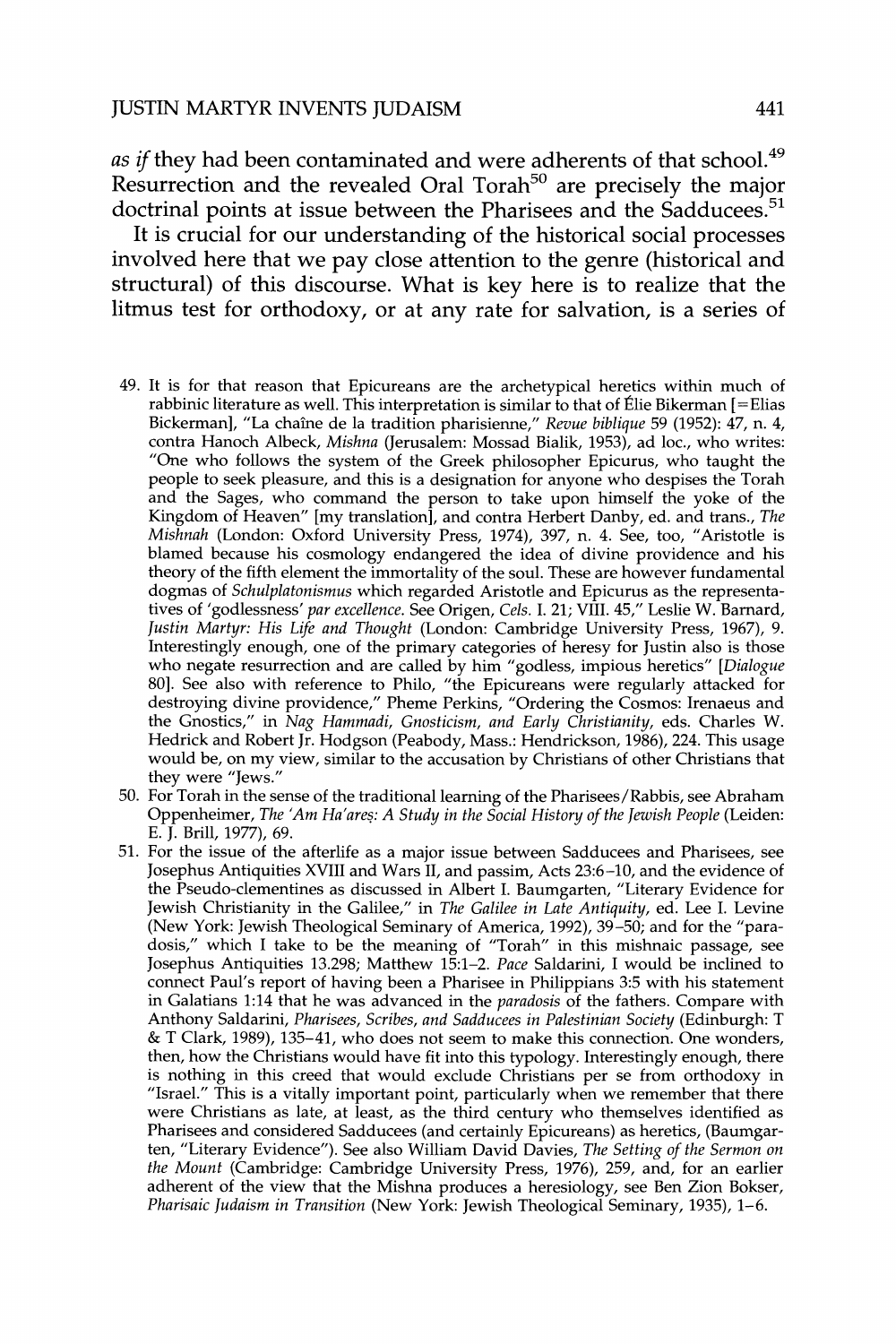**as if they had been contaminated and were adherents of that school.49 Resurrection and the revealed Oral Torah50 are precisely the major doctrinal points at issue between the Pharisees and the Sadducees.51** 

**It is crucial for our understanding of the historical social processes involved here that we pay close attention to the genre (historical and structural) of this discourse. What is key here is to realize that the litmus test for orthodoxy, or at any rate for salvation, is a series of** 

- **49. It is for that reason that Epicureans are the archetypical heretics within much of**  rabbinic literature as well. This interpretation is similar to that of Élie Bikerman [=Elias **Bickerman], "La chaine de la tradition pharisienne," Revue biblique 59 (1952): 47, n. 4, contra Hanoch Albeck, Mishna (Jerusalem: Mossad Bialik, 1953), ad loc., who writes: "One who follows the system of the Greek philosopher Epicurus, who taught the people to seek pleasure, and this is a designation for anyone who despises the Torah and the Sages, who command the person to take upon himself the yoke of the Kingdom of Heaven" [my translation], and contra Herbert Danby, ed. and trans., The Mishnah (London: Oxford University Press, 1974), 397, n. 4. See, too, "Aristotle is blamed because his cosmology endangered the idea of divine providence and his theory of the fifth element the immortality of the soul. These are however fundamental dogmas of Schulplatonismus which regarded Aristotle and Epicurus as the representatives of 'godlessness' par excellence. See Origen, Cels. I. 21; VIII. 45," Leslie W. Barnard, Justin Martyr: His Life and Thought (London: Cambridge University Press, 1967), 9. Interestingly enough, one of the primary categories of heresy for Justin also is those who negate resurrection and are called by him "godless, impious heretics" [Dialogue 80]. See also with reference to Philo, "the Epicureans were regularly attacked for destroying divine providence," Pheme Perkins, "Ordering the Cosmos: Irenaeus and the Gnostics," in Nag Hammadi, Gnosticism, and Early Christianity, eds. Charles W. Hedrick and Robert Jr. Hodgson (Peabody, Mass.: Hendrickson, 1986), 224. This usage would be, on my view, similar to the accusation by Christians of other Christians that they were "Jews."**
- **50. For Torah in the sense of the traditional learning of the Pharisees/Rabbis, see Abraham Oppenheimer, The 'Am Ha'ares: A Study in the Social History of the Jewish People (Leiden: E. J. Brill, 1977), 69.**
- **51. For the issue of the afterlife as a major issue between Sadducees and Pharisees, see Josephus Antiquities XVIII and Wars II, and passim, Acts 23:6-10, and the evidence of the Pseudo-clementines as discussed in Albert I. Baumgarten, "Literary Evidence for Jewish Christianity in the Galilee," in The Galilee in Late Antiquity, ed. Lee I. Levine (New York: Jewish Theological Seminary of America, 1992), 39-50; and for the "paradosis," which I take to be the meaning of "Torah" in this mishnaic passage, see Josephus Antiquities 13.298; Matthew 15:1-2. Pace Saldarini, I would be inclined to connect Paul's report of having been a Pharisee in Philippians 3:5 with his statement in Galatians 1:14 that he was advanced in the paradosis of the fathers. Compare with Anthony Saldarini, Pharisees, Scribes, and Sadducees in Palestinian Society (Edinburgh: T & T Clark, 1989), 135-41, who does not seem to make this connection. One wonders, then, how the Christians would have fit into this typology. Interestingly enough, there is nothing in this creed that would exclude Christians per se from orthodoxy in "Israel." This is a vitally important point, particularly when we remember that there were Christians as late, at least, as the third century who themselves identified as Pharisees and considered Sadducees (and certainly Epicureans) as heretics, (Baumgarten, "Literary Evidence"). See also William David Davies, The Setting of the Sermon on the Mount (Cambridge: Cambridge University Press, 1976), 259, and, for an earlier adherent of the view that the Mishna produces a heresiology, see Ben Zion Bokser, Pharisaic Judaism in Transition (New York: Jewish Theological Seminary, 1935), 1-6.**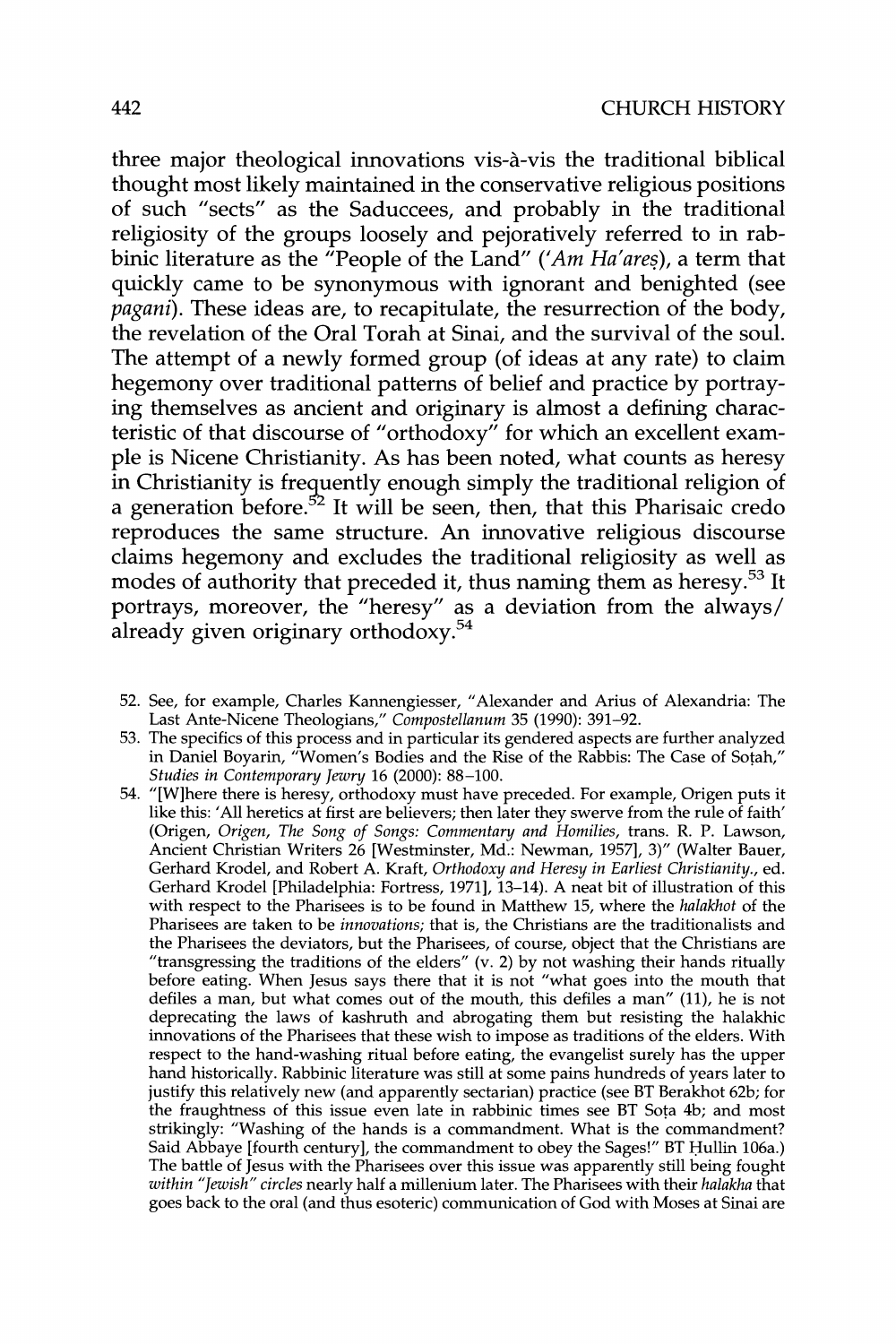**three major theological innovations vis-a-vis the traditional biblical thought most likely maintained in the conservative religious positions of such "sects" as the Saduccees, and probably in the traditional religiosity of the groups loosely and pejoratively referred to in rabbinic literature as the "People of the Land" ('Am Ha'ares), a term that quickly came to be synonymous with ignorant and benighted (see pagani). These ideas are, to recapitulate, the resurrection of the body, the revelation of the Oral Torah at Sinai, and the survival of the soul. The attempt of a newly formed group (of ideas at any rate) to claim hegemony over traditional patterns of belief and practice by portraying themselves as ancient and originary is almost a defining characteristic of that discourse of "orthodoxy" for which an excellent example is Nicene Christianity. As has been noted, what counts as heresy in Christianity is frequently enough simply the traditional religion of a generation before. It will be seen, then, that this Pharisaic credo reproduces the same structure. An innovative religious discourse claims hegemony and excludes the traditional religiosity as well as modes of authority that preceded it, thus naming them as heresy.53 It portrays, moreover, the "heresy" as a deviation from the always/ already given originary orthodoxy.54** 

- **52. See, for example, Charles Kannengiesser, "Alexander and Arius of Alexandria: The Last Ante-Nicene Theologians," Compostellanum 35 (1990): 391-92.**
- **53. The specifics of this process and in particular its gendered aspects are further analyzed in Daniel Boyarin, "Women's Bodies and the Rise of the Rabbis: The Case of Sotah," Studies in Contemporary Jewry 16 (2000): 88-100.**
- **54. "[W]here there is heresy, orthodoxy must have preceded. For example, Origen puts it like this: 'All heretics at first are believers; then later they swerve from the rule of faith' (Origen, Origen, The Song of Songs: Commentary and Homilies, trans. R. P. Lawson, Ancient Christian Writers 26 [Westminster, Md.: Newman, 1957], 3)" (Walter Bauer, Gerhard Krodel, and Robert A. Kraft, Orthodoxy and Heresy in Earliest Christianity., ed. Gerhard Krodel [Philadelphia: Fortress, 1971], 13-14). A neat bit of illustration of this with respect to the Pharisees is to be found in Matthew 15, where the halakhot of the Pharisees are taken to be innovations; that is, the Christians are the traditionalists and the Pharisees the deviators, but the Pharisees, of course, object that the Christians are "transgressing the traditions of the elders" (v. 2) by not washing their hands ritually before eating. When Jesus says there that it is not "what goes into the mouth that defiles a man, but what comes out of the mouth, this defiles a man" (11), he is not deprecating the laws of kashruth and abrogating them but resisting the halakhic innovations of the Pharisees that these wish to impose as traditions of the elders. With respect to the hand-washing ritual before eating, the evangelist surely has the upper hand historically. Rabbinic literature was still at some pains hundreds of years later to justify this relatively new (and apparently sectarian) practice (see BT Berakhot 62b; for the fraughtness of this issue even late in rabbinic times see BT Sota 4b; and most strikingly: "Washing of the hands is a commandment. What is the commandment? Said Abbaye [fourth century], the commandment to obey the Sages!" BT Hullin 106a.) The battle of Jesus with the Pharisees over this issue was apparently still being fought within "Jewish" circles nearly half a millenium later. The Pharisees with their halakha that goes back to the oral (and thus esoteric) communication of God with Moses at Sinai are**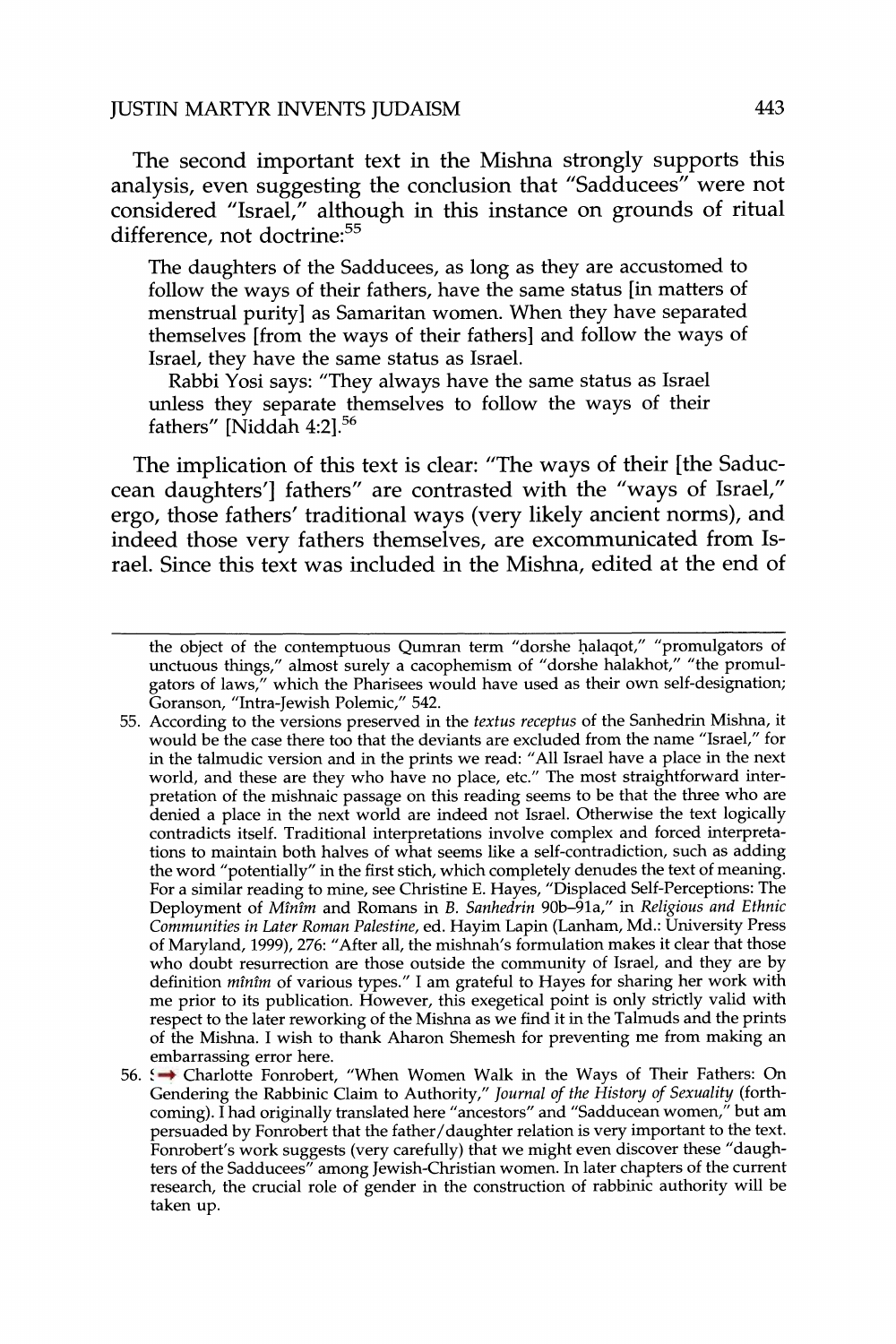#### **JUSTIN MARTYR INVENTS JUDAISM**

**The second important text in the Mishna strongly supports this analysis, even suggesting the conclusion that "Sadducees" were not considered "Israel," although in this instance on grounds of ritual difference, not doctrine:55** 

**The daughters of the Sadducees, as long as they are accustomed to follow the ways of their fathers, have the same status [in matters of menstrual purity] as Samaritan women. When they have separated themselves [from the ways of their fathers] and follow the ways of Israel, they have the same status as Israel.** 

**Rabbi Yosi says: "They always have the same status as Israel unless they separate themselves to follow the ways of their fathers" [Niddah 4:2].56** 

**The implication of this text is clear: "The ways of their [the Saduccean daughters'] fathers" are contrasted with the "ways of Israel," ergo, those fathers' traditional ways (very likely ancient norms), and indeed those very fathers themselves, are excommunicated from Israel. Since this text was included in the Mishna, edited at the end of** 

**the object of the contemptuous Qumran term "dorshe halaqot," "promulgators of unctuous things," almost surely a cacophemism of "dorshe halakhot," "the promulgators of laws," which the Pharisees would have used as their own self-designation; Goranson, "Intra-Jewish Polemic," 542.** 

**<sup>55.</sup> According to the versions preserved in the textus receptus of the Sanhedrin Mishna, it would be the case there too that the deviants are excluded from the name "Israel," for in the talmudic version and in the prints we read: "All Israel have a place in the next world, and these are they who have no place, etc." The most straightforward interpretation of the mishnaic passage on this reading seems to be that the three who are denied a place in the next world are indeed not Israel. Otherwise the text logically contradicts itself. Traditional interpretations involve complex and forced interpretations to maintain both halves of what seems like a self-contradiction, such as adding the word "potentially" in the first stich, which completely denudes the text of meaning. For a similar reading to mine, see Christine E. Hayes, "Displaced Self-Perceptions: The Deployment of Minim and Romans in B. Sanhedrin 90b-91a," in Religious and Ethnic Communities in Later Roman Palestine, ed. Hayim Lapin (Lanham, Md.: University Press of Maryland, 1999), 276: "After all, the mishnah's formulation makes it clear that those who doubt resurrection are those outside the community of Israel, and they are by**  definition mînîm of various types." I am grateful to Hayes for sharing her work with **me prior to its publication. However, this exegetical point is only strictly valid with respect to the later reworking of the Mishna as we find it in the Talmuds and the prints of the Mishna. I wish to thank Aharon Shemesh for preventing me from making an embarrassing error here.** 

<sup>56.</sup> See Charlotte Fonrobert, "When Women Walk in the Ways of Their Fathers: On **Gendering the Rabbinic Claim to Authority," Journal of the History of Sexuality (forthcoming). I had originally translated here "ancestors" and "Sadducean women," but am persuaded by Fonrobert that the father/daughter relation is very important to the text. Fonrobert's work suggests (very carefully) that we might even discover these "daughters of the Sadducees" among Jewish-Christian women. In later chapters of the current research, the crucial role of gender in the construction of rabbinic authority will be taken up.**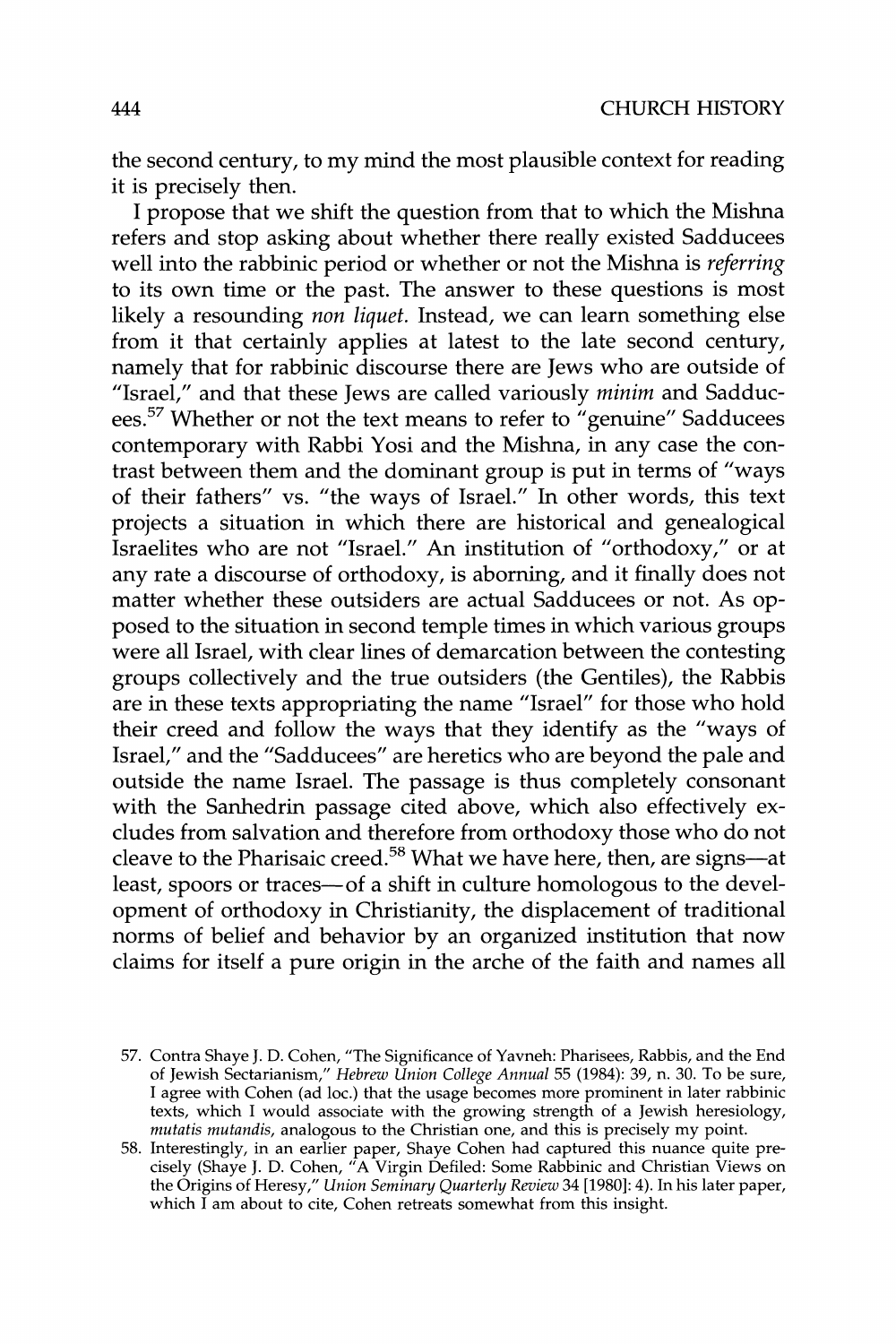**the second century, to my mind the most plausible context for reading it is precisely then.** 

**I propose that we shift the question from that to which the Mishna refers and stop asking about whether there really existed Sadducees well into the rabbinic period or whether or not the Mishna is referring to its own time or the past. The answer to these questions is most likely a resounding non liquet. Instead, we can learn something else from it that certainly applies at latest to the late second century, namely that for rabbinic discourse there are Jews who are outside of "Israel," and that these Jews are called variously minim and Sadducees.57 Whether or not the text means to refer to "genuine" Sadducees contemporary with Rabbi Yosi and the Mishna, in any case the contrast between them and the dominant group is put in terms of "ways of their fathers" vs. "the ways of Israel." In other words, this text projects a situation in which there are historical and genealogical Israelites who are not "Israel." An institution of "orthodoxy," or at any rate a discourse of orthodoxy, is aborning, and it finally does not matter whether these outsiders are actual Sadducees or not. As opposed to the situation in second temple times in which various groups were all Israel, with clear lines of demarcation between the contesting groups collectively and the true outsiders (the Gentiles), the Rabbis are in these texts appropriating the name "Israel" for those who hold their creed and follow the ways that they identify as the "ways of Israel," and the "Sadducees" are heretics who are beyond the pale and outside the name Israel. The passage is thus completely consonant with the Sanhedrin passage cited above, which also effectively excludes from salvation and therefore from orthodoxy those who do not cleave to the Pharisaic creed.58 What we have here, then, are signs-at least, spoors or traces-of a shift in culture homologous to the development of orthodoxy in Christianity, the displacement of traditional norms of belief and behavior by an organized institution that now claims for itself a pure origin in the arche of the faith and names all** 

**<sup>57.</sup> Contra Shaye J. D. Cohen, "The Significance of Yavneh: Pharisees, Rabbis, and the End of Jewish Sectarianism," Hebrew Union College Annual 55 (1984): 39, n. 30. To be sure, I agree with Cohen (ad loc.) that the usage becomes more prominent in later rabbinic texts, which I would associate with the growing strength of a Jewish heresiology, mutatis mutandis, analogous to the Christian one, and this is precisely my point.** 

**<sup>58.</sup> Interestingly, in an earlier paper, Shaye Cohen had captured this nuance quite precisely (Shaye J. D. Cohen, "A Virgin Defiled: Some Rabbinic and Christian Views on the Origins of Heresy," Union Seminary Quarterly Review 34 [1980]: 4). In his later paper, which I am about to cite, Cohen retreats somewhat from this insight.**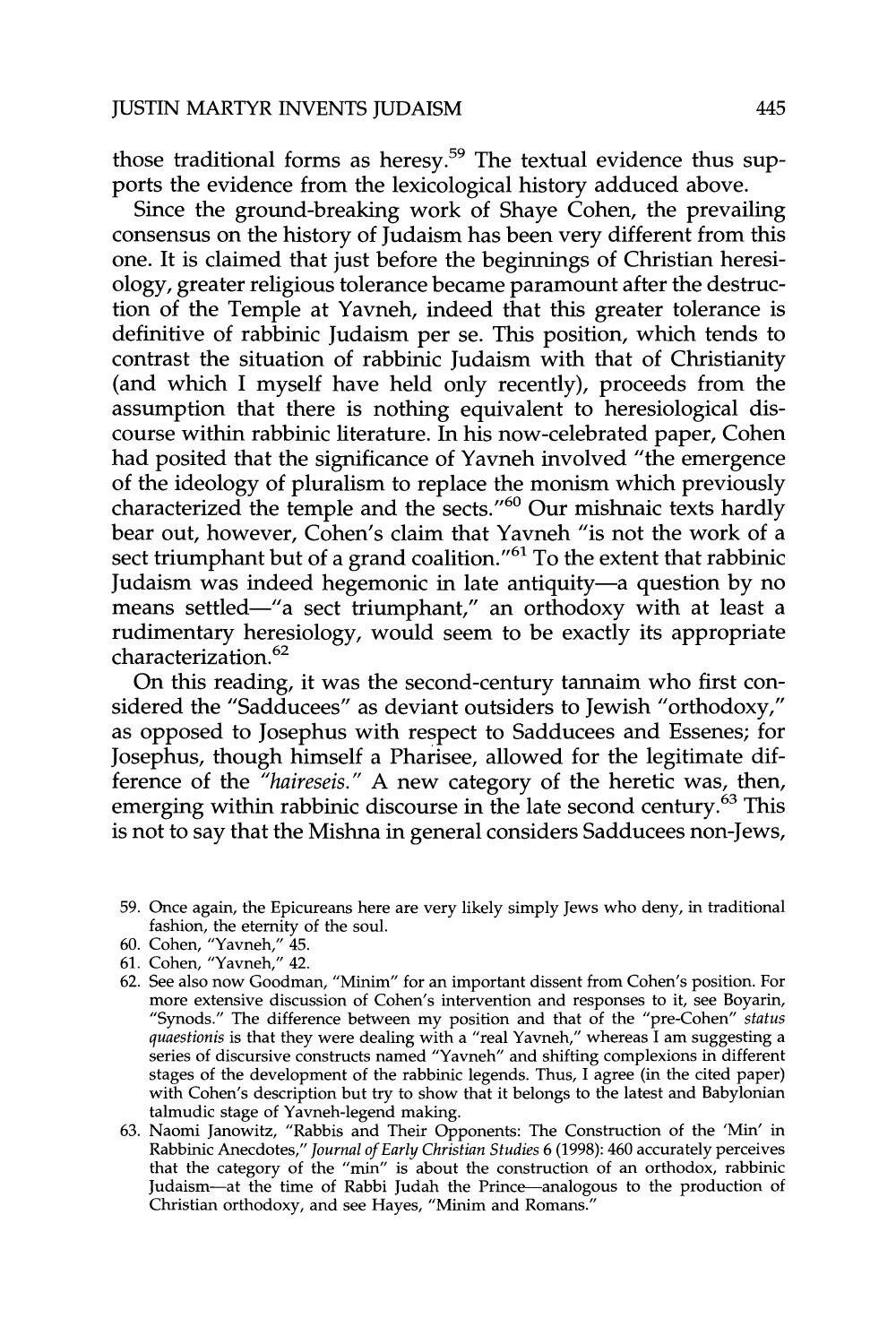**those traditional forms as heresy.59 The textual evidence thus supports the evidence from the lexicological history adduced above.** 

**Since the ground-breaking work of Shaye Cohen, the prevailing consensus on the history of Judaism has been very different from this one. It is claimed that just before the beginnings of Christian heresiology, greater religious tolerance became paramount after the destruction of the Temple at Yavneh, indeed that this greater tolerance is definitive of rabbinic Judaism per se. This position, which tends to contrast the situation of rabbinic Judaism with that of Christianity (and which I myself have held only recently), proceeds from the assumption that there is nothing equivalent to heresiological discourse within rabbinic literature. In his now-celebrated paper, Cohen had posited that the significance of Yavneh involved "the emergence of the ideology of pluralism to replace the monism which previously characterized the temple and the sects."60 Our mishnaic texts hardly bear out, however, Cohen's claim that Yavneh "is not the work of a sect triumphant but of a grand coalition."61 To the extent that rabbinic Judaism was indeed hegemonic in late antiquity-a question by no means settled-"a sect triumphant," an orthodoxy with at least a rudimentary heresiology, would seem to be exactly its appropriate characterization.62** 

**On this reading, it was the second-century tannaim who first considered the "Sadducees" as deviant outsiders to Jewish "orthodoxy," as opposed to Josephus with respect to Sadducees and Essenes; for Josephus, though himself a Pharisee, allowed for the legitimate difference of the "haireseis." A new category of the heretic was, then, emerging within rabbinic discourse in the late second century.63 This is not to say that the Mishna in general considers Sadducees non-Jews,** 

- **59. Once again, the Epicureans here are very likely simply Jews who deny, in traditional fashion, the eternity of the soul.**
- **60. Cohen, "Yavneh," 45.**
- **61. Cohen, "Yavneh," 42.**
- **62. See also now Goodman, "Minim" for an important dissent from Cohen's position. For more extensive discussion of Cohen's intervention and responses to it, see Boyarin, "Synods." The difference between my position and that of the "pre-Cohen" status quaestionis is that they were dealing with a "real Yavneh," whereas I am suggesting a series of discursive constructs named "Yavneh" and shifting complexions in different stages of the development of the rabbinic legends. Thus, I agree (in the cited paper) with Cohen's description but try to show that it belongs to the latest and Babylonian talmudic stage of Yavneh-legend making.**
- **63. Naomi Janowitz, "Rabbis and Their Opponents: The Construction of the 'Min' in Rabbinic Anecdotes," Journal of Early Christian Studies 6 (1998): 460 accurately perceives that the category of the "min" is about the construction of an orthodox, rabbinic Judaism-at the time of Rabbi Judah the Prince-analogous to the production of Christian orthodoxy, and see Hayes, "Minim and Romans."**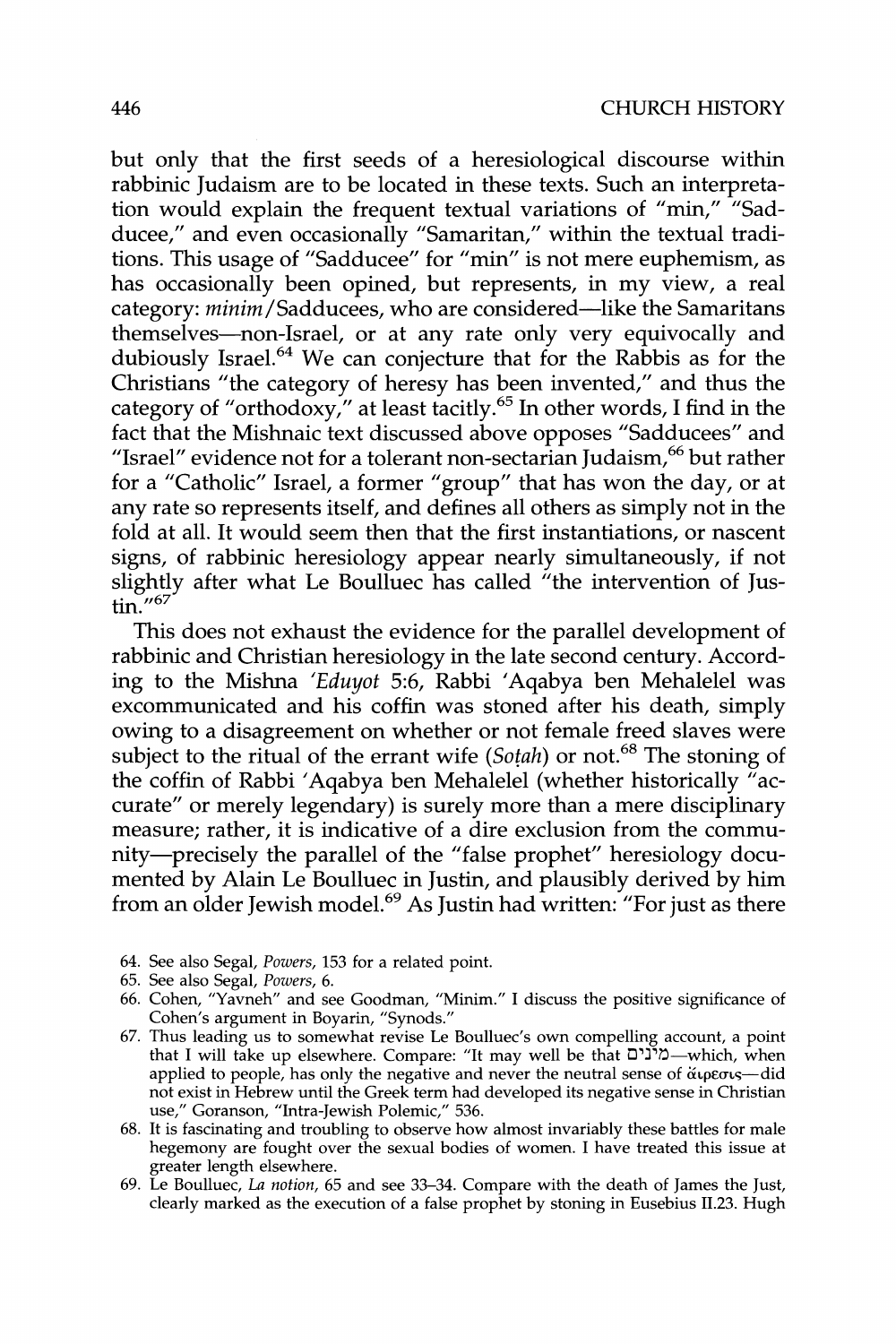**but only that the first seeds of a heresiological discourse within rabbinic Judaism are to be located in these texts. Such an interpretation would explain the frequent textual variations of "min," "Sadducee," and even occasionally "Samaritan," within the textual traditions. This usage of "Sadducee" for "min" is not mere euphemism, as has occasionally been opined, but represents, in my view, a real category: minim/Sadducees, who are considered-like the Samaritans themselves-non-Israel, or at any rate only very equivocally and dubiously Israel.64 We can conjecture that for the Rabbis as for the Christians "the category of heresy has been invented," and thus the category of "orthodoxy," at least tacitly.65 In other words, I find in the fact that the Mishnaic text discussed above opposes "Sadducees" and "Israel" evidence not for a tolerant non-sectarian Judaism,66 but rather for a "Catholic" Israel, a former "group" that has won the day, or at any rate so represents itself, and defines all others as simply not in the fold at all. It would seem then that the first instantiations, or nascent signs, of rabbinic heresiology appear nearly simultaneously, if not slightly after what Le Boulluec has called "the intervention of Justin."67** 

**This does not exhaust the evidence for the parallel development of rabbinic and Christian heresiology in the late second century. According to the Mishna 'Eduyot 5:6, Rabbi 'Aqabya ben Mehalelel was excommunicated and his coffin was stoned after his death, simply owing to a disagreement on whether or not female freed slaves were**  subject to the ritual of the errant wife (Sotah) or not.<sup>68</sup> The stoning of **the coffin of Rabbi 'Aqabya ben Mehalelel (whether historically "accurate" or merely legendary) is surely more than a mere disciplinary measure; rather, it is indicative of a dire exclusion from the community-precisely the parallel of the "false prophet" heresiology documented by Alain Le Boulluec in Justin, and plausibly derived by him from an older Jewish model.69 As Justin had written: "For just as there** 

- **64. See also Segal, Powers, 153 for a related point.**
- **65. See also Segal, Powers, 6.**
- **66. Cohen, "Yavneh" and see Goodman, "Minim." I discuss the positive significance of Cohen's argument in Boyarin, "Synods."**
- **67. Thus leading us to somewhat revise Le Boulluec's own compelling account, a point that I will take up elsewhere. Compare: "It may well be that D3"'7'-which, when**  applied to people, has only the negative and never the neutral sense of άιρεσις—did **not exist in Hebrew until the Greek term had developed its negative sense in Christian use," Goranson, "Intra-Jewish Polemic," 536.**
- **68. It is fascinating and troubling to observe how almost invariably these battles for male hegemony are fought over the sexual bodies of women. I have treated this issue at greater length elsewhere.**
- **69. Le Boulluec, La notion, 65 and see 33-34. Compare with the death of James the Just, clearly marked as the execution of a false prophet by stoning in Eusebius 11.23. Hugh**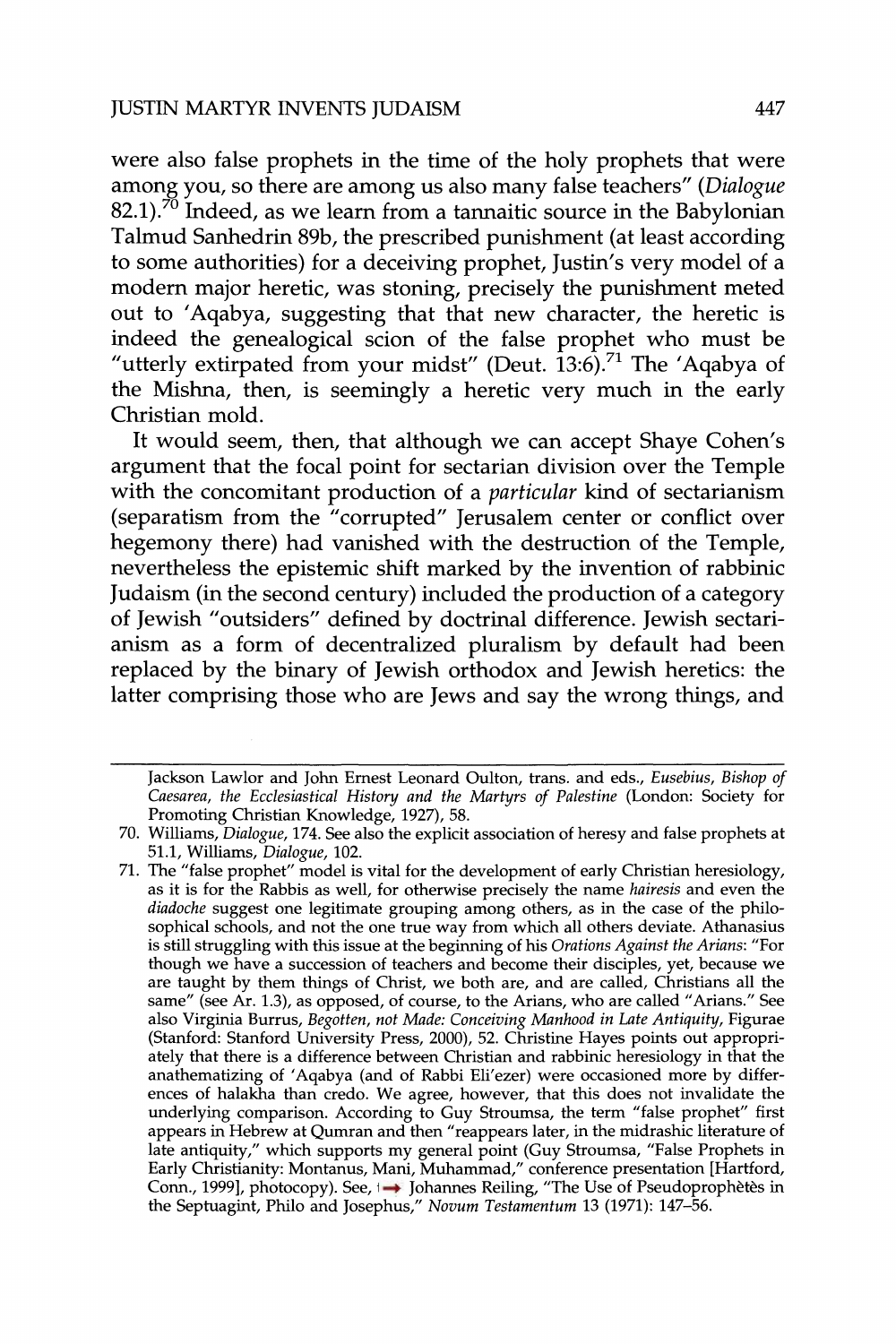**were also false prophets in the time of the holy prophets that were among you, so there are among us also many false teachers" (Dialogue 82.1).70 Indeed, as we learn from a tannaitic source in the Babylonian Talmud Sanhedrin 89b, the prescribed punishment (at least according to some authorities) for a deceiving prophet, Justin's very model of a modern major heretic, was stoning, precisely the punishment meted out to 'Aqabya, suggesting that that new character, the heretic is indeed the genealogical scion of the false prophet who must be "utterly extirpated from your midst" (Deut. 13:6).71 The 'Aqabya of the Mishna, then, is seemingly a heretic very much in the early Christian mold.** 

**It would seem, then, that although we can accept Shaye Cohen's argument that the focal point for sectarian division over the Temple with the concomitant production of a particular kind of sectarianism (separatism from the "corrupted" Jerusalem center or conflict over hegemony there) had vanished with the destruction of the Temple, nevertheless the epistemic shift marked by the invention of rabbinic Judaism (in the second century) included the production of a category of Jewish "outsiders" defined by doctrinal difference. Jewish sectarianism as a form of decentralized pluralism by default had been replaced by the binary of Jewish orthodox and Jewish heretics: the latter comprising those who are Jews and say the wrong things, and** 

**Jackson Lawlor and John Ernest Leonard Oulton, trans. and eds., Eusebius, Bishop of Caesarea, the Ecclesiastical History and the Martyrs of Palestine (London: Society for Promoting Christian Knowledge, 1927), 58.** 

**<sup>70.</sup> Williams, Dialogue, 174. See also the explicit association of heresy and false prophets at 51.1, Williams, Dialogue, 102.** 

**<sup>71.</sup> The "false prophet" model is vital for the development of early Christian heresiology, as it is for the Rabbis as well, for otherwise precisely the name hairesis and even the diadoche suggest one legitimate grouping among others, as in the case of the philosophical schools, and not the one true way from which all others deviate. Athanasius is still struggling with this issue at the beginning of his Orations Against the Arians: "For though we have a succession of teachers and become their disciples, yet, because we are taught by them things of Christ, we both are, and are called, Christians all the same" (see Ar. 1.3), as opposed, of course, to the Arians, who are called "Arians." See also Virginia Burrus, Begotten, not Made: Conceiving Manhood in Late Antiquity, Figurae (Stanford: Stanford University Press, 2000), 52. Christine Hayes points out appropriately that there is a difference between Christian and rabbinic heresiology in that the anathematizing of 'Aqabya (and of Rabbi Eli'ezer) were occasioned more by differences of halakha than credo. We agree, however, that this does not invalidate the underlying comparison. According to Guy Stroumsa, the term "false prophet" first appears in Hebrew at Qumran and then "reappears later, in the midrashic literature of late antiquity," which supports my general point (Guy Stroumsa, "False Prophets in Early Christianity: Montanus, Mani, Muhammad," conference presentation [Hartford,**  Conn., 1999], photocopy). See,  $\mapsto$  Johannes Reiling, "The Use of Pseudoprophetes in **the Septuagint, Philo and Josephus," Novum Testamentum 13 (1971): 147-56.**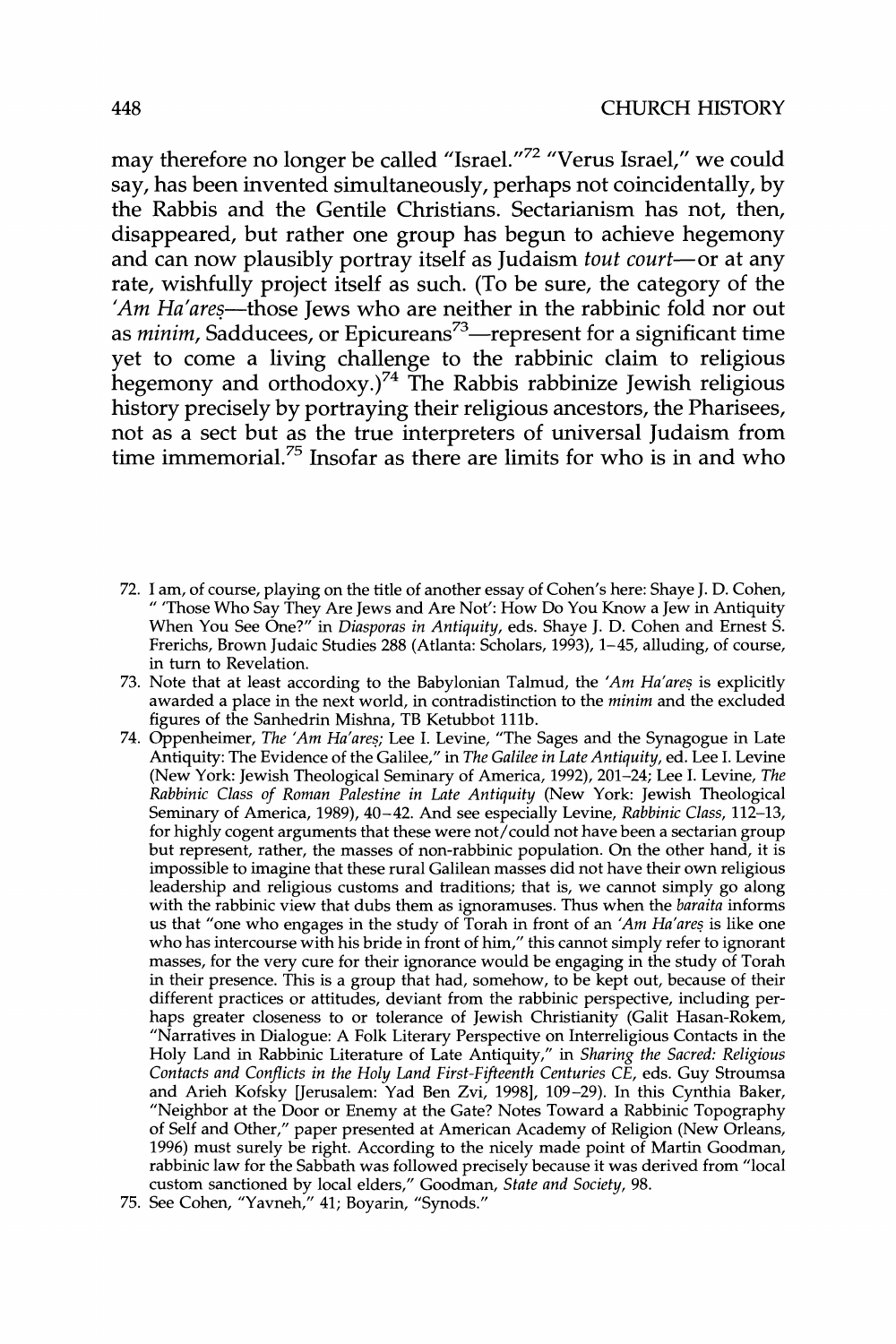**may therefore no longer be called "Israel."72 "Verus Israel," we could say, has been invented simultaneously, perhaps not coincidentally, by the Rabbis and the Gentile Christians. Sectarianism has not, then, disappeared, but rather one group has begun to achieve hegemony and can now plausibly portray itself as Judaism tout court-or at any rate, wishfully project itself as such. (To be sure, the category of the**  'Am Ha'ares—those Jews who are neither in the rabbinic fold nor out as *minim*, Sadducees, or Epicureans<sup>73</sup>—represent for a significant time **yet to come a living challenge to the rabbinic claim to religious hegemony and orthodoxy.)74 The Rabbis rabbinize Jewish religious history precisely by portraying their religious ancestors, the Pharisees, not as a sect but as the true interpreters of universal Judaism from time immemorial.75 Insofar as there are limits for who is in and who** 

- **72. I am, of course, playing on the title of another essay of Cohen's here: Shaye J. D. Cohen, " 'Those Who Say They Are Jews and Are Not': How Do You Know a Jew in Antiquity**  When You See One?" in Diasporas in Antiquity, eds. Shaye J. D. Cohen and Ernest S. **Frerichs, Brown Judaic Studies 288 (Atlanta: Scholars, 1993), 1-45, alluding, of course, in turn to Revelation.**
- **73. Note that at least according to the Babylonian Talmud, the 'Am Ha'ares is explicitly awarded a place in the next world, in contradistinction to the minim and the excluded figures of the Sanhedrin Mishna, TB Ketubbot lllb.**
- **74. Oppenheimer, The 'Am Ha'ares; Lee I. Levine, "The Sages and the Synagogue in Late Antiquity: The Evidence of the Galilee," in The Galilee in Late Antiquity, ed. Lee I. Levine (New York: Jewish Theological Seminary of America, 1992), 201-24; Lee I. Levine, The Rabbinic Class of Roman Palestine in Late Antiquity (New York: Jewish Theological Seminary of America, 1989), 40-42. And see especially Levine, Rabbinic Class, 112-13, for highly cogent arguments that these were not/could not have been a sectarian group but represent, rather, the masses of non-rabbinic population. On the other hand, it is impossible to imagine that these rural Galilean masses did not have their own religious leadership and religious customs and traditions; that is, we cannot simply go along with the rabbinic view that dubs them as ignoramuses. Thus when the baraita informs us that "one who engages in the study of Torah in front of an 'Am Ha'ares is like one who has intercourse with his bride in front of him," this cannot simply refer to ignorant masses, for the very cure for their ignorance would be engaging in the study of Torah in their presence. This is a group that had, somehow, to be kept out, because of their different practices or attitudes, deviant from the rabbinic perspective, including perhaps greater closeness to or tolerance of Jewish Christianity (Galit Hasan-Rokem, "Narratives in Dialogue: A Folk Literary Perspective on Interreligious Contacts in the Holy Land in Rabbinic Literature of Late Antiquity," in Sharing the Sacred: Religious Contacts and Conflicts in the Holy Land First-Fifteenth Centuries CE, eds. Guy Stroumsa and Arieh Kofsky [Jerusalem: Yad Ben Zvi, 1998], 109-29). In this Cynthia Baker, "Neighbor at the Door or Enemy at the Gate? Notes Toward a Rabbinic Topography of Self and Other," paper presented at American Academy of Religion (New Orleans, 1996) must surely be right. According to the nicely made point of Martin Goodman, rabbinic law for the Sabbath was followed precisely because it was derived from "local custom sanctioned by local elders," Goodman, State and Society, 98.**

**<sup>75.</sup> See Cohen, "Yavneh," 41; Boyarin, "Synods."**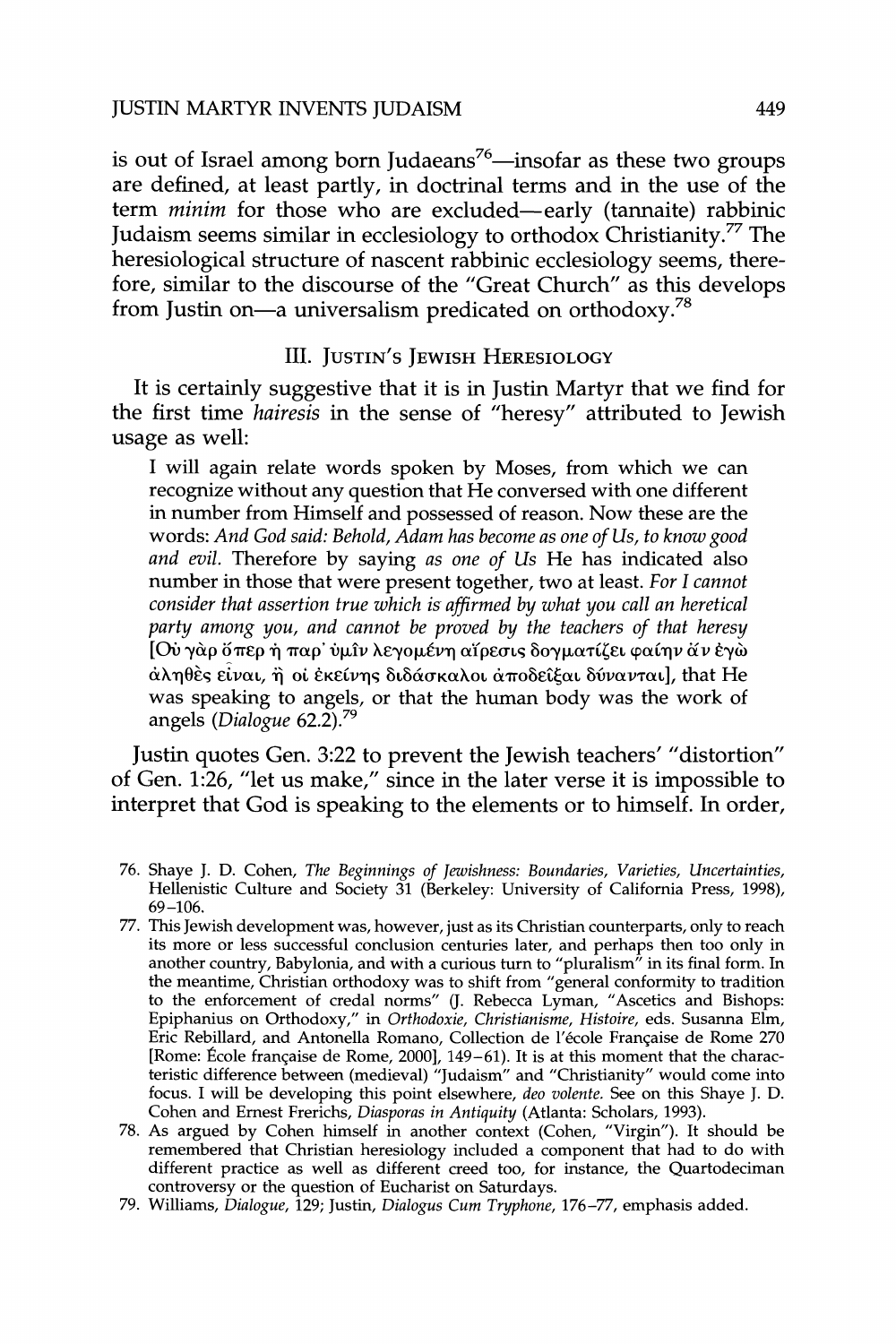is out of Israel among born Judaeans<sup>76</sup>—insofar as these two groups **are defined, at least partly, in doctrinal terms and in the use of the term minim for those who are excluded-early (tannaite) rabbinic Judaism seems similar in ecclesiology to orthodox Christianity.77 The heresiological structure of nascent rabbinic ecclesiology seems, therefore, similar to the discourse of the "Great Church" as this develops from Justin on-a universalism predicated on orthodoxy.78** 

#### **III. JUSTIN'S JEWISH HERESIOLOGY**

**It is certainly suggestive that it is in Justin Martyr that we find for the first time hairesis in the sense of "heresy" attributed to Jewish usage as well:** 

**I will again relate words spoken by Moses, from which we can recognize without any question that He conversed with one different in number from Himself and possessed of reason. Now these are the words: And God said: Behold, Adam has become as one of Us, to know good and evil. Therefore by saying as one of Us He has indicated also number in those that were present together, two at least. For I cannot consider that assertion true which is affirmed by what you call an heretical party among you, and cannot be proved by the teachers of that heresy [Ού γάρ όπερ ή παρ' ύμι λεγομένη αίρεσις δογματίζει φαίην άν έγὼ AX\09?s ?iVOt, 4q OL ?K?LVT)S sLo(cKOAXOL tlTro&E8OLtL 6aVarTOLL], that He was speaking to angels, or that the human body was the work of angels (Dialogue 62.2).79** 

**Justin quotes Gen. 3:22 to prevent the Jewish teachers' "distortion" of Gen. 1:26, "let us make," since in the later verse it is impossible to interpret that God is speaking to the elements or to himself. In order,** 

- **76. Shaye J. D. Cohen, The Beginnings of Jewishness: Boundaries, Varieties, Uncertainties, Hellenistic Culture and Society 31 (Berkeley: University of California Press, 1998), 69-106.**
- **77. This Jewish development was, however, just as its Christian counterparts, only to reach its more or less successful conclusion centuries later, and perhaps then too only in another country, Babylonia, and with a curious turn to "pluralism" in its final form. In the meantime, Christian orthodoxy was to shift from "general conformity to tradition**  to the enforcement of credal norms" (J. Rebecca Lyman, "Ascetics and Bishops: **Epiphanius on Orthodoxy," in Orthodoxie, Christianisme, Histoire, eds. Susanna Elm, Eric Rebillard, and Antonella Romano, Collection de l'ecole Francaise de Rome 270**  [Rome: École française de Rome, 2000], 149-61). It is at this moment that the charac**teristic difference between (medieval) "Judaism" and "Christianity" would come into focus. I will be developing this point elsewhere, deo volente. See on this Shaye J. D. Cohen and Ernest Frerichs, Diasporas in Antiquity (Atlanta: Scholars, 1993).**
- **78. As argued by Cohen himself in another context (Cohen, "Virgin"). It should be remembered that Christian heresiology included a component that had to do with different practice as well as different creed too, for instance, the Quartodeciman controversy or the question of Eucharist on Saturdays.**
- **79. Williams, Dialogue, 129; Justin, Dialogus Cum Tryphone, 176-77, emphasis added.**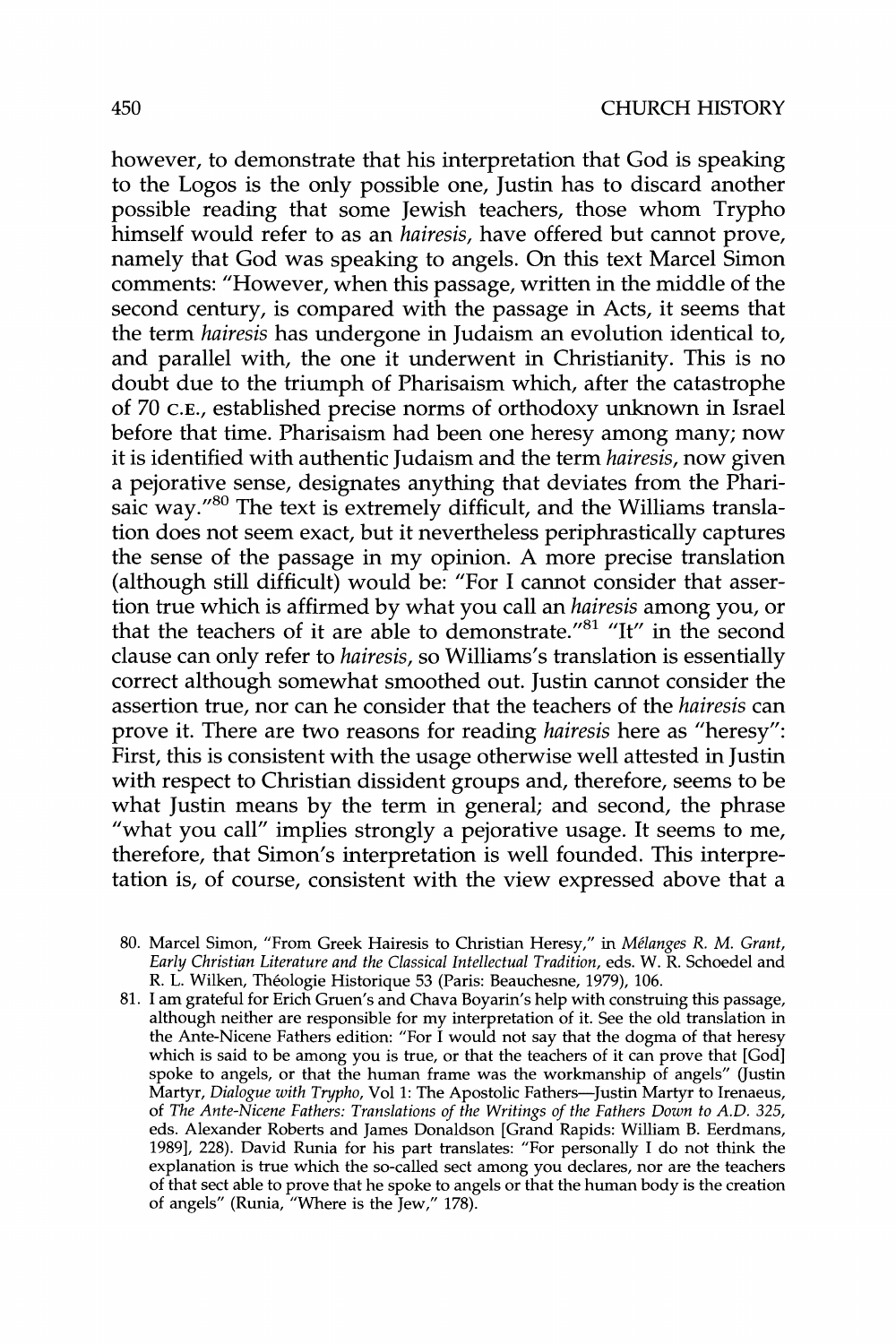**however, to demonstrate that his interpretation that God is speaking to the Logos is the only possible one, Justin has to discard another possible reading that some Jewish teachers, those whom Trypho himself would refer to as an hairesis, have offered but cannot prove, namely that God was speaking to angels. On this text Marcel Simon comments: "However, when this passage, written in the middle of the second century, is compared with the passage in Acts, it seems that the term hairesis has undergone in Judaism an evolution identical to, and parallel with, the one it underwent in Christianity. This is no doubt due to the triumph of Pharisaism which, after the catastrophe of 70 C.E., established precise norms of orthodoxy unknown in Israel before that time. Pharisaism had been one heresy among many; now it is identified with authentic Judaism and the term hairesis, now given a pejorative sense, designates anything that deviates from the Pharisaic way."80 The text is extremely difficult, and the Williams translation does not seem exact, but it nevertheless periphrastically captures the sense of the passage in my opinion. A more precise translation (although still difficult) would be: "For I cannot consider that assertion true which is affirmed by what you call an hairesis among you, or that the teachers of it are able to demonstrate."81 "It" in the second clause can only refer to hairesis, so Williams's translation is essentially correct although somewhat smoothed out. Justin cannot consider the assertion true, nor can he consider that the teachers of the hairesis can prove it. There are two reasons for reading hairesis here as "heresy": First, this is consistent with the usage otherwise well attested in Justin with respect to Christian dissident groups and, therefore, seems to be what Justin means by the term in general; and second, the phrase "what you call" implies strongly a pejorative usage. It seems to me, therefore, that Simon's interpretation is well founded. This interpretation is, of course, consistent with the view expressed above that a** 

**80. Marcel Simon, "From Greek Hairesis to Christian Heresy," in Melanges R. M. Grant, Early Christian Literature and the Classical Intellectual Tradition, eds. W. R. Schoedel and R. L. Wilken, Theologie Historique 53 (Paris: Beauchesne, 1979), 106.** 

**81. I am grateful for Erich Gruen's and Chava Boyarin's help with construing this passage, although neither are responsible for my interpretation of it. See the old translation in the Ante-Nicene Fathers edition: "For I would not say that the dogma of that heresy which is said to be among you is true, or that the teachers of it can prove that [God]**  spoke to angels, or that the human frame was the workmanship of angels" (Justin **Martyr, Dialogue with Trypho, Vol 1: The Apostolic Fathers-Justin Martyr to Irenaeus, of The Ante-Nicene Fathers: Translations of the Writings of the Fathers Down to A.D. 325, eds. Alexander Roberts and James Donaldson [Grand Rapids: William B. Eerdmans, 1989], 228). David Runia for his part translates: "For personally I do not think the explanation is true which the so-called sect among you declares, nor are the teachers of that sect able to prove that he spoke to angels or that the human body is the creation of angels" (Runia, "Where is the Jew," 178).**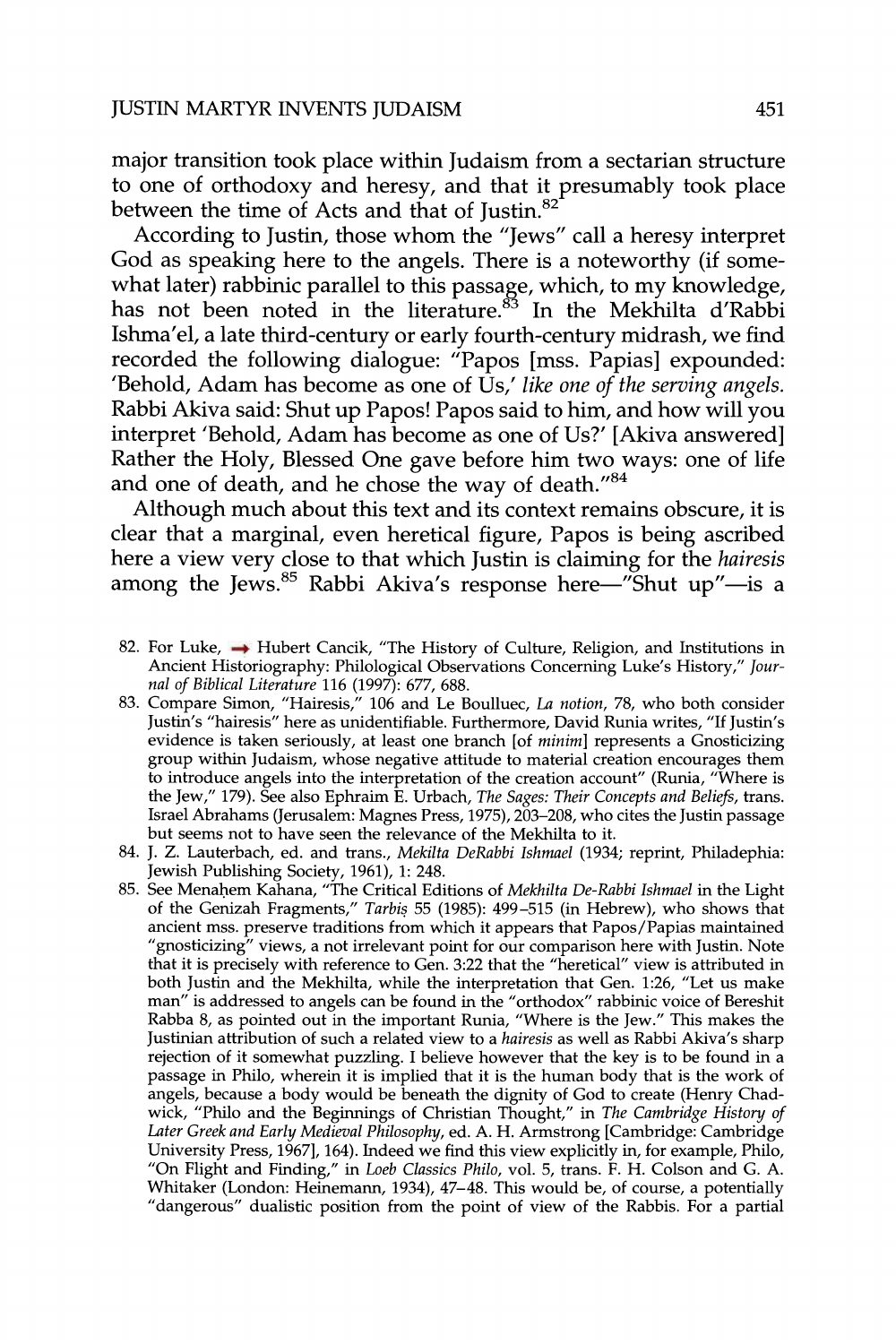**major transition took place within Judaism from a sectarian structure to one of orthodoxy and heresy, and that it presumably took place between the time of Acts and that of Justin.82** 

**According to Justin, those whom the "Jews" call a heresy interpret God as speaking here to the angels. There is a noteworthy (if somewhat later) rabbinic parallel to this passage, which, to my knowledge, has not been noted in the literature.3 In the Mekhilta d'Rabbi Ishma'el, a late third-century or early fourth-century midrash, we find recorded the following dialogue: "Papos [mss. Papias] expounded:**  'Behold, Adam has become as one of Us,' like one of the serving angels. **Rabbi Akiva said: Shut up Papos! Papos said to him, and how will you interpret 'Behold, Adam has become as one of Us?' [Akiva answered] Rather the Holy, Blessed One gave before him two ways: one of life and one of death, and he chose the way of death."84** 

**Although much about this text and its context remains obscure, it is clear that a marginal, even heretical figure, Papos is being ascribed here a view very close to that which Justin is claiming for the hairesis**  among the Jews.<sup>85</sup> Rabbi Akiva's response here-"Shut up"-is a

- 82. For Luke,  $\rightarrow$  Hubert Cancik, "The History of Culture, Religion, and Institutions in **Ancient Historiography: Philological Observations Concerning Luke's History," Journal of Biblical Literature 116 (1997): 677, 688.**
- **83. Compare Simon, "Hairesis," 106 and Le Boulluec, La notion, 78, who both consider Justin's "hairesis" here as unidentifiable. Furthermore, David Runia writes, "If Justin's evidence is taken seriously, at least one branch [of minim] represents a Gnosticizing group within Judaism, whose negative attitude to material creation encourages them to introduce angels into the interpretation of the creation account" (Runia, "Where is the Jew," 179). See also Ephraim E. Urbach, The Sages: Their Concepts and Beliefs, trans. Israel Abrahams (Jerusalem: Magnes Press, 1975), 203-208, who cites the Justin passage but seems not to have seen the relevance of the Mekhilta to it.**
- **84. J. Z. Lauterbach, ed. and trans., Mekilta DeRabbi Ishmael (1934; reprint, Philadephia: Jewish Publishing Society, 1961), 1: 248.**
- **85. See Menahem Kahana, "The Critical Editions of Mekhilta De-Rabbi Ishmael in the Light of the Genizah Fragments," Tarbis 55 (1985): 499-515 (in Hebrew), who shows that ancient mss. preserve traditions from which it appears that Papos/Papias maintained "gnosticizing" views, a not irrelevant point for our comparison here with Justin. Note that it is precisely with reference to Gen. 3:22 that the "heretical" view is attributed in both Justin and the Mekhilta, while the interpretation that Gen. 1:26, "Let us make man" is addressed to angels can be found in the "orthodox" rabbinic voice of Bereshit Rabba 8, as pointed out in the important Runia, "Where is the Jew." This makes the Justinian attribution of such a related view to a hairesis as well as Rabbi Akiva's sharp rejection of it somewhat puzzling. I believe however that the key is to be found in a passage in Philo, wherein it is implied that it is the human body that is the work of angels, because a body would be beneath the dignity of God to create (Henry Chadwick, "Philo and the Beginnings of Christian Thought," in The Cambridge History of Later Greek and Early Medieval Philosophy, ed. A. H. Armstrong [Cambridge: Cambridge University Press, 1967], 164). Indeed we find this view explicitly in, for example, Philo, "On Flight and Finding," in Loeb Classics Philo, vol. 5, trans. F. H. Colson and G. A. Whitaker (London: Heinemann, 1934), 47-48. This would be, of course, a potentially "dangerous" dualistic position from the point of view of the Rabbis. For a partial**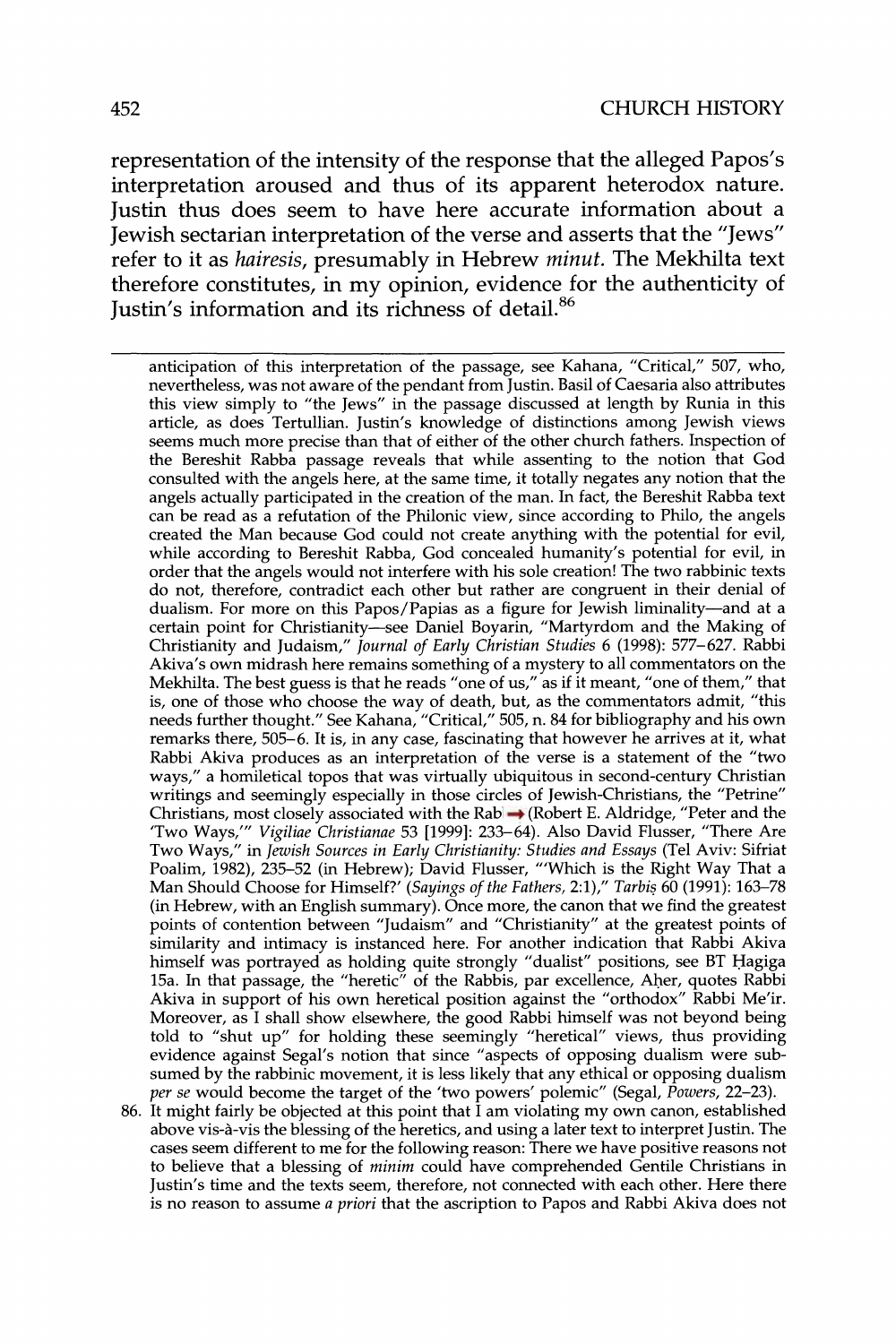**representation of the intensity of the response that the alleged Papos's interpretation aroused and thus of its apparent heterodox nature. Justin thus does seem to have here accurate information about a Jewish sectarian interpretation of the verse and asserts that the "Jews" refer to it as hairesis, presumably in Hebrew minut. The Mekhilta text therefore constitutes, in my opinion, evidence for the authenticity of Justin's information and its richness of detail.86** 

**anticipation of this interpretation of the passage, see Kahana, "Critical," 507, who, nevertheless, was not aware of the pendant from Justin. Basil of Caesaria also attributes this view simply to "the Jews" in the passage discussed at length by Runia in this article, as does Tertullian. Justin's knowledge of distinctions among Jewish views seems much more precise than that of either of the other church fathers. Inspection of the Bereshit Rabba passage reveals that while assenting to the notion that God consulted with the angels here, at the same time, it totally negates any notion that the angels actually participated in the creation of the man. In fact, the Bereshit Rabba text can be read as a refutation of the Philonic view, since according to Philo, the angels created the Man because God could not create anything with the potential for evil, while according to Bereshit Rabba, God concealed humanity's potential for evil, in order that the angels would not interfere with his sole creation! The two rabbinic texts do not, therefore, contradict each other but rather are congruent in their denial of dualism. For more on this Papos/Papias as a figure for Jewish liminality-and at a**  certain point for Christianity-see Daniel Boyarin, "Martyrdom and the Making of **Christianity and Judaism," Journal of Early Christian Studies 6 (1998): 577-627. Rabbi Akiva's own midrash here remains something of a mystery to all commentators on the Mekhilta. The best guess is that he reads "one of us," as if it meant, "one of them," that is, one of those who choose the way of death, but, as the commentators admit, "this needs further thought." See Kahana, "Critical," 505, n. 84 for bibliography and his own remarks there, 505-6. It is, in any case, fascinating that however he arrives at it, what Rabbi Akiva produces as an interpretation of the verse is a statement of the "two ways," a homiletical topos that was virtually ubiquitous in second-century Christian writings and seemingly especially in those circles of Jewish-Christians, the "Petrine"**  Christians, most closely associated with the Rab  $\rightarrow$  (Robert E. Aldridge, "Peter and the **'Two Ways,"' Vigiliae Christianae 53 [1999]: 233-64). Also David Flusser, "There Are Two Ways," in Jewish Sources in Early Christianity: Studies and Essays (Tel Aviv: Sifriat Poalim, 1982), 235-52 (in Hebrew); David Flusser, "'Which is the Right Way That a Man Should Choose for Himself?' (Sayings of the Fathers, 2:1)," Tarbis 60 (1991): 163-78 (in Hebrew, with an English summary). Once more, the canon that we find the greatest points of contention between "Judaism" and "Christianity" at the greatest points of similarity and intimacy is instanced here. For another indication that Rabbi Akiva himself was portrayed as holding quite strongly "dualist" positions, see BT Hagiga 15a. In that passage, the "heretic" of the Rabbis, par excellence, Aher, quotes Rabbi Akiva in support of his own heretical position against the "orthodox" Rabbi Me'ir. Moreover, as I shall show elsewhere, the good Rabbi himself was not beyond being told to "shut up" for holding these seemingly "heretical" views, thus providing evidence against Segal's notion that since "aspects of opposing dualism were subsumed by the rabbinic movement, it is less likely that any ethical or opposing dualism**  per se would become the target of the 'two powers' polemic" (Segal, Powers, 22-23).

**86. It might fairly be objected at this point that I am violating my own canon, established above vis-a-vis the blessing of the heretics, and using a later text to interpret Justin. The cases seem different to me for the following reason: There we have positive reasons not to believe that a blessing of minim could have comprehended Gentile Christians in Justin's time and the texts seem, therefore, not connected with each other. Here there is no reason to assume a priori that the ascription to Papos and Rabbi Akiva does not**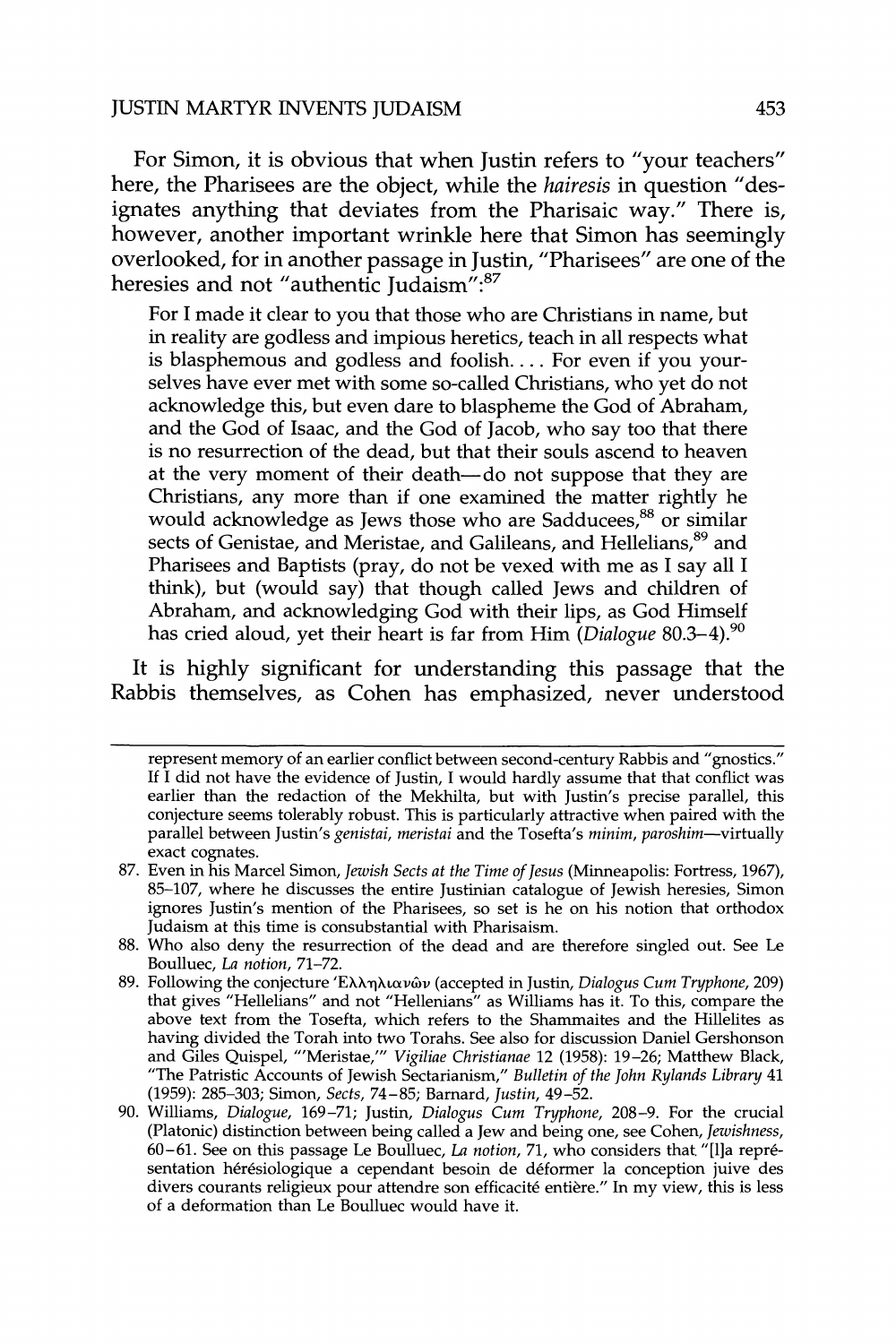#### **JUSTIN MARTYR INVENTS JUDAISM**

**For Simon, it is obvious that when Justin refers to "your teachers" here, the Pharisees are the object, while the hairesis in question "designates anything that deviates from the Pharisaic way." There is, however, another important wrinkle here that Simon has seemingly overlooked, for in another passage in Justin, "Pharisees" are one of the heresies and not "authentic Judaism":87** 

**For I made it clear to you that those who are Christians in name, but in reality are godless and impious heretics, teach in all respects what is blasphemous and godless and foolish.... For even if you yourselves have ever met with some so-called Christians, who yet do not acknowledge this, but even dare to blaspheme the God of Abraham, and the God of Isaac, and the God of Jacob, who say too that there is no resurrection of the dead, but that their souls ascend to heaven**  at the very moment of their death--do not suppose that they are **Christians, any more than if one examined the matter rightly he**  would acknowledge as Jews those who are Sadducees,<sup>88</sup> or similar **sects of Genistae, and Meristae, and Galileans, and Hellelians,89 and Pharisees and Baptists (pray, do not be vexed with me as I say all I think), but (would say) that though called Jews and children of Abraham, and acknowledging God with their lips, as God Himself has cried aloud, yet their heart is far from Him (Dialogue 80.3-4).90** 

**It is highly significant for understanding this passage that the Rabbis themselves, as Cohen has emphasized, never understood** 

**represent memory of an earlier conflict between second-century Rabbis and "gnostics." If I did not have the evidence of Justin, I would hardly assume that that conflict was earlier than the redaction of the Mekhilta, but with Justin's precise parallel, this conjecture seems tolerably robust. This is particularly attractive when paired with the**  parallel between Justin's genistai, meristai and the Tosefta's minim, paroshim-virtually **exact cognates.** 

**<sup>87.</sup> Even in his Marcel Simon, Jewish Sects at the Time of Jesus (Minneapolis: Fortress, 1967), 85-107, where he discusses the entire Justinian catalogue of Jewish heresies, Simon ignores Justin's mention of the Pharisees, so set is he on his notion that orthodox Judaism at this time is consubstantial with Pharisaism.** 

**<sup>88.</sup> Who also deny the resurrection of the dead and are therefore singled out. See Le Boulluec, La notion, 71-72.** 

<sup>89.</sup> Following the conjecture Έλληλιανῶν (accepted in Justin, Dialogus Cum Tryphone, 209) **that gives "Hellelians" and not "Hellenians" as Williams has it. To this, compare the above text from the Tosefta, which refers to the Shammaites and the Hillelites as having divided the Torah into two Torahs. See also for discussion Daniel Gershonson and Giles Quispel, "'Meristae,"' Vigiliae Christianae 12 (1958): 19-26; Matthew Black, "The Patristic Accounts of Jewish Sectarianism," Bulletin of the John Rylands Library 41 (1959): 285-303; Simon, Sects, 74-85; Barnard, Justin, 49-52.** 

**<sup>90.</sup> Williams, Dialogue, 169-71; Justin, Dialogus Cum Tryphone, 208-9. For the crucial (Platonic) distinction between being called a Jew and being one, see Cohen, Jewishness, 60-61. See on this passage Le Boulluec, La notion, 71, who considers that. "[l]a repre**sentation hérésiologique a cependant besoin de déformer la conception juive des divers courants religieux pour attendre son efficacité entière." In my view, this is less **of a deformation than Le Boulluec would have it.**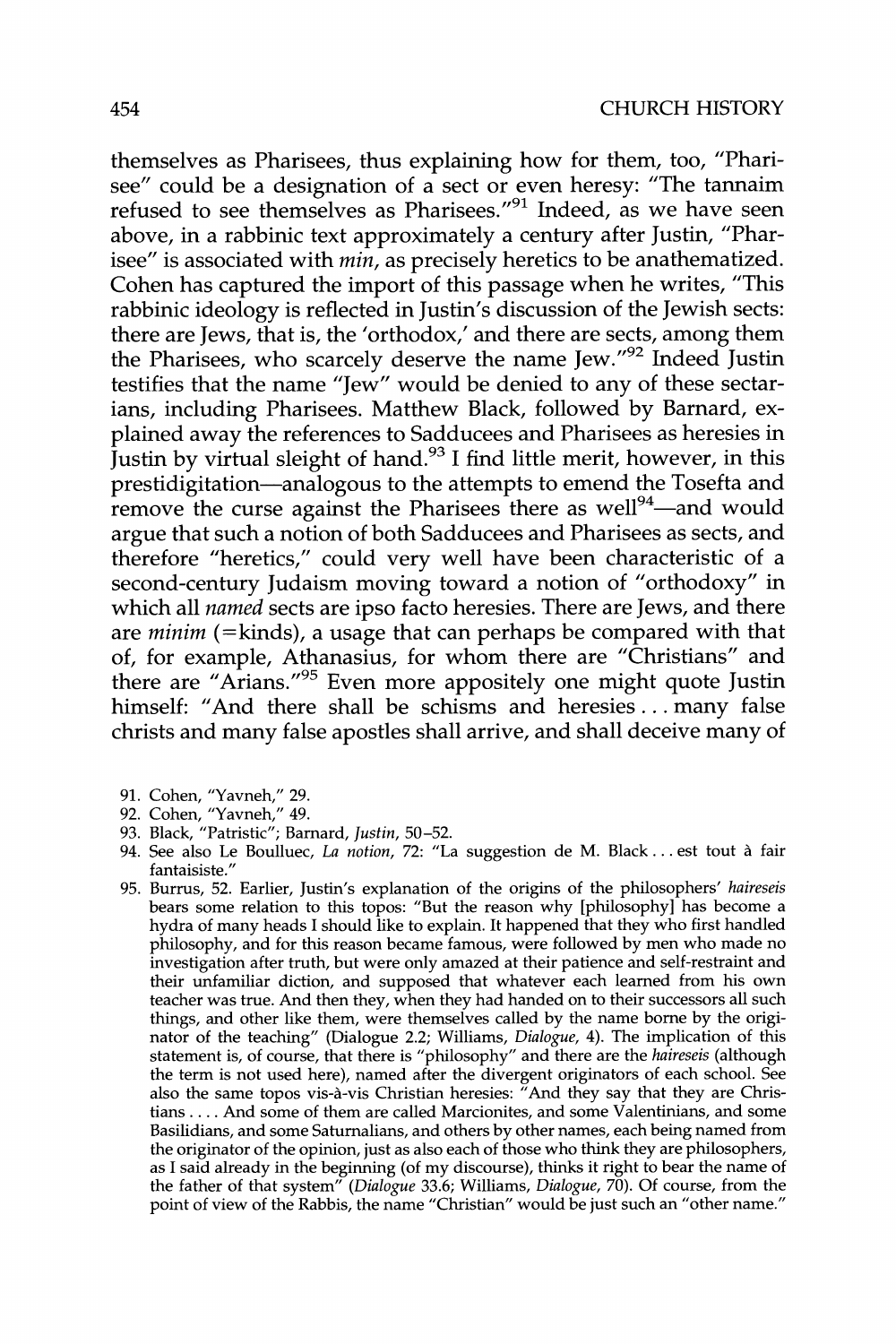**themselves as Pharisees, thus explaining how for them, too, "Pharisee" could be a designation of a sect or even heresy: "The tannaim refused to see themselves as Pharisees."91 Indeed, as we have seen above, in a rabbinic text approximately a century after Justin, "Pharisee" is associated with min, as precisely heretics to be anathematized. Cohen has captured the import of this passage when he writes, "This rabbinic ideology is reflected in Justin's discussion of the Jewish sects: there are Jews, that is, the 'orthodox,' and there are sects, among them the Pharisees, who scarcely deserve the name Jew."92 Indeed Justin testifies that the name "Jew" would be denied to any of these sectarians, including Pharisees. Matthew Black, followed by Barnard, explained away the references to Sadducees and Pharisees as heresies in Justin by virtual sleight of hand.93 I find little merit, however, in this prestidigitation-analogous to the attempts to emend the Tosefta and remove the curse against the Pharisees there as well<sup>94</sup>—and would argue that such a notion of both Sadducees and Pharisees as sects, and therefore "heretics," could very well have been characteristic of a second-century Judaism moving toward a notion of "orthodoxy" in which all named sects are ipso facto heresies. There are Jews, and there are minim (=kinds), a usage that can perhaps be compared with that of, for example, Athanasius, for whom there are "Christians" and there are "Arians."95 Even more appositely one might quote Justin himself: "And there shall be schisms and heresies... many false christs and many false apostles shall arrive, and shall deceive many of** 

- **91. Cohen, "Yavneh," 29.**
- **92. Cohen, "Yavneh," 49.**
- **93. Black, "Patristic"; Barnard, Justin, 50-52.**
- **94. See also Le Boulluec, La notion, 72: "La suggestion de M. Black... est tout a fair fantaisiste."**
- **95. Burrus, 52. Earlier, Justin's explanation of the origins of the philosophers' haireseis bears some relation to this topos: "But the reason why [philosophy] has become a hydra of many heads I should like to explain. It happened that they who first handled philosophy, and for this reason became famous, were followed by men who made no investigation after truth, but were only amazed at their patience and self-restraint and their unfamiliar diction, and supposed that whatever each learned from his own teacher was true. And then they, when they had handed on to their successors all such things, and other like them, were themselves called by the name borne by the originator of the teaching" (Dialogue 2.2; Williams, Dialogue, 4). The implication of this statement is, of course, that there is "philosophy" and there are the haireseis (although the term is not used here), named after the divergent originators of each school. See**  also the same topos vis-à-vis Christian heresies: "And they say that they are Chris**tians .... And some of them are called Marcionites, and some Valentinians, and some Basilidians, and some Saturnalians, and others by other names, each being named from the originator of the opinion, just as also each of those who think they are philosophers, as I said already in the beginning (of my discourse), thinks it right to bear the name of the father of that system" (Dialogue 33.6; Williams, Dialogue, 70). Of course, from the point of view of the Rabbis, the name "Christian" would be just such an "other name."**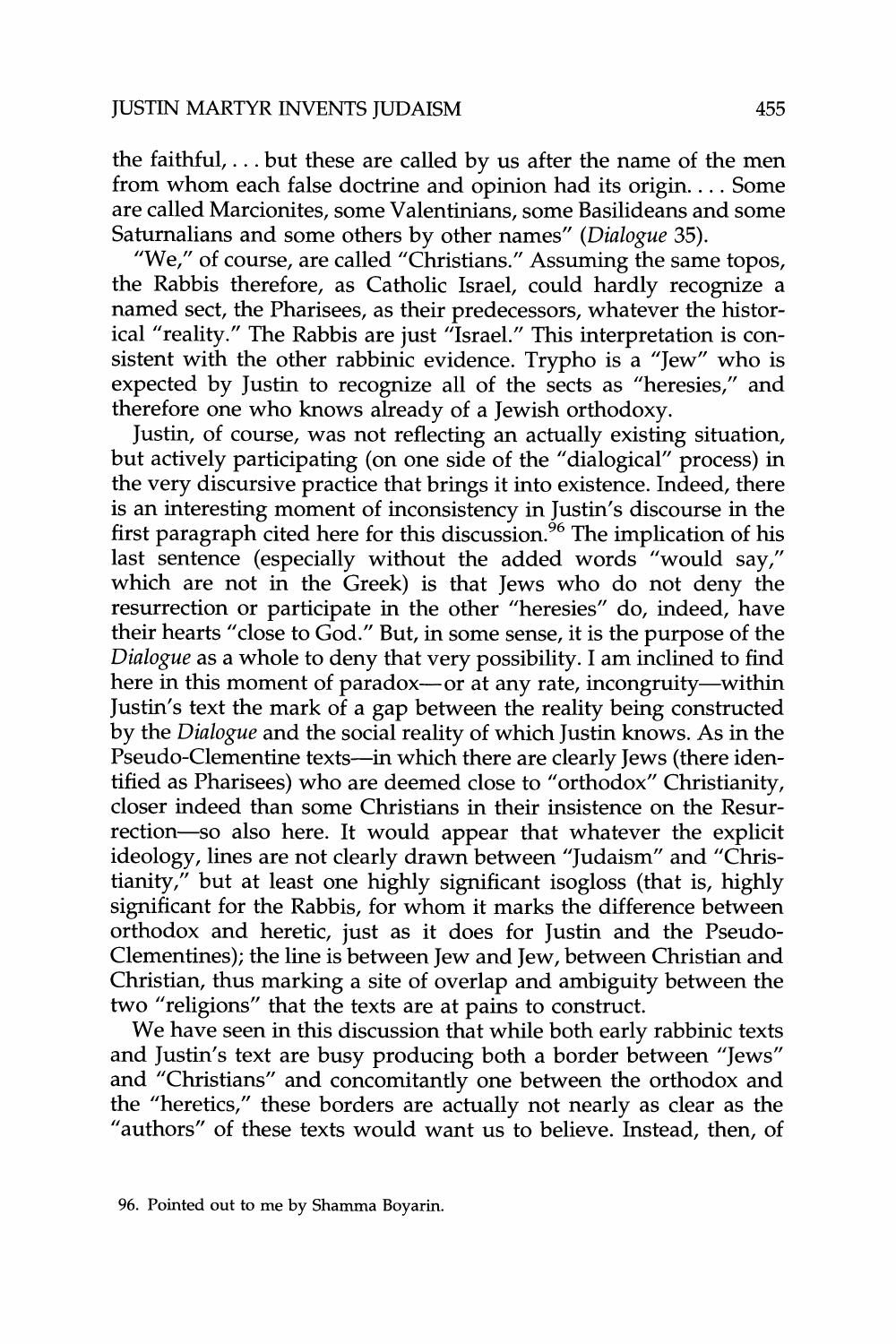**the faithful,... but these are called by us after the name of the men from whom each false doctrine and opinion had its origin.... Some are called Marcionites, some Valentinians, some Basilideans and some Saturnalians and some others by other names" (Dialogue 35).** 

**"We," of course, are called "Christians." Assuming the same topos, the Rabbis therefore, as Catholic Israel, could hardly recognize a named sect, the Pharisees, as their predecessors, whatever the historical "reality." The Rabbis are just "Israel." This interpretation is consistent with the other rabbinic evidence. Trypho is a "Jew" who is expected by Justin to recognize all of the sects as "heresies," and therefore one who knows already of a Jewish orthodoxy.** 

**Justin, of course, was not reflecting an actually existing situation, but actively participating (on one side of the "dialogical" process) in the very discursive practice that brings it into existence. Indeed, there is an interesting moment of inconsistency in Justin's discourse in the**  first paragraph cited here for this discussion.<sup>96</sup> The implication of his **last sentence (especially without the added words "would say," which are not in the Greek) is that Jews who do not deny the resurrection or participate in the other "heresies" do, indeed, have their hearts "close to God." But, in some sense, it is the purpose of the Dialogue as a whole to deny that very possibility. I am inclined to find here in this moment of paradox-or at any rate, incongruity-within Justin's text the mark of a gap between the reality being constructed by the Dialogue and the social reality of which Justin knows. As in the**  Pseudo-Clementine texts-in which there are clearly Jews (there iden**tified as Pharisees) who are deemed close to "orthodox" Christianity, closer indeed than some Christians in their insistence on the Resurrection-so also here. It would appear that whatever the explicit ideology, lines are not clearly drawn between "Judaism" and "Christianity," but at least one highly significant isogloss (that is, highly significant for the Rabbis, for whom it marks the difference between orthodox and heretic, just as it does for Justin and the Pseudo-Clementines); the line is between Jew and Jew, between Christian and Christian, thus marking a site of overlap and ambiguity between the two "religions" that the texts are at pains to construct.** 

**We have seen in this discussion that while both early rabbinic texts and Justin's text are busy producing both a border between "Jews" and "Christians" and concomitantly one between the orthodox and the "heretics," these borders are actually not nearly as clear as the "authors" of these texts would want us to believe. Instead, then, of** 

**<sup>96.</sup> Pointed out to me by Shamma Boyarin.**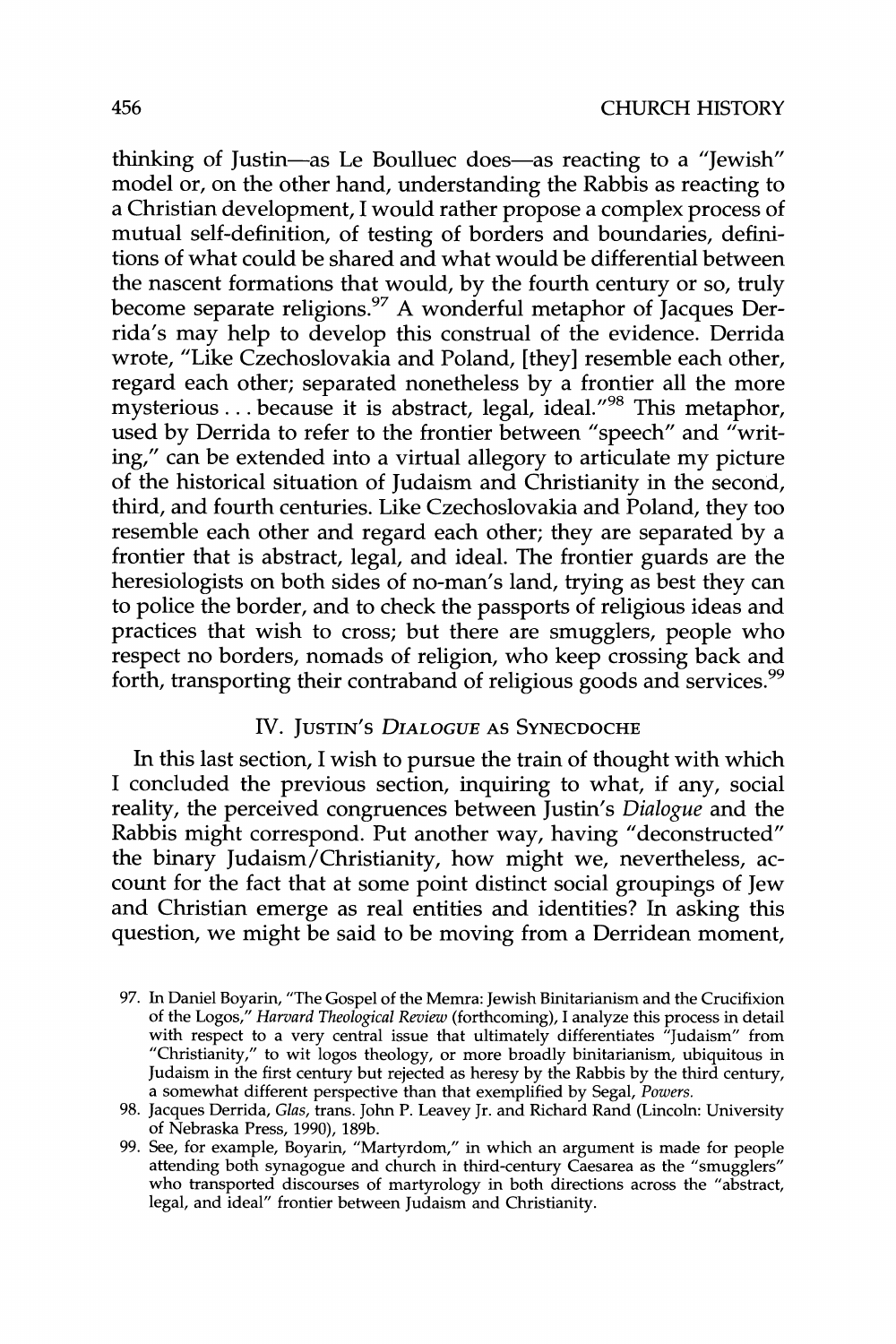**thinking of Justin-as Le Boulluec does-as reacting to a "Jewish" model or, on the other hand, understanding the Rabbis as reacting to a Christian development, I would rather propose a complex process of mutual self-definition, of testing of borders and boundaries, definitions of what could be shared and what would be differential between the nascent formations that would, by the fourth century or so, truly become separate religions.97 A wonderful metaphor of Jacques Derrida's may help to develop this construal of the evidence. Derrida wrote, "Like Czechoslovakia and Poland, [they] resemble each other, regard each other; separated nonetheless by a frontier all the more mysterious... because it is abstract, legal, ideal."98 This metaphor, used by Derrida to refer to the frontier between "speech" and "writing," can be extended into a virtual allegory to articulate my picture of the historical situation of Judaism and Christianity in the second, third, and fourth centuries. Like Czechoslovakia and Poland, they too resemble each other and regard each other; they are separated by a frontier that is abstract, legal, and ideal. The frontier guards are the heresiologists on both sides of no-man's land, trying as best they can to police the border, and to check the passports of religious ideas and practices that wish to cross; but there are smugglers, people who respect no borders, nomads of religion, who keep crossing back and forth, transporting their contraband of religious goods and services.99** 

#### **IV. JUSTIN'S DIALOGUE AS SYNECDOCHE**

**In this last section, I wish to pursue the train of thought with which I concluded the previous section, inquiring to what, if any, social reality, the perceived congruences between Justin's Dialogue and the Rabbis might correspond. Put another way, having "deconstructed" the binary Judaism/Christianity, how might we, nevertheless, account for the fact that at some point distinct social groupings of Jew and Christian emerge as real entities and identities? In asking this question, we might be said to be moving from a Derridean moment,** 

**<sup>97.</sup> In Daniel Boyarin, "The Gospel of the Memra: Jewish Binitarianism and the Crucifixion of the Logos," Harvard Theological Review (forthcoming), I analyze this process in detail with respect to a very central issue that ultimately differentiates "Judaism" from "Christianity," to wit logos theology, or more broadly binitarianism, ubiquitous in Judaism in the first century but rejected as heresy by the Rabbis by the third century, a somewhat different perspective than that exemplified by Segal, Powers.** 

**<sup>98.</sup> Jacques Derrida, Glas, trans. John P. Leavey Jr. and Richard Rand (Lincoln: University of Nebraska Press, 1990), 189b.** 

**<sup>99.</sup> See, for example, Boyarin, "Martyrdom," in which an argument is made for people attending both synagogue and church in third-century Caesarea as the "smugglers" who transported discourses of martyrology in both directions across the "abstract, legal, and ideal" frontier between Judaism and Christianity.**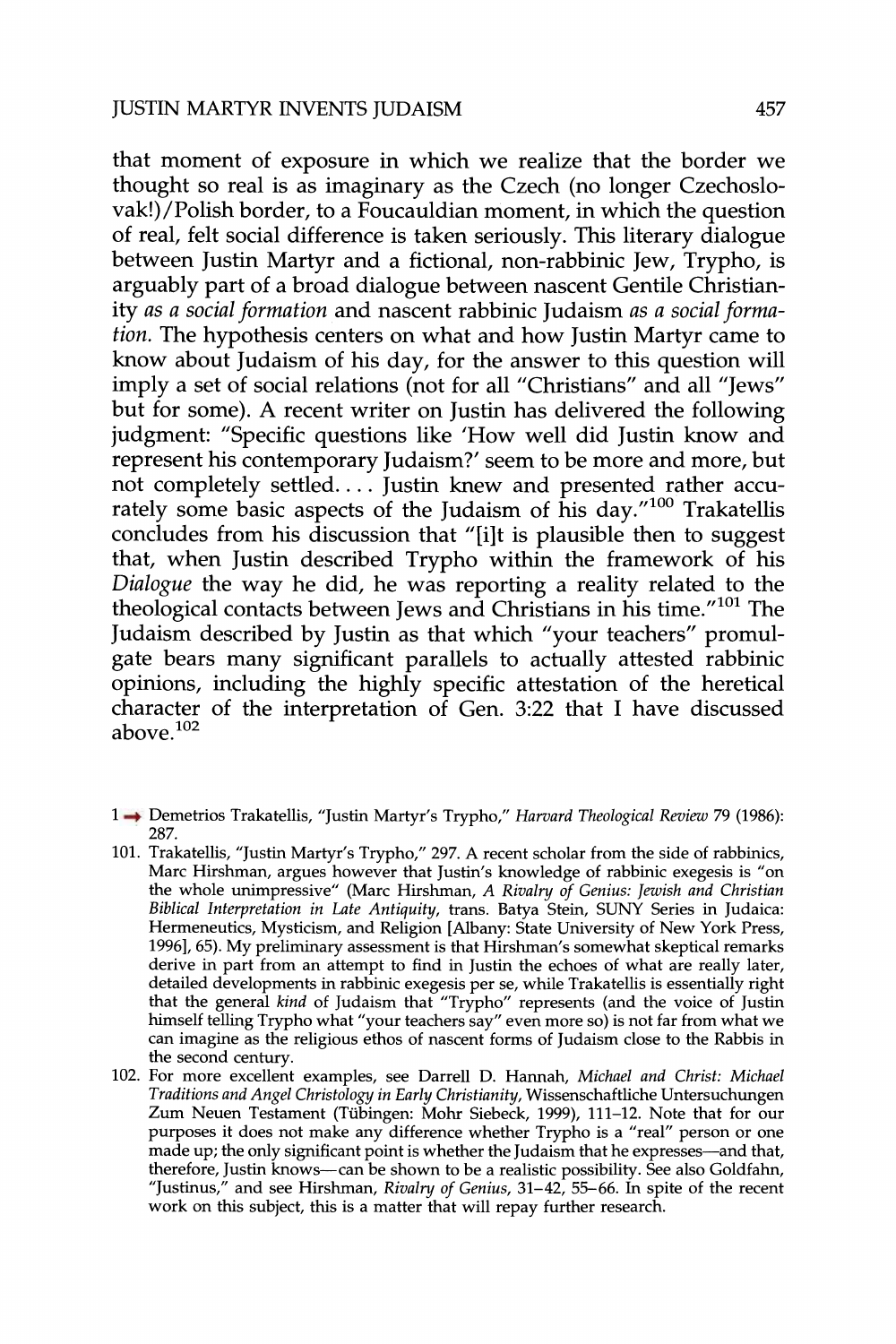**that moment of exposure in which we realize that the border we thought so real is as imaginary as the Czech (no longer Czechoslovak!)/Polish border, to a Foucauldian moment, in which the question of real, felt social difference is taken seriously. This literary dialogue between Justin Martyr and a fictional, non-rabbinic Jew, Trypho, is arguably part of a broad dialogue between nascent Gentile Christian**ity as a social formation and nascent rabbinic Judaism as a social forma**tion. The hypothesis centers on what and how Justin Martyr came to know about Judaism of his day, for the answer to this question will imply a set of social relations (not for all "Christians" and all "Jews" but for some). A recent writer on Justin has delivered the following judgment: "Specific questions like 'How well did Justin know and represent his contemporary Judaism?' seem to be more and more, but not completely settled.... Justin knew and presented rather accurately some basic aspects of the Judaism of his day."100 Trakatellis concludes from his discussion that "[i]t is plausible then to suggest that, when Justin described Trypho within the framework of his Dialogue the way he did, he was reporting a reality related to the theological contacts between Jews and Christians in his time."101 The Judaism described by Justin as that which "your teachers" promulgate bears many significant parallels to actually attested rabbinic opinions, including the highly specific attestation of the heretical character of the interpretation of Gen. 3:22 that I have discussed above.102** 

- **101. Trakatellis, "Justin Martyr's Trypho," 297. A recent scholar from the side of rabbinics, Marc Hirshman, argues however that Justin's knowledge of rabbinic exegesis is "on the whole unimpressive" (Marc Hirshman, A Rivalry of Genius: Jewish and Christian Biblical Interpretation in Late Antiquity, trans. Batya Stein, SUNY Series in Judaica: Hermeneutics, Mysticism, and Religion [Albany: State University of New York Press, 1996], 65). My preliminary assessment is that Hirshman's somewhat skeptical remarks derive in part from an attempt to find in Justin the echoes of what are really later, detailed developments in rabbinic exegesis per se, while Trakatellis is essentially right that the general kind of Judaism that "Trypho" represents (and the voice of Justin himself telling Trypho what "your teachers say" even more so) is not far from what we can imagine as the religious ethos of nascent forms of Judaism close to the Rabbis in the second century.**
- **102. For more excellent examples, see Darrell D. Hannah, Michael and Christ: Michael Traditions and Angel Christology in Early Christianity, Wissenschaftliche Untersuchungen Zum Neuen Testament (Tubingen: Mohr Siebeck, 1999), 111-12. Note that for our purposes it does not make any difference whether Trypho is a "real" person or one made up; the only significant point is whether the Judaism that he expresses-and that, therefore, Justin knows-can be shown to be a realistic possibility. See also Goldfahn, "Justinus," and see Hirshman, Rivalry of Genius, 31-42, 55-66. In spite of the recent work on this subject, this is a matter that will repay further research.**

**<sup>100.</sup> Demetrios Trakatellis, "Justin Martyr's Trypho," Harvard Theological Review 79 (1986): 287.**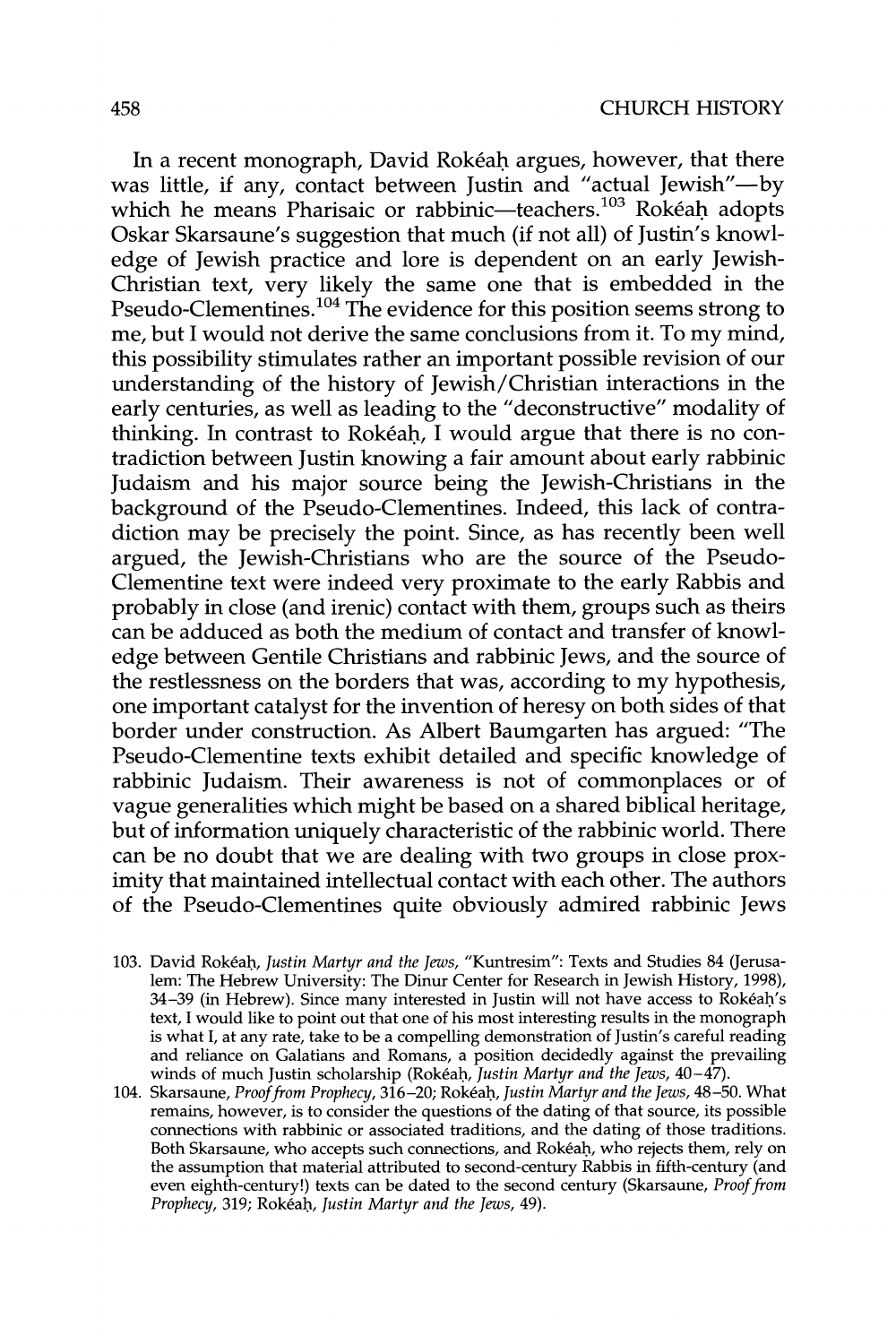**In a recent monograph, David Rokeah argues, however, that there was little, if any, contact between Justin and "actual Jewish"-by**  which he means Pharisaic or rabbinic—teachers.<sup>103</sup> Rokéah adopts **Oskar Skarsaune's suggestion that much (if not all) of Justin's knowledge of Jewish practice and lore is dependent on an early Jewish-Christian text, very likely the same one that is embedded in the Pseudo-Clementines.104 The evidence for this position seems strong to me, but I would not derive the same conclusions from it. To my mind, this possibility stimulates rather an important possible revision of our understanding of the history of Jewish/Christian interactions in the early centuries, as well as leading to the "deconstructive" modality of thinking. In contrast to Rokeah, I would argue that there is no contradiction between Justin knowing a fair amount about early rabbinic Judaism and his major source being the Jewish-Christians in the background of the Pseudo-Clementines. Indeed, this lack of contradiction may be precisely the point. Since, as has recently been well argued, the Jewish-Christians who are the source of the Pseudo-Clementine text were indeed very proximate to the early Rabbis and probably in close (and irenic) contact with them, groups such as theirs can be adduced as both the medium of contact and transfer of knowledge between Gentile Christians and rabbinic Jews, and the source of the restlessness on the borders that was, according to my hypothesis, one important catalyst for the invention of heresy on both sides of that border under construction. As Albert Baumgarten has argued: "The Pseudo-Clementine texts exhibit detailed and specific knowledge of rabbinic Judaism. Their awareness is not of commonplaces or of vague generalities which might be based on a shared biblical heritage, but of information uniquely characteristic of the rabbinic world. There can be no doubt that we are dealing with two groups in close proximity that maintained intellectual contact with each other. The authors of the Pseudo-Clementines quite obviously admired rabbinic Jews** 

- **103. David Rokeah, Justin Martyr and the Jews, "Kuntresim": Texts and Studies 84 (Jerusalem: The Hebrew University: The Dinur Center for Research in Jewish History, 1998), 34-39 (in Hebrew). Since many interested in Justin will not have access to Rokeah's text, I would like to point out that one of his most interesting results in the monograph is what I, at any rate, take to be a compelling demonstration of Justin's careful reading and reliance on Galatians and Romans, a position decidedly against the prevailing**  winds of much Justin scholarship (Rokéah, Justin Martyr and the Jews, 40-47).
- **104. Skarsaune, Prooffrom Prophecy, 316-20; Rokeah, Justin Martyr and the Jews, 48-50. What remains, however, is to consider the questions of the dating of that source, its possible connections with rabbinic or associated traditions, and the dating of those traditions. Both Skarsaune, who accepts such connections, and Rokeah, who rejects them, rely on the assumption that material attributed to second-century Rabbis in fifth-century (and even eighth-century!) texts can be dated to the second century (Skarsaune, Prooffrom**  Prophecy, 319; Rokéah, Justin Martyr and the Jews, 49).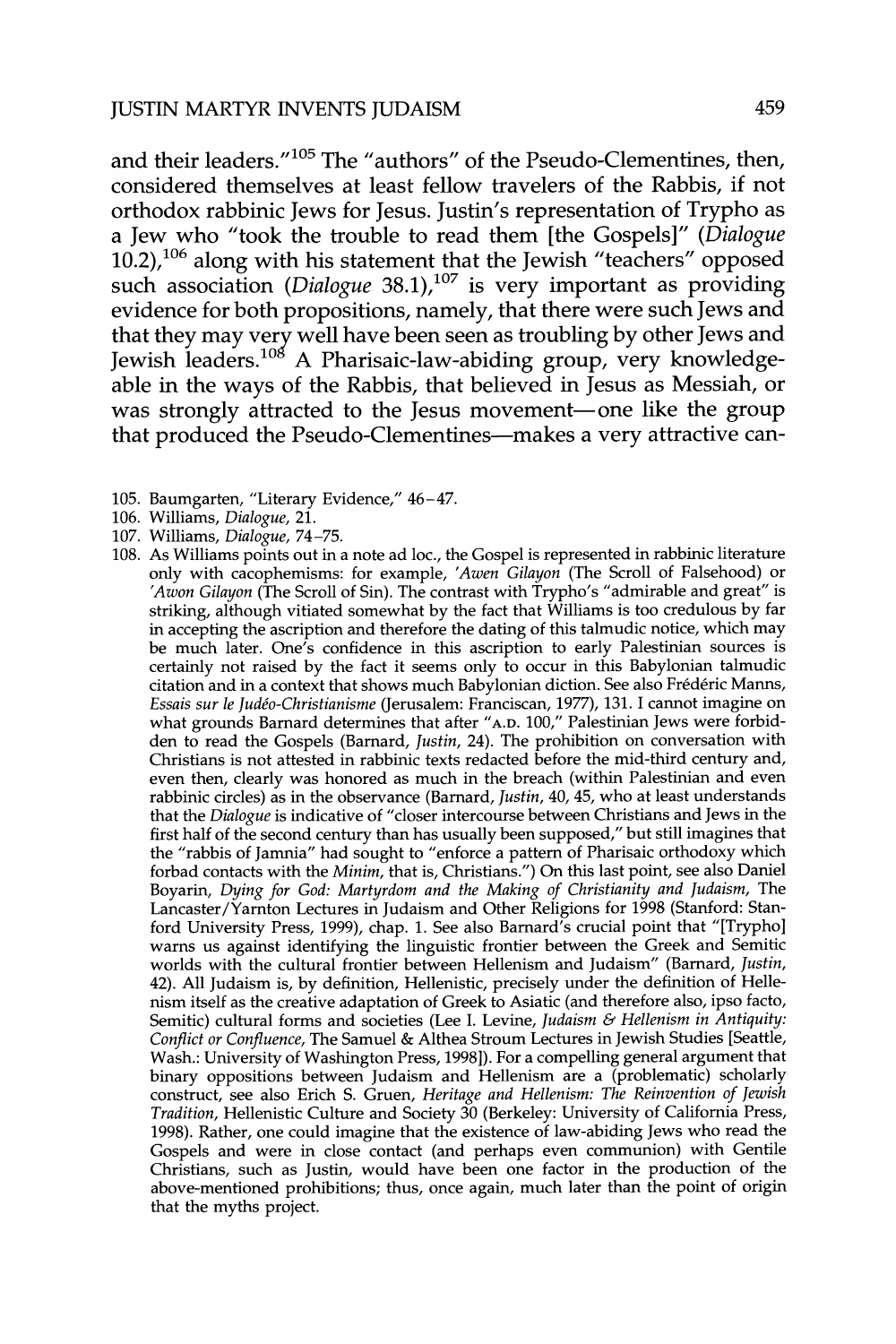#### **JUSTIN MARTYR INVENTS JUDAISM**

**and their leaders."105 The "authors" of the Pseudo-Clementines, then, considered themselves at least fellow travelers of the Rabbis, if not orthodox rabbinic Jews for Jesus. Justin's representation of Trypho as a Jew who "took the trouble to read them [the Gospels]" (Dialogue 10.2**),<sup>106</sup> along with his statement that the Jewish "teachers" opposed such association (Dialogue 38.1),<sup>107</sup> is very important as providing **evidence for both propositions, namely, that there were such Jews and that they may very well have been seen as troubling by other Jews and**  Jewish leaders.<sup>108</sup> A Pharisaic-law-abiding group, very knowledge**able in the ways of the Rabbis, that believed in Jesus as Messiah, or was strongly attracted to the Jesus movement-one like the group**  that produced the Pseudo-Clementines—makes a very attractive can-

- **105. Baumgarten, "Literary Evidence," 46-47.**
- **106. Williams, Dialogue, 21.**
- **107. Williams, Dialogue, 74-75.**
- **108. As Williams points out in a note ad loc., the Gospel is represented in rabbinic literature only with cacophemisms: for example, 'Awen Gilayon (The Scroll of Falsehood) or 'Awon Gilayon (The Scroll of Sin). The contrast with Trypho's "admirable and great" is striking, although vitiated somewhat by the fact that Williams is too credulous by far in accepting the ascription and therefore the dating of this talmudic notice, which may be much later. One's confidence in this ascription to early Palestinian sources is certainly not raised by the fact it seems only to occur in this Babylonian talmudic citation and in a context that shows much Babylonian diction. See also Frederic Manns, Essais sur le Judeo-Christianisme (Jerusalem: Franciscan, 1977), 131. I cannot imagine on what grounds Barnard determines that after "A.D. 100," Palestinian Jews were forbidden to read the Gospels (Barnard, Justin, 24). The prohibition on conversation with Christians is not attested in rabbinic texts redacted before the mid-third century and, even then, clearly was honored as much in the breach (within Palestinian and even rabbinic circles) as in the observance (Barnard, Justin, 40, 45, who at least understands that the Dialogue is indicative of "closer intercourse between Christians and Jews in the first half of the second century than has usually been supposed," but still imagines that the "rabbis of Jamnia" had sought to "enforce a pattern of Pharisaic orthodoxy which forbad contacts with the Minim, that is, Christians.") On this last point, see also Daniel Boyarin, Dying for God: Martyrdom and the Making of Christianity and Judaism, The Lancaster/Yamton Lectures in Judaism and Other Religions for 1998 (Stanford: Stanford University Press, 1999), chap. 1. See also Barard's crucial point that "[Trypho] warns us against identifying the linguistic frontier between the Greek and Semitic worlds with the cultural frontier between Hellenism and Judaism" (Barnard, Justin, 42). All Judaism is, by definition, Hellenistic, precisely under the definition of Hellenism itself as the creative adaptation of Greek to Asiatic (and therefore also, ipso facto,**  Semitic) cultural forms and societies (Lee I. Levine, Judaism & Hellenism in Antiquity: **Conflict or Confluence, The Samuel & Althea Stroum Lectures in Jewish Studies [Seattle, Wash.: University of Washington Press, 1998]). For a compelling general argument that binary oppositions between Judaism and Hellenism are a (problematic) scholarly construct, see also Erich S. Gruen, Heritage and Hellenism: The Reinvention of Jewish Tradition, Hellenistic Culture and Society 30 (Berkeley: University of California Press, 1998). Rather, one could imagine that the existence of law-abiding Jews who read the Gospels and were in close contact (and perhaps even communion) with Gentile Christians, such as Justin, would have been one factor in the production of the above-mentioned prohibitions; thus, once again, much later than the point of origin that the myths project.**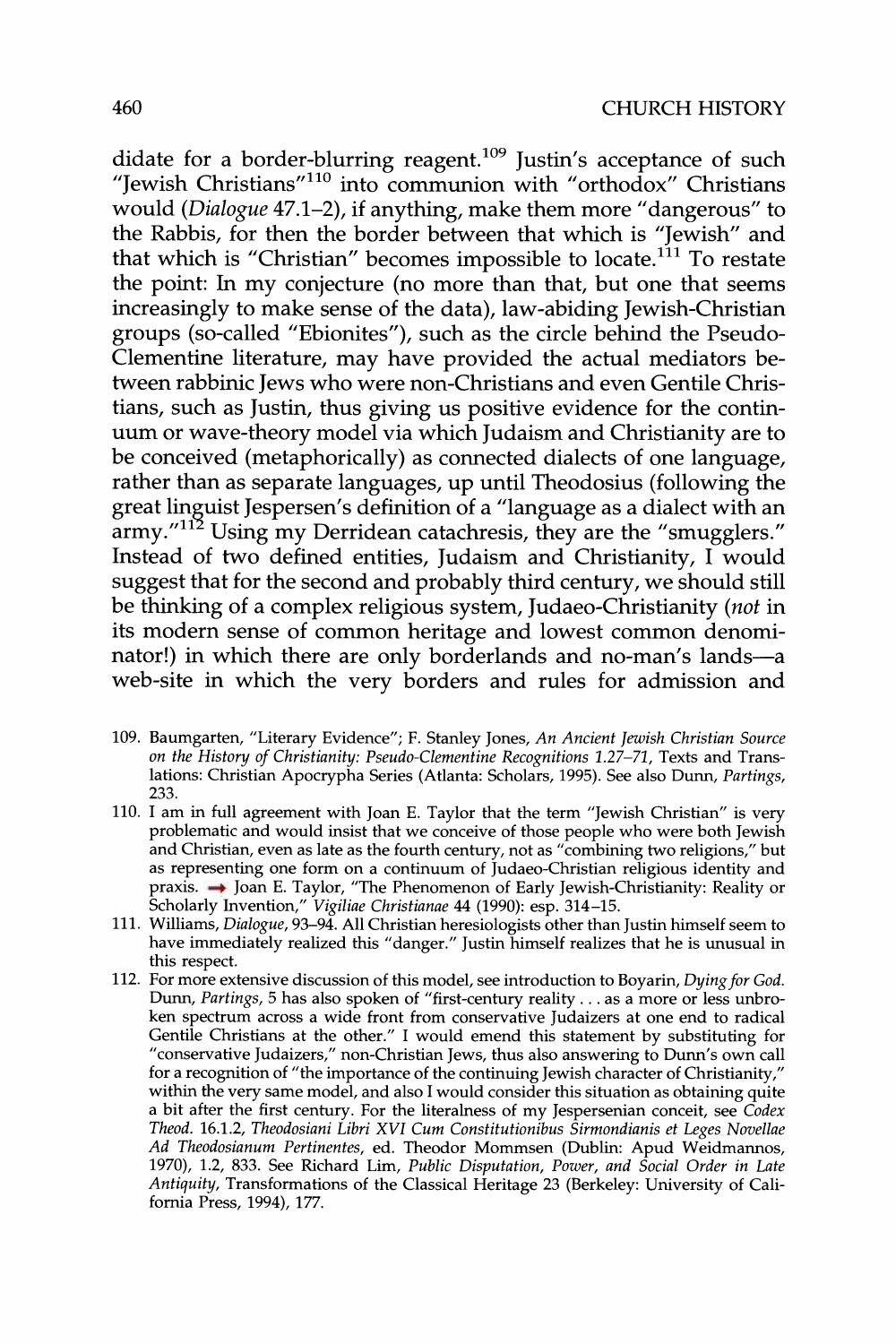**didate for a border-blurring reagent.109 Justin's acceptance of such "Jewish Christians"110 into communion with "orthodox" Christians would (Dialogue 47.1-2), if anything, make them more "dangerous" to the Rabbis, for then the border between that which is "Jewish" and**  that which is "Christian" becomes impossible to locate.<sup>111</sup> To restate **the point: In my conjecture (no more than that, but one that seems increasingly to make sense of the data), law-abiding Jewish-Christian groups (so-called "Ebionites"), such as the circle behind the Pseudo-Clementine literature, may have provided the actual mediators between rabbinic Jews who were non-Christians and even Gentile Christians, such as Justin, thus giving us positive evidence for the continuum or wave-theory model via which Judaism and Christianity are to be conceived (metaphorically) as connected dialects of one language, rather than as separate languages, up until Theodosius (following the great linguist Jespersen's definition of a "language as a dialect with an army.** <sup>112</sup> Using my Derridean catachresis, they are the "smugglers." **Instead of two defined entities, Judaism and Christianity, I would suggest that for the second and probably third century, we should still be thinking of a complex religious system, Judaeo-Christianity (not in its modern sense of common heritage and lowest common denominator!) in which there are only borderlands and no-man's lands-a web-site in which the very borders and rules for admission and** 

- **109. Baumgarten, "Literary Evidence"; F. Stanley Jones, An Ancient Jewish Christian Source on the History of Christianity: Pseudo-Clementine Recognitions 1.27-71, Texts and Translations: Christian Apocrypha Series (Atlanta: Scholars, 1995). See also Dunn, Partings, 233.**
- **110. I am in full agreement with Joan E. Taylor that the term "Jewish Christian" is very problematic and would insist that we conceive of those people who were both Jewish and Christian, even as late as the fourth century, not as "combining two religions," but as representing one form on a continuum of Judaeo-Christian religious identity and praxis.**  $\rightarrow$  Joan E. Taylor, "The Phenomenon of Early Jewish-Christianity: Reality or **Scholarly Invention," Vigiliae Christianae 44 (1990): esp. 314-15.**
- **111. Williams, Dialogue, 93-94. All Christian heresiologists other than Justin himself seem to have immediately realized this "danger." Justin himself realizes that he is unusual in this respect.**
- 112. For more extensive discussion of this model, see introduction to Boyarin, Dying for God. **Dunn, Partings, 5 has also spoken of "first-century reality... as a more or less unbroken spectrum across a wide front from conservative Judaizers at one end to radical Gentile Christians at the other." I would emend this statement by substituting for "conservative Judaizers," non-Christian Jews, thus also answering to Dunn's own call for a recognition of "the importance of the continuing Jewish character of Christianity," within the very same model, and also I would consider this situation as obtaining quite a bit after the first century. For the literalness of my Jespersenian conceit, see Codex Theod. 16.1.2, Theodosiani Libri XVI Cum Constitutionibus Sirmondianis et Leges Novellae Ad Theodosianum Pertinentes, ed. Theodor Mommsen (Dublin: Apud Weidmannos, 1970), 1.2, 833. See Richard Lim, Public Disputation, Power, and Social Order in Late Antiquity, Transformations of the Classical Heritage 23 (Berkeley: University of Califoria Press, 1994), 177.**